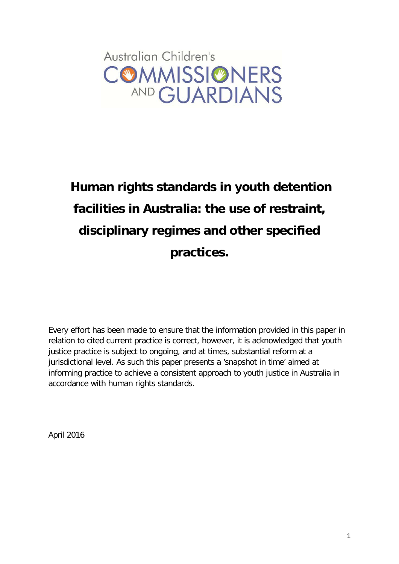

# **Human rights standards in youth detention facilities in Australia: the use of restraint, disciplinary regimes and other specified practices.**

Every effort has been made to ensure that the information provided in this paper in relation to cited current practice is correct, however, it is acknowledged that youth justice practice is subject to ongoing, and at times, substantial reform at a jurisdictional level. As such this paper presents a 'snapshot in time' aimed at informing practice to achieve a consistent approach to youth justice in Australia in accordance with human rights standards.

<span id="page-0-0"></span>April 2016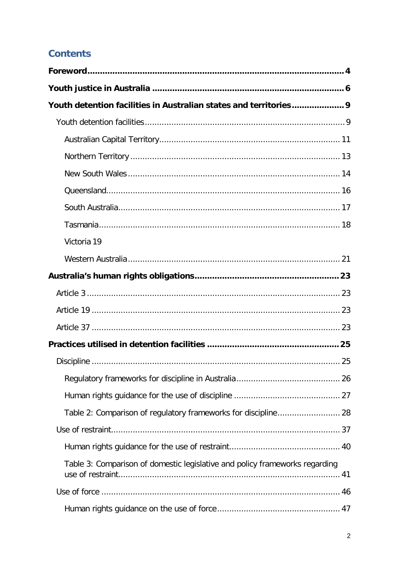## **Contents**

| Youth detention facilities in Australian states and territories 9           |  |
|-----------------------------------------------------------------------------|--|
|                                                                             |  |
|                                                                             |  |
|                                                                             |  |
|                                                                             |  |
|                                                                             |  |
|                                                                             |  |
|                                                                             |  |
| Victoria 19                                                                 |  |
|                                                                             |  |
|                                                                             |  |
|                                                                             |  |
|                                                                             |  |
|                                                                             |  |
|                                                                             |  |
|                                                                             |  |
|                                                                             |  |
|                                                                             |  |
| Table 2: Comparison of regulatory frameworks for discipline 28              |  |
|                                                                             |  |
|                                                                             |  |
| Table 3: Comparison of domestic legislative and policy frameworks regarding |  |
|                                                                             |  |
|                                                                             |  |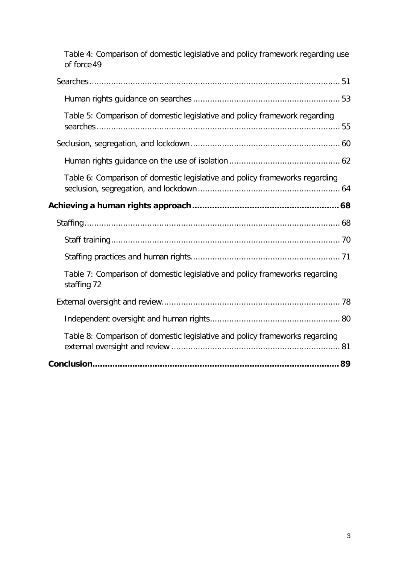| Table 4: Comparison of domestic legislative and policy framework regarding use<br>of force 49 |
|-----------------------------------------------------------------------------------------------|
|                                                                                               |
|                                                                                               |
| Table 5: Comparison of domestic legislative and policy framework regarding                    |
|                                                                                               |
|                                                                                               |
| Table 6: Comparison of domestic legislative and policy frameworks regarding                   |
|                                                                                               |
|                                                                                               |
|                                                                                               |
|                                                                                               |
| Table 7: Comparison of domestic legislative and policy frameworks regarding<br>staffing 72    |
|                                                                                               |
|                                                                                               |
| Table 8: Comparison of domestic legislative and policy frameworks regarding                   |
|                                                                                               |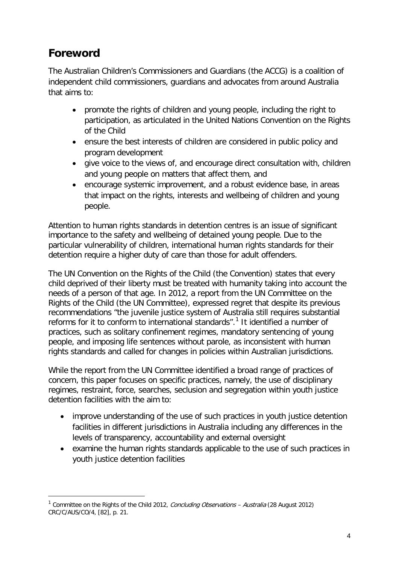# <span id="page-3-0"></span>**Foreword**

-

The Australian Children's Commissioners and Guardians (the ACCG) is a coalition of independent child commissioners, guardians and advocates from around Australia that aims to:

- promote the rights of children and young people, including the right to participation, as articulated in the United Nations Convention on the Rights of the Child
- ensure the best interests of children are considered in public policy and program development
- give voice to the views of, and encourage direct consultation with, children and young people on matters that affect them, and
- encourage systemic improvement, and a robust evidence base, in areas that impact on the rights, interests and wellbeing of children and young people.

Attention to human rights standards in detention centres is an issue of significant importance to the safety and wellbeing of detained young people. Due to the particular vulnerability of children, international human rights standards for their detention require a higher duty of care than those for adult offenders.

The UN Convention on the Rights of the Child (the Convention) states that every child deprived of their liberty must be treated with humanity taking into account the needs of a person of that age. In 2012, a report from the UN Committee on the Rights of the Child (the UN Committee), expressed regret that despite its previous recommendations "the juvenile justice system of Australia still requires substantial reforms for it to conform to international standards".<sup>[1](#page-0-0)</sup> It identified a number of practices, such as solitary confinement regimes, mandatory sentencing of young people, and imposing life sentences without parole, as inconsistent with human rights standards and called for changes in policies within Australian jurisdictions.

<span id="page-3-1"></span>While the report from the UN Committee identified a broad range of practices of concern, this paper focuses on specific practices, namely, the use of disciplinary regimes, restraint, force, searches, seclusion and segregation within youth justice detention facilities with the aim to:

- improve understanding of the use of such practices in youth justice detention facilities in different jurisdictions in Australia including any differences in the levels of transparency, accountability and external oversight
- examine the human rights standards applicable to the use of such practices in youth justice detention facilities

<sup>&</sup>lt;sup>1</sup> Committee on the Rights of the Child 2012, *Concluding Observations – Australia* (28 August 2012) CRC/C/AUS/CO/4, [82], p. 21.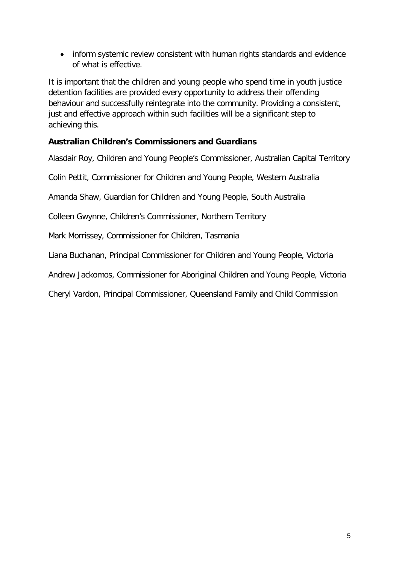• inform systemic review consistent with human rights standards and evidence of what is effective.

It is important that the children and young people who spend time in youth justice detention facilities are provided every opportunity to address their offending behaviour and successfully reintegrate into the community. Providing a consistent, just and effective approach within such facilities will be a significant step to achieving this.

#### **Australian Children's Commissioners and Guardians**

Alasdair Roy, Children and Young People's Commissioner, Australian Capital Territory

Colin Pettit, Commissioner for Children and Young People, Western Australia

Amanda Shaw, Guardian for Children and Young People, South Australia

Colleen Gwynne, Children's Commissioner, Northern Territory

Mark Morrissey, Commissioner for Children, Tasmania

Liana Buchanan, Principal Commissioner for Children and Young People, Victoria

Andrew Jackomos, Commissioner for Aboriginal Children and Young People, Victoria

Cheryl Vardon, Principal Commissioner, Queensland Family and Child Commission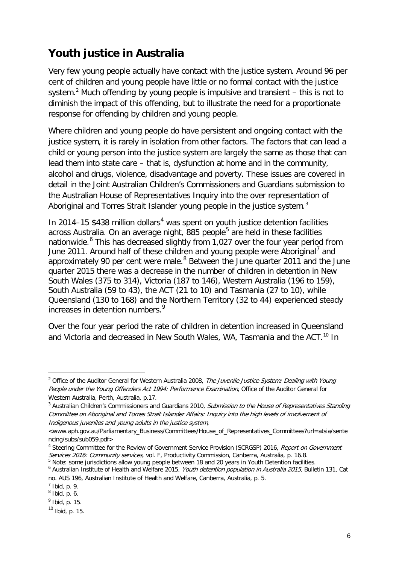# <span id="page-5-0"></span>**Youth justice in Australia**

Very few young people actually have contact with the justice system. Around 96 per cent of children and young people have little or no formal contact with the justice system.<sup>[2](#page-3-1)</sup> Much offending by young people is impulsive and transient  $-$  this is not to diminish the impact of this offending, but to illustrate the need for a proportionate response for offending by children and young people.

Where children and young people do have persistent and ongoing contact with the justice system, it is rarely in isolation from other factors. The factors that can lead a child or young person into the justice system are largely the same as those that can lead them into state care – that is, dysfunction at home and in the community, alcohol and drugs, violence, disadvantage and poverty. These issues are covered in detail in the Joint Australian Children's Commissioners and Guardians submission to the Australian House of Representatives Inquiry into the over representation of Aboriginal and Torres Strait Islander young people in the justice system.<sup>[3](#page-5-1)</sup>

In 201[4](#page-5-2)–15  $$438$  million dollars<sup>4</sup> was spent on youth justice detention facilities across Australia. On an average night,  $885$  $885$  people<sup>5</sup> are held in these facilities nationwide.<sup>[6](#page-5-4)</sup> This has decreased slightly from 1,027 over the four year period from June 2011. Around half of these children and young people were Aboriginal<sup>[7](#page-5-5)</sup> and approximately 90 per cent were male. $8$  Between the June quarter 2011 and the June quarter 2015 there was a decrease in the number of children in detention in New South Wales (375 to 314), Victoria (187 to 146), Western Australia (196 to 159), South Australia (59 to 43), the ACT (21 to 10) and Tasmania (27 to 10), while Queensland (130 to 168) and the Northern Territory (32 to 44) experienced steady increases in detention numbers. [9](#page-5-7)

Over the four year period the rate of children in detention increased in Queensland and Victoria and decreased in New South Wales, WA, Tasmania and the ACT.<sup>[10](#page-5-8)</sup> In

<span id="page-5-4"></span><span id="page-5-3"></span><sup>6</sup> Australian Institute of Health and Welfare 2015, Youth detention population in Australia 2015, Bulletin 131, Cat no. AUS 196, Australian Institute of Health and Welfare, Canberra, Australia, p. 5.

<sup>&</sup>lt;sup>2</sup> Office of the Auditor General for Western Australia 2008, The Juvenile Justice System: Dealing with Young People under the Young Offenders Act 1994: Performance Examination, Office of the Auditor General for Western Australia, Perth, Australia, p.17.

<span id="page-5-1"></span><sup>&</sup>lt;sup>3</sup> Australian Children's Commissioners and Guardians 2010, Submission to the House of Representatives Standing Committee on Aboriginal and Torres Strait Islander Affairs: Inquiry into the high levels of involvement of Indigenous juveniles and young adults in the justice system,

[<sup>&</sup>lt;www.aph.gov.au/Parliamentary\\_Business/Committees/House\\_of\\_Representatives\\_Committees?url=atsia/sente](http://www.aph.gov.au/Parliamentary_Business/Committees/House_of_Representatives_Committees?url=atsia/sentencing/subs/sub059.pdf) [ncing/subs/sub059.pdf>](http://www.aph.gov.au/Parliamentary_Business/Committees/House_of_Representatives_Committees?url=atsia/sentencing/subs/sub059.pdf)

<span id="page-5-2"></span><sup>&</sup>lt;sup>4</sup> Steering Committee for the Review of Government Service Provision (SCRGSP) 2016, Report on Government Services 2016: Community services, vol. F, Productivity Commission, Canberra, Australia, p. 16.8.<br><sup>5</sup> Note: some jurisdictions allow young people between 18 and 20 years in Youth Detention facilities.

<span id="page-5-9"></span>

 $<sup>7</sup>$  Ibid, p. 9.</sup>

<span id="page-5-6"></span><span id="page-5-5"></span> $8$  Ibid, p. 6.

<span id="page-5-7"></span> $<sup>9</sup>$  Ibid, p. 15.</sup>

<span id="page-5-8"></span> $10$  Ibid, p. 15.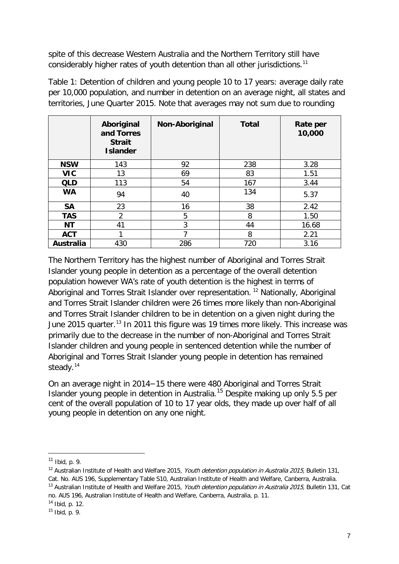spite of this decrease Western Australia and the Northern Territory still have considerably higher rates of youth detention than all other jurisdictions.<sup>[11](#page-5-9)</sup>

|            | Aboriginal<br>and Torres<br><b>Strait</b><br><b>Islander</b> | Non-Aboriginal | <b>Total</b> | Rate per<br>10,000 |
|------------|--------------------------------------------------------------|----------------|--------------|--------------------|
| <b>NSW</b> | 143                                                          | 92             | 238          | 3.28               |
| <b>VIC</b> | 13                                                           | 69             | 83           | 1.51               |
| <b>QLD</b> | 113                                                          | 54             | 167          | 3.44               |
| <b>WA</b>  | 94                                                           | 40             | 134          | 5.37               |
| <b>SA</b>  | 23                                                           | 16             | 38           | 2.42               |
| <b>TAS</b> | $\overline{2}$                                               | 5              | 8            | 1.50               |
| <b>NT</b>  | 41                                                           | 3              | 44           | 16.68              |
| <b>ACT</b> | 1                                                            | ┑              | 8            | 2.21               |
| Australia  | 430                                                          | 286            | 720          | 3.16               |

Table 1: Detention of children and young people 10 to 17 years: average daily rate per 10,000 population, and number in detention on an average night, all states and territories, June Quarter 2015. Note that averages may not sum due to rounding

The Northern Territory has the highest number of Aboriginal and Torres Strait Islander young people in detention as a percentage of the overall detention population however WA's rate of youth detention is the highest in terms of Aboriginal and Torres Strait Islander over representation.<sup>[12](#page-6-0)</sup> Nationally, Aboriginal and Torres Strait Islander children were 26 times more likely than non-Aboriginal and Torres Strait Islander children to be in detention on a given night during the June 2015 quarter.<sup>[13](#page-6-1)</sup> In 2011 this figure was 19 times more likely. This increase was primarily due to the decrease in the number of non-Aboriginal and Torres Strait Islander children and young people in sentenced detention while the number of Aboriginal and Torres Strait Islander young people in detention has remained steady.<sup>[14](#page-6-2)</sup>

On an average night in 2014−15 there were 480 Aboriginal and Torres Strait Islander young people in detention in Australia.[15](#page-6-3) Despite making up only 5.5 per cent of the overall population of 10 to 17 year olds, they made up over half of all young people in detention on any one night.

-

<span id="page-6-1"></span>no. AUS 196, Australian Institute of Health and Welfare, Canberra, Australia, p. 11.

<span id="page-6-4"></span><span id="page-6-2"></span> $14$  Ibid, p. 12.

 $11$  Ibid, p. 9.

<span id="page-6-0"></span><sup>&</sup>lt;sup>12</sup> Australian Institute of Health and Welfare 2015, Youth detention population in Australia 2015, Bulletin 131, Cat. No. AUS 196, Supplementary Table S10, Australian Institute of Health and Welfare, Canberra, Australia. <sup>13</sup> Australian Institute of Health and Welfare 2015. *Youth detention population in Australia 2015*, Bulletin 131, Cat

<span id="page-6-3"></span> $15$  Ibid, p. 9.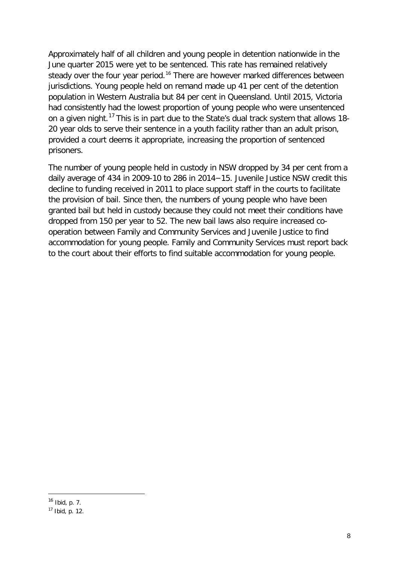Approximately half of all children and young people in detention nationwide in the June quarter 2015 were yet to be sentenced. This rate has remained relatively steady over the four year period.<sup>[16](#page-6-4)</sup> There are however marked differences between jurisdictions. Young people held on remand made up 41 per cent of the detention population in Western Australia but 84 per cent in Queensland. Until 2015, Victoria had consistently had the lowest proportion of young people who were unsentenced on a given night.<sup>[17](#page-7-0)</sup> This is in part due to the State's dual track system that allows 18-20 year olds to serve their sentence in a youth facility rather than an adult prison, provided a court deems it appropriate, increasing the proportion of sentenced prisoners.

The number of young people held in custody in NSW dropped by 34 per cent from a daily average of 434 in 2009-10 to 286 in 2014−15. Juvenile Justice NSW credit this decline to funding received in 2011 to place support staff in the courts to facilitate the provision of bail. Since then, the numbers of young people who have been granted bail but held in custody because they could not meet their conditions have dropped from 150 per year to 52. The new bail laws also require increased cooperation between Family and Community Services and Juvenile Justice to find accommodation for young people. Family and Community Services must report back to the court about their efforts to find suitable accommodation for young people.

<span id="page-7-1"></span><sup>16</sup> Ibid, p. 7.

<span id="page-7-0"></span><sup>17</sup> Ibid, p. 12.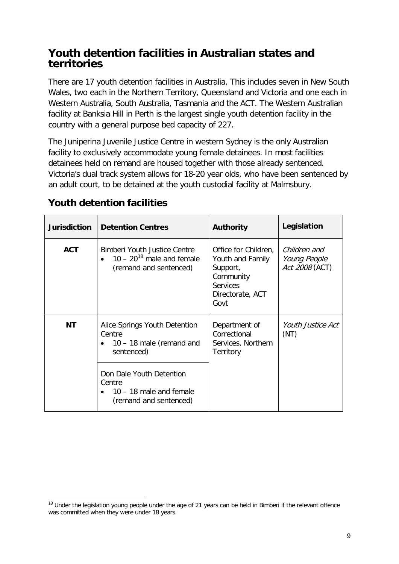### <span id="page-8-0"></span>**Youth detention facilities in Australian states and territories**

There are 17 youth detention facilities in Australia. This includes seven in New South Wales, two each in the Northern Territory, Queensland and Victoria and one each in Western Australia, South Australia, Tasmania and the ACT. The Western Australian facility at Banksia Hill in Perth is the largest single youth detention facility in the country with a general purpose bed capacity of 227.

The Juniperina Juvenile Justice Centre in western Sydney is the only Australian facility to exclusively accommodate young female detainees. In most facilities detainees held on remand are housed together with those already sentenced. Victoria's dual track system allows for 18-20 year olds, who have been sentenced by an adult court, to be detained at the youth custodial facility at Malmsbury.

| <b>Jurisdiction</b> | <b>Detention Centres</b>                                                                                        | <b>Authority</b>                                                                                                 | Legislation                                    |
|---------------------|-----------------------------------------------------------------------------------------------------------------|------------------------------------------------------------------------------------------------------------------|------------------------------------------------|
| <b>ACT</b>          | Bimberi Youth Justice Centre<br>$10 - 20^{18}$ male and female<br>(remand and sentenced)                        | Office for Children,<br>Youth and Family<br>Support,<br>Community<br><b>Services</b><br>Directorate, ACT<br>Govt | Children and<br>Young People<br>Act 2008 (ACT) |
| ΝT                  | Alice Springs Youth Detention<br>Centre<br>$10 - 18$ male (remand and<br>sentenced)<br>Don Dale Youth Detention | Department of<br>Correctional<br>Services, Northern<br>Territory                                                 | <i>Youth Justice Act</i><br>(NT)               |
|                     | Centre<br>10 – 18 male and female<br>(remand and sentenced)                                                     |                                                                                                                  |                                                |

## <span id="page-8-1"></span>**Youth detention facilities**

<span id="page-8-2"></span><sup>&</sup>lt;sup>18</sup> Under the legislation young people under the age of 21 years can be held in Bimberi if the relevant offence was committed when they were under 18 years.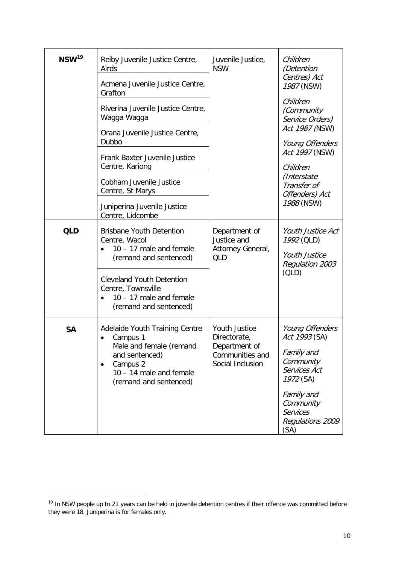| $NSW^{19}$                                                                                                            | Reiby Juvenile Justice Centre,<br>Airds<br>Acmena Juvenile Justice Centre,<br>Grafton                       | Juvenile Justice,<br><b>NSW</b>                                 | Children<br>(Detention<br>Centres) Act<br>1987 (NSW)<br>Children           |  |
|-----------------------------------------------------------------------------------------------------------------------|-------------------------------------------------------------------------------------------------------------|-----------------------------------------------------------------|----------------------------------------------------------------------------|--|
|                                                                                                                       | Riverina Juvenile Justice Centre,<br>Wagga Wagga                                                            |                                                                 | (Community<br>Service Orders)                                              |  |
|                                                                                                                       | Orana Juvenile Justice Centre,<br>Dubbo                                                                     |                                                                 | Act 1987 (NSW)<br>Young Offenders                                          |  |
|                                                                                                                       | Frank Baxter Juvenile Justice<br>Centre, Kariong                                                            |                                                                 | Act 1997 (NSW)<br>Children                                                 |  |
|                                                                                                                       | Cobham Juvenile Justice<br>Centre, St Marys                                                                 |                                                                 | (Interstate<br>Transfer of<br>Offenders) Act                               |  |
|                                                                                                                       | Juniperina Juvenile Justice<br>Centre, Lidcombe                                                             |                                                                 | 1988 (NSW)                                                                 |  |
| <b>QLD</b><br><b>Brisbane Youth Detention</b><br>Centre, Wacol<br>$10 - 17$ male and female<br>(remand and sentenced) |                                                                                                             | Department of<br>Justice and<br>Attorney General,<br><b>QLD</b> | Youth Justice Act<br>1992 (QLD)<br><b>Youth Justice</b><br>Regulation 2003 |  |
|                                                                                                                       | <b>Cleveland Youth Detention</b><br>Centre, Townsville<br>10 - 17 male and female<br>(remand and sentenced) |                                                                 | (OLD)                                                                      |  |
| Adelaide Youth Training Centre<br><b>SA</b><br>Campus 1<br>٠<br>Male and female (remand                               |                                                                                                             | Youth Justice<br>Directorate,<br>Department of                  | Young Offenders<br>Act 1993 (SA)                                           |  |
|                                                                                                                       | and sentenced)<br>Campus 2<br>$\bullet$<br>$10 - 14$ male and female<br>(remand and sentenced)              | Communities and<br>Social Inclusion                             | Family and<br>Community<br>Services Act<br>1972 (SA)                       |  |
|                                                                                                                       |                                                                                                             |                                                                 | Family and<br>Community<br><b>Services</b><br>Regulations 2009<br>(SA)     |  |

<span id="page-9-0"></span><sup>&</sup>lt;sup>19</sup> In NSW people up to 21 years can be held in juvenile detention centres if their offence was committed before they were 18. Juniperina is for females only.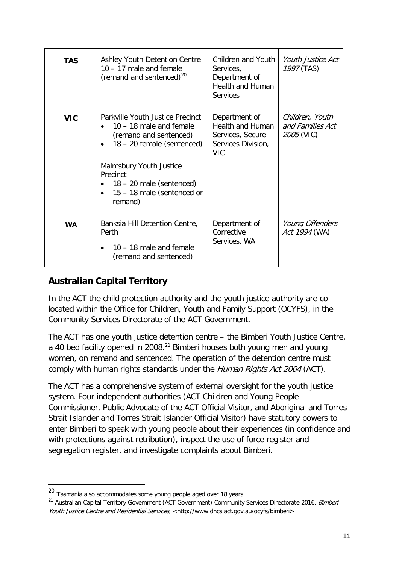| <b>TAS</b> | Ashley Youth Detention Centre<br>$10 - 17$ male and female<br>(remand and sentenced) <sup>20</sup>                                                                                                      | Children and Youth<br>Services,<br>Department of<br><b>Health and Human</b><br>Services          | Youth Justice Act<br>1997 (TAS)                          |
|------------|---------------------------------------------------------------------------------------------------------------------------------------------------------------------------------------------------------|--------------------------------------------------------------------------------------------------|----------------------------------------------------------|
| <b>VIC</b> | Parkville Youth Justice Precinct<br>$10 - 18$ male and female<br>(remand and sentenced)<br>18 - 20 female (sentenced)<br>$\bullet$<br>Malmsbury Youth Justice<br>Precinct<br>$18 - 20$ male (sentenced) | Department of<br><b>Health and Human</b><br>Services, Secure<br>Services Division,<br><b>VIC</b> | Children, Youth<br>and Families Act<br><i>2005</i> (VIC) |
|            | 15 – 18 male (sentenced or<br>$\bullet$<br>remand)                                                                                                                                                      |                                                                                                  |                                                          |
| <b>WA</b>  | Banksia Hill Detention Centre,<br>Perth<br>10 - 18 male and female<br>(remand and sentenced)                                                                                                            | Department of<br>Corrective<br>Services, WA                                                      | Young Offenders<br>Act 1994 (WA)                         |

#### <span id="page-10-0"></span>**Australian Capital Territory**

<span id="page-10-2"></span>-

In the ACT the child protection authority and the youth justice authority are colocated within the Office for Children, Youth and Family Support (OCYFS), in the Community Services Directorate of the ACT Government.

The ACT has one youth justice detention centre – the Bimberi Youth Justice Centre, a 40 bed facility opened in 2008.<sup>[21](#page-10-1)</sup> Bimberi houses both young men and young women, on remand and sentenced. The operation of the detention centre must comply with human rights standards under the Human Rights Act 2004 (ACT).

The ACT has a comprehensive system of external oversight for the youth justice system. Four independent authorities (ACT Children and Young People Commissioner, Public Advocate of the ACT Official Visitor, and Aboriginal and Torres Strait Islander and Torres Strait Islander Official Visitor) have statutory powers to enter Bimberi to speak with young people about their experiences (in confidence and with protections against retribution), inspect the use of force register and segregation register, and investigate complaints about Bimberi.

<sup>&</sup>lt;sup>20</sup> Tasmania also accommodates some young people aged over 18 years.

<span id="page-10-1"></span><sup>&</sup>lt;sup>21</sup> Australian Capital Territory Government (ACT Government) Community Services Directorate 2016, Bimberi Youth Justice Centre and Residential Services, [<http://www.dhcs.act.gov.au/ocyfs/bimberi>](http://www.dhcs.act.gov.au/ocyfs/bimberi)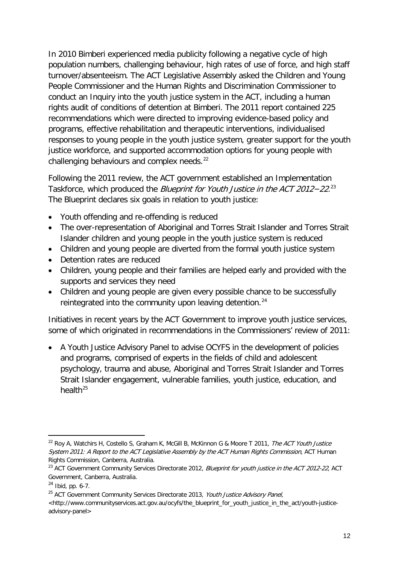In 2010 Bimberi experienced media publicity following a negative cycle of high population numbers, challenging behaviour, high rates of use of force, and high staff turnover/absenteeism. The ACT Legislative Assembly asked the Children and Young People Commissioner and the Human Rights and Discrimination Commissioner to conduct an Inquiry into the youth justice system in the ACT, including a human rights audit of conditions of detention at Bimberi. The 2011 report contained 225 recommendations which were directed to improving evidence-based policy and programs, effective rehabilitation and therapeutic interventions, individualised responses to young people in the youth justice system, greater support for the youth justice workforce, and supported accommodation options for young people with challenging behaviours and complex needs.<sup>[22](#page-10-2)</sup>

Following the 2011 review, the ACT government established an Implementation Taskforce, which produced the *Blueprint for Youth Justice in the ACT 2012-22*.<sup>[23](#page-11-0)</sup> The Blueprint declares six goals in relation to youth justice:

- Youth offending and re-offending is reduced
- The over-representation of Aboriginal and Torres Strait Islander and Torres Strait Islander children and young people in the youth justice system is reduced
- Children and young people are diverted from the formal youth justice system
- Detention rates are reduced
- Children, young people and their families are helped early and provided with the supports and services they need
- Children and young people are given every possible chance to be successfully reintegrated into the community upon leaving detention.<sup>[24](#page-11-1)</sup>

Initiatives in recent years by the ACT Government to improve youth justice services, some of which originated in recommendations in the Commissioners' review of 2011:

• A Youth Justice Advisory Panel to advise OCYFS in the development of policies and programs, comprised of experts in the fields of child and adolescent psychology, trauma and abuse, Aboriginal and Torres Strait Islander and Torres Strait Islander engagement, vulnerable families, youth justice, education, and health $^{25}$  $^{25}$  $^{25}$ 

<span id="page-11-3"></span><sup>-</sup><sup>22</sup> Roy A, Watchirs H, Costello S, Graham K, McGill B, McKinnon G & Moore T 2011, *The ACT Youth Justice* System 2011: A Report to the ACT Legislative Assembly by the ACT Human Rights Commission, ACT Human Rights Commission, Canberra, Australia.

<span id="page-11-0"></span><sup>&</sup>lt;sup>23</sup> ACT Government Community Services Directorate 2012, *Blueprint for youth justice in the ACT 2012-22*, ACT Government, Canberra, Australia.

<span id="page-11-1"></span> $24$  Ibid, pp. 6-7.

<span id="page-11-2"></span><sup>&</sup>lt;sup>25</sup> ACT Government Community Services Directorate 2013, Youth Justice Advisory Panel,

<sup>&</sup>lt;http://www.communityservices.act.gov.au/ocyfs/the\_blueprint\_for\_youth\_justice\_in\_the\_act/youth-justiceadvisory-panel>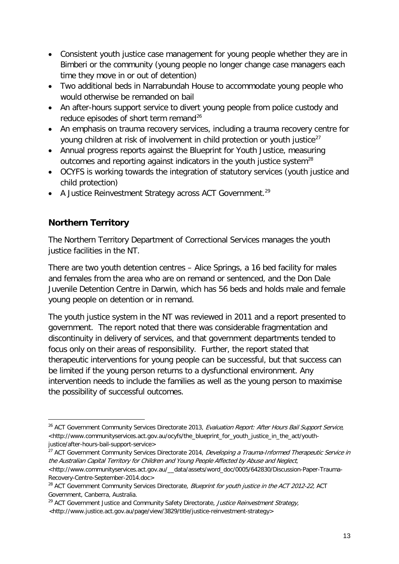- Consistent youth justice case management for young people whether they are in Bimberi or the community (young people no longer change case managers each time they move in or out of detention)
- Two additional beds in Narrabundah House to accommodate young people who would otherwise be remanded on bail
- An after-hours support service to divert young people from police custody and reduce episodes of short term remand<sup>[26](#page-11-3)</sup>
- An emphasis on trauma recovery services, including a trauma recovery centre for young children at risk of involvement in child protection or youth justice<sup>[27](#page-12-1)</sup>
- Annual progress reports against the Blueprint for Youth Justice, measuring outcomes and reporting against indicators in the youth justice system<sup>[28](#page-12-2)</sup>
- OCYFS is working towards the integration of statutory services (youth justice and child protection)
- A Justice Reinvestment Strategy across ACT Government.<sup>[29](#page-12-3)</sup>

#### <span id="page-12-0"></span>**Northern Territory**

-

The Northern Territory Department of Correctional Services manages the youth justice facilities in the NT.

There are two youth detention centres – Alice Springs, a 16 bed facility for males and females from the area who are on remand or sentenced, and the Don Dale Juvenile Detention Centre in Darwin, which has 56 beds and holds male and female young people on detention or in remand.

The youth justice system in the NT was reviewed in 2011 and a report presented to government. The report noted that there was considerable fragmentation and discontinuity in delivery of services, and that government departments tended to focus only on their areas of responsibility. Further, the report stated that therapeutic interventions for young people can be successful, but that success can be limited if the young person returns to a dysfunctional environment. Any intervention needs to include the families as well as the young person to maximise the possibility of successful outcomes.

<span id="page-12-4"></span><sup>&</sup>lt;sup>26</sup> ACT Government Community Services Directorate 2013, Evaluation Report: After Hours Bail Support Service, <http://www.communityservices.act.gov.au/ocyfs/the\_blueprint\_for\_youth\_justice\_in\_the\_act/youthjustice/after-hours-bail-support-service>

<span id="page-12-1"></span><sup>&</sup>lt;sup>27</sup> ACT Government Community Services Directorate 2014, *Developing a Trauma-Informed Therapeutic Service in* the Australian Capital Territory for Children and Young People Affected by Abuse and Neglect, <http:/[/www.communityservices.act.gov.au/\\_\\_data/assets/word\\_doc/0005/642830/Discussion-Paper-Trauma-](http://www.communityservices.act.gov.au/__data/assets/word_doc/0005/642830/Discussion-Paper-Trauma-Recovery-Centre-September-2014.doc)[Recovery-Centre-September-2014.doc>](http://www.communityservices.act.gov.au/__data/assets/word_doc/0005/642830/Discussion-Paper-Trauma-Recovery-Centre-September-2014.doc)

<span id="page-12-2"></span><sup>&</sup>lt;sup>28</sup> ACT Government Community Services Directorate, Blueprint for youth justice in the ACT 2012-22, ACT Government, Canberra, Australia.

<span id="page-12-3"></span><sup>&</sup>lt;sup>29</sup> ACT Government Justice and Community Safety Directorate, Justice Reinvestment Strategy, <http://www.justice.act.gov.au/page/view/3829/title/justice-reinvestment-strategy>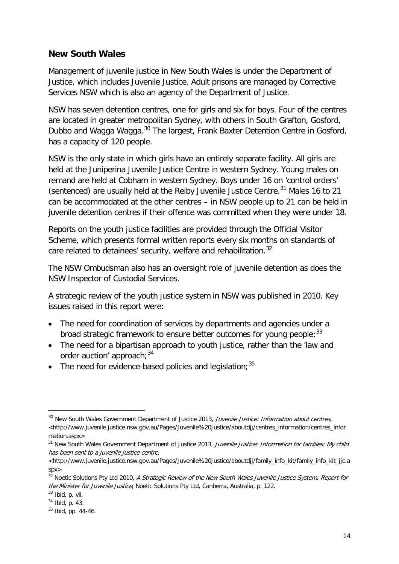#### <span id="page-13-0"></span>**New South Wales**

Management of juvenile justice in New South Wales is under the Department of Justice, which includes Juvenile Justice. Adult prisons are managed by Corrective Services NSW which is also an agency of the Department of Justice.

NSW has seven detention centres, one for girls and six for boys. Four of the centres are located in greater metropolitan Sydney, with others in South Grafton, Gosford, Dubbo and Wagga Wagga.<sup>[30](#page-12-4)</sup> The largest, Frank Baxter Detention Centre in Gosford, has a capacity of 120 people.

NSW is the only state in which girls have an entirely separate facility. All girls are held at the Juniperina Juvenile Justice Centre in western Sydney. Young males on remand are held at Cobham in western Sydney. Boys under 16 on 'control orders' (sentenced) are usually held at the Reiby Juvenile Justice Centre.<sup>[31](#page-13-1)</sup> Males 16 to 21 can be accommodated at the other centres – in NSW people up to 21 can be held in juvenile detention centres if their offence was committed when they were under 18.

Reports on the youth justice facilities are provided through the Official Visitor Scheme, which presents formal written reports every six months on standards of care related to detainees' security, welfare and rehabilitation.<sup>[32](#page-13-2)</sup>

The NSW Ombudsman also has an oversight role of juvenile detention as does the NSW Inspector of Custodial Services.

A strategic review of the youth justice system in NSW was published in 2010. Key issues raised in this report were:

- The need for coordination of services by departments and agencies under a broad strategic framework to ensure better outcomes for young people;  $33$
- The need for a bipartisan approach to youth justice, rather than the 'law and order auction' approach;  $34$
- The need for evidence-based policies and legislation:  $35$

<sup>&</sup>lt;sup>30</sup> New South Wales Government Department of Justice 2013, Juvenile Justice: Information about centres, <http://www.juvenile.justice.nsw.gov.au/Pages/Juvenile%20Justice/aboutdjj/centres\_information/centres\_infor mation.aspx>

<span id="page-13-1"></span><sup>&</sup>lt;sup>31</sup> New South Wales Government Department of Justice 2013, Juvenile Justice: Information for families: My child has been sent to a juvenile justice centre,

<sup>&</sup>lt;http://www.juvenile.justice.nsw.gov.au/Pages/Juvenile%20Justice/aboutdjj/family\_info\_kit/family\_info\_kit\_jjc.a spx>

<span id="page-13-6"></span><span id="page-13-2"></span><sup>&</sup>lt;sup>32</sup> Noetic Solutions Pty Ltd 2010, A Strategic Review of the New South Wales Juvenile Justice System: Report for the Minister for Juvenile Justice, Noetic Solutions Pty Ltd, Canberra, Australia, p. 122.

<span id="page-13-3"></span> $33$  Ibid, p. vii.

<span id="page-13-4"></span><sup>34</sup> Ibid, p. 43.

<span id="page-13-5"></span> $35$  Ibid, pp. 44-46.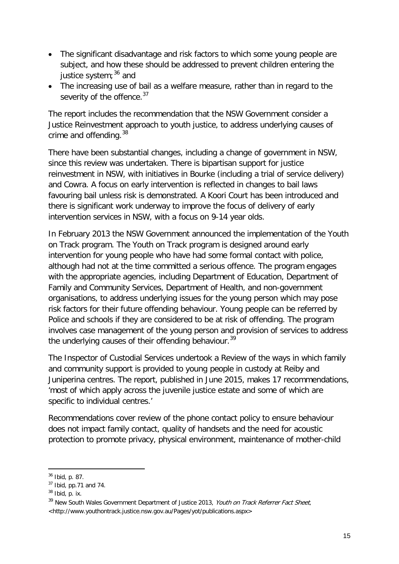- The significant disadvantage and risk factors to which some young people are subject, and how these should be addressed to prevent children entering the justice system; $36$  and
- The increasing use of bail as a welfare measure, rather than in regard to the severity of the offence. $37$

The report includes the recommendation that the NSW Government consider a Justice Reinvestment approach to youth justice, to address underlying causes of crime and offending.<sup>[38](#page-14-1)</sup>

There have been substantial changes, including a change of government in NSW, since this review was undertaken. There is bipartisan support for justice reinvestment in NSW, with initiatives in Bourke (including a trial of service delivery) and Cowra. A focus on early intervention is reflected in changes to bail laws favouring bail unless risk is demonstrated. A Koori Court has been introduced and there is significant work underway to improve the focus of delivery of early intervention services in NSW, with a focus on 9-14 year olds.

In February 2013 the NSW Government announced the implementation of the Youth on Track program. The Youth on Track program is designed around early intervention for young people who have had some formal contact with police, although had not at the time committed a serious offence. The program engages with the appropriate agencies, including Department of Education, Department of Family and Community Services, Department of Health, and non-government organisations, to address underlying issues for the young person which may pose risk factors for their future offending behaviour. Young people can be referred by Police and schools if they are considered to be at risk of offending. The program involves case management of the young person and provision of services to address the underlying causes of their offending behaviour.<sup>[39](#page-14-2)</sup>

The Inspector of Custodial Services undertook a Review of the ways in which family and community support is provided to young people in custody at Reiby and Juniperina centres. The report, published in June 2015, makes 17 recommendations, 'most of which apply across the juvenile justice estate and some of which are specific to individual centres.'

Recommendations cover review of the phone contact policy to ensure behaviour does not impact family contact, quality of handsets and the need for acoustic protection to promote privacy, physical environment, maintenance of mother-child

<sup>36</sup> Ibid, p. 87.

<span id="page-14-0"></span><sup>37</sup> Ibid, pp.71 and 74.

<span id="page-14-1"></span> $38$  Ibid, p. ix.

<span id="page-14-2"></span><sup>&</sup>lt;sup>39</sup> New South Wales Government Department of Justice 2013, Youth on Track Referrer Fact Sheet, <http://www.youthontrack.justice.nsw.gov.au/Pages/yot/publications.aspx>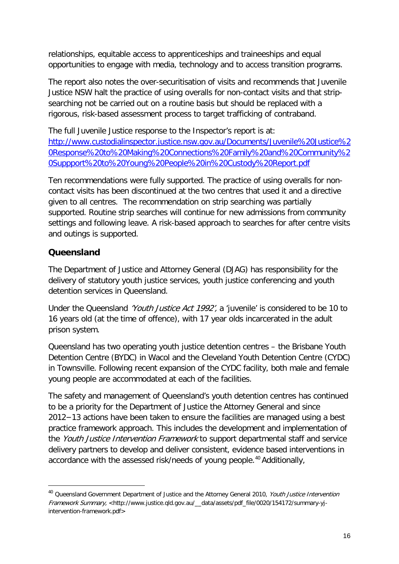relationships, equitable access to apprenticeships and traineeships and equal opportunities to engage with media, technology and to access transition programs.

The report also notes the over-securitisation of visits and recommends that Juvenile Justice NSW halt the practice of using overalls for non-contact visits and that stripsearching not be carried out on a routine basis but should be replaced with a rigorous, risk-based assessment process to target trafficking of contraband.

The full Juvenile Justice response to the Inspector's report is at: [http://www.custodialinspector.justice.nsw.gov.au/Documents/Juvenile%20Justice%2](http://www.custodialinspector.justice.nsw.gov.au/Documents/Juvenile%20Justice%20Response%20to%20Making%20Connections%20Family%20and%20Community%20Suppport%20to%20Young%20People%20in%20Custody%20Report.pdf) [0Response%20to%20Making%20Connections%20Family%20and%20Community%2](http://www.custodialinspector.justice.nsw.gov.au/Documents/Juvenile%20Justice%20Response%20to%20Making%20Connections%20Family%20and%20Community%20Suppport%20to%20Young%20People%20in%20Custody%20Report.pdf) [0Suppport%20to%20Young%20People%20in%20Custody%20Report.pdf](http://www.custodialinspector.justice.nsw.gov.au/Documents/Juvenile%20Justice%20Response%20to%20Making%20Connections%20Family%20and%20Community%20Suppport%20to%20Young%20People%20in%20Custody%20Report.pdf)

Ten recommendations were fully supported. The practice of using overalls for noncontact visits has been discontinued at the two centres that used it and a directive given to all centres. The recommendation on strip searching was partially supported. Routine strip searches will continue for new admissions from community settings and following leave. A risk-based approach to searches for after centre visits and outings is supported.

#### <span id="page-15-0"></span>**Queensland**

<span id="page-15-1"></span>-

The Department of Justice and Attorney General (DJAG) has responsibility for the delivery of statutory youth justice services, youth justice conferencing and youth detention services in Queensland.

Under the Queensland 'Youth Justice Act 1992', a 'juvenile' is considered to be 10 to 16 years old (at the time of offence), with 17 year olds incarcerated in the adult prison system.

Queensland has two operating youth justice detention centres – the Brisbane Youth Detention Centre (BYDC) in Wacol and the Cleveland Youth Detention Centre (CYDC) in Townsville. Following recent expansion of the CYDC facility, both male and female young people are accommodated at each of the facilities.

The safety and management of Queensland's youth detention centres has continued to be a priority for the Department of Justice the Attorney General and since 2012−13 actions have been taken to ensure the facilities are managed using a best practice framework approach. This includes the development and implementation of the Youth Justice Intervention Framework to support departmental staff and service delivery partners to develop and deliver consistent, evidence based interventions in accordance with the assessed risk/needs of young people.<sup>[40](#page-14-1)</sup> Additionally,

<sup>&</sup>lt;sup>40</sup> Queensland Government Department of Justice and the Attorney General 2010, Youth Justice Intervention Framework Summary, <http://www.justice.qld.gov.au/\_data/assets/pdf\_file/0020/154172/summary-yjintervention-framework.pdf>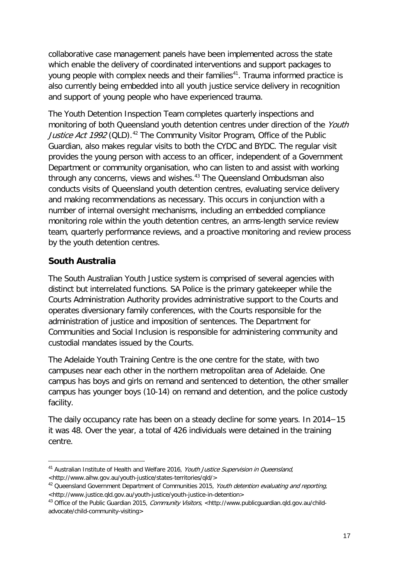collaborative case management panels have been implemented across the state which enable the delivery of coordinated interventions and support packages to young people with complex needs and their families<sup>[41](#page-15-1)</sup>. Trauma informed practice is also currently being embedded into all youth justice service delivery in recognition and support of young people who have experienced trauma.

The Youth Detention Inspection Team completes quarterly inspections and monitoring of both Queensland youth detention centres under direction of the Youth *Justice Act 1992* (QLD).<sup>[42](#page-16-1)</sup> The Community Visitor Program, Office of the Public Guardian, also makes regular visits to both the CYDC and BYDC. The regular visit provides the young person with access to an officer, independent of a Government Department or community organisation, who can listen to and assist with working through any concerns, views and wishes.<sup>[43](#page-16-2)</sup> The Queensland Ombudsman also conducts visits of Queensland youth detention centres, evaluating service delivery and making recommendations as necessary. This occurs in conjunction with a number of internal oversight mechanisms, including an embedded compliance monitoring role within the youth detention centres, an arms-length service review team, quarterly performance reviews, and a proactive monitoring and review process by the youth detention centres.

#### <span id="page-16-0"></span>**South Australia**

The South Australian Youth Justice system is comprised of several agencies with distinct but interrelated functions. SA Police is the primary gatekeeper while the Courts Administration Authority provides administrative support to the Courts and operates diversionary family conferences, with the Courts responsible for the administration of justice and imposition of sentences. The Department for Communities and Social Inclusion is responsible for administering community and custodial mandates issued by the Courts.

The Adelaide Youth Training Centre is the one centre for the state, with two campuses near each other in the northern metropolitan area of Adelaide. One campus has boys and girls on remand and sentenced to detention, the other smaller campus has younger boys (10-14) on remand and detention, and the police custody facility.

The daily occupancy rate has been on a steady decline for some years. In 2014−15 it was 48. Over the year, a total of 426 individuals were detained in the training centre.

<sup>-</sup><sup>41</sup> Australian Institute of Health and Welfare 2016, Youth Justice Supervision in Queensland, [<http://www.aihw.gov.au/youth-justice/states-territories/qld/>](http://www.aihw.gov.au/youth-justice/states-territories/qld/)

<span id="page-16-1"></span><sup>&</sup>lt;sup>42</sup> Queensland Government Department of Communities 2015, Youth detention evaluating and reporting, [<http://www.justice.qld.gov.au/youth-justice/youth-justice-in-detention>](http://www.justice.qld.gov.au/youth-justice/youth-justice-in-detention)

<span id="page-16-3"></span><span id="page-16-2"></span><sup>&</sup>lt;sup>43</sup> Office of the Public Guardian 2015, Community Visitors, <http://www.publicquardian.qld.gov.au/child[advocate/child-community-visiting>](http://www.publicguardian.qld.gov.au/child-advocate/child-community-visiting)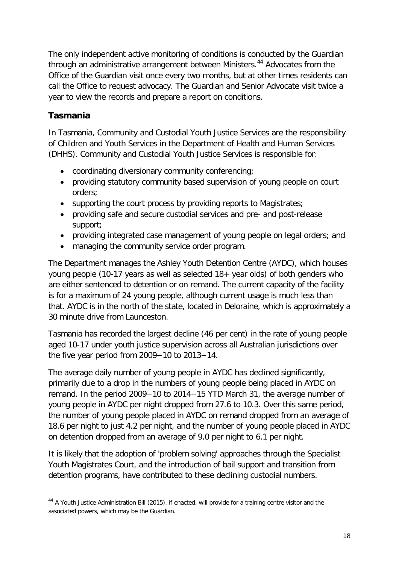The only independent active monitoring of conditions is conducted by the Guardian through an administrative arrangement between Ministers.<sup>[44](#page-16-3)</sup> Advocates from the Office of the Guardian visit once every two months, but at other times residents can call the Office to request advocacy. The Guardian and Senior Advocate visit twice a year to view the records and prepare a report on conditions.

#### <span id="page-17-0"></span>**Tasmania**

-

In Tasmania, Community and Custodial Youth Justice Services are the responsibility of Children and Youth Services in the Department of Health and Human Services (DHHS). Community and Custodial Youth Justice Services is responsible for:

- coordinating diversionary community conferencing;
- providing statutory community based supervision of young people on court orders;
- supporting the court process by providing reports to Magistrates;
- providing safe and secure custodial services and pre- and post-release support;
- providing integrated case management of young people on legal orders; and
- managing the community service order program.

The Department manages the Ashley Youth Detention Centre (AYDC), which houses young people (10-17 years as well as selected 18+ year olds) of both genders who are either sentenced to detention or on remand. The current capacity of the facility is for a maximum of 24 young people, although current usage is much less than that. AYDC is in the north of the state, located in Deloraine, which is approximately a 30 minute drive from Launceston.

Tasmania has recorded the largest decline (46 per cent) in the rate of young people aged 10-17 under youth justice supervision across all Australian jurisdictions over the five year period from 2009−10 to 2013−14.

The average daily number of young people in AYDC has declined significantly, primarily due to a drop in the numbers of young people being placed in AYDC on remand. In the period 2009−10 to 2014−15 YTD March 31, the average number of young people in AYDC per night dropped from 27.6 to 10.3. Over this same period, the number of young people placed in AYDC on remand dropped from an average of 18.6 per night to just 4.2 per night, and the number of young people placed in AYDC on detention dropped from an average of 9.0 per night to 6.1 per night.

It is likely that the adoption of 'problem solving' approaches through the Specialist Youth Magistrates Court, and the introduction of bail support and transition from detention programs, have contributed to these declining custodial numbers.

<span id="page-17-1"></span><sup>44</sup> A Youth Justice Administration Bill (2015), if enacted, will provide for a training centre visitor and the associated powers, which may be the Guardian.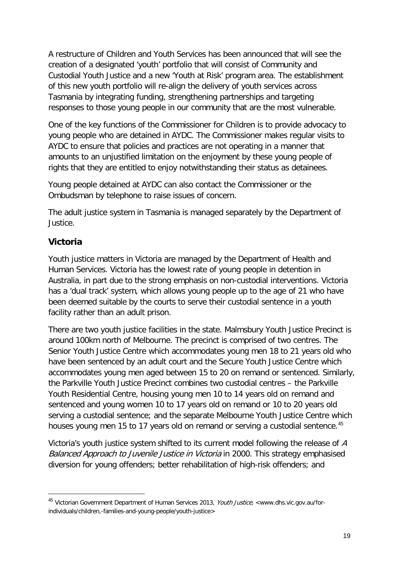A restructure of Children and Youth Services has been announced that will see the creation of a designated 'youth' portfolio that will consist of Community and Custodial Youth Justice and a new 'Youth at Risk' program area. The establishment of this new youth portfolio will re-align the delivery of youth services across Tasmania by integrating funding, strengthening partnerships and targeting responses to those young people in our community that are the most vulnerable.

One of the key functions of the Commissioner for Children is to provide advocacy to young people who are detained in AYDC. The Commissioner makes regular visits to AYDC to ensure that policies and practices are not operating in a manner that amounts to an unjustified limitation on the enjoyment by these young people of rights that they are entitled to enjoy notwithstanding their status as detainees.

Young people detained at AYDC can also contact the Commissioner or the Ombudsman by telephone to raise issues of concern.

The adult justice system in Tasmania is managed separately by the Department of Justice.

#### <span id="page-18-0"></span>**Victoria**

-

Youth justice matters in Victoria are managed by the Department of Health and Human Services. Victoria has the lowest rate of young people in detention in Australia, in part due to the strong emphasis on non-custodial interventions. Victoria has a 'dual track' system, which allows young people up to the age of 21 who have been deemed suitable by the courts to serve their custodial sentence in a youth facility rather than an adult prison.

There are two youth justice facilities in the state. Malmsbury Youth Justice Precinct is around 100km north of Melbourne. The precinct is comprised of two centres. The Senior Youth Justice Centre which accommodates young men 18 to 21 years old who have been sentenced by an adult court and the Secure Youth Justice Centre which accommodates young men aged between 15 to 20 on remand or sentenced. Similarly, the Parkville Youth Justice Precinct combines two custodial centres – the Parkville Youth Residential Centre, housing young men 10 to 14 years old on remand and sentenced and young women 10 to 17 years old on remand or 10 to 20 years old serving a custodial sentence; and the separate Melbourne Youth Justice Centre which houses young men 15 to 17 years old on remand or serving a custodial sentence.<sup>[45](#page-17-1)</sup>

<span id="page-18-1"></span>Victoria's youth justice system shifted to its current model following the release of A Balanced Approach to Juvenile Justice in Victoria in 2000. This strategy emphasised diversion for young offenders; better rehabilitation of high-risk offenders; and

<sup>45</sup> Victorian Government Department of Human Services 2013, Youth Justice, [<www.dhs.vic.gov.au/for](http://www.dhs.vic.gov.au/for-individuals/children,-families-and-young-people/youth-justice)[individuals/children,-families-and-young-people/youth-justice>](http://www.dhs.vic.gov.au/for-individuals/children,-families-and-young-people/youth-justice)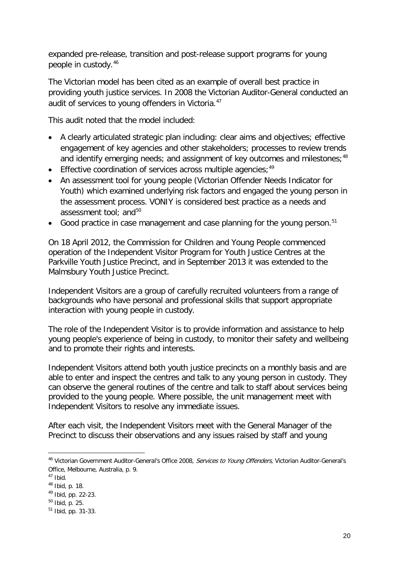expanded pre-release, transition and post-release support programs for young people in custody.[46](#page-18-1)

The Victorian model has been cited as an example of overall best practice in providing youth justice services. In 2008 the Victorian Auditor-General conducted an audit of services to young offenders in Victoria.<sup>[47](#page-19-0)</sup>

This audit noted that the model included:

- A clearly articulated strategic plan including: clear aims and objectives; effective engagement of key agencies and other stakeholders; processes to review trends and identify emerging needs; and assignment of key outcomes and milestones;<sup>[48](#page-19-1)</sup>
- Effective coordination of services across multiple agencies;  $49$
- An assessment tool for young people (Victorian Offender Needs Indicator for Youth) which examined underlying risk factors and engaged the young person in the assessment process. VONIY is considered best practice as a needs and assessment tool: and<sup>[50](#page-19-3)</sup>
- Good practice in case management and case planning for the young person.<sup>[51](#page-19-4)</sup>

On 18 April 2012, the Commission for Children and Young People commenced operation of the Independent Visitor Program for Youth Justice Centres at the Parkville Youth Justice Precinct, and in September 2013 it was extended to the Malmsbury Youth Justice Precinct.

Independent Visitors are a group of carefully recruited volunteers from a range of backgrounds who have personal and professional skills that support appropriate interaction with young people in custody.

The role of the Independent Visitor is to provide information and assistance to help young people's experience of being in custody, to monitor their safety and wellbeing and to promote their rights and interests.

Independent Visitors attend both youth justice precincts on a monthly basis and are able to enter and inspect the centres and talk to any young person in custody. They can observe the general routines of the centre and talk to staff about services being provided to the young people. Where possible, the unit management meet with Independent Visitors to resolve any immediate issues.

<span id="page-19-5"></span>After each visit, the Independent Visitors meet with the General Manager of the Precinct to discuss their observations and any issues raised by staff and young

<sup>&</sup>lt;sup>46</sup> Victorian Government Auditor-General's Office 2008, Services to Young Offenders, Victorian Auditor-General's Office, Melbourne, Australia, p. 9.

<span id="page-19-0"></span> $47$  Ibid.

<span id="page-19-1"></span><sup>48</sup> Ibid, p. 18.

<span id="page-19-2"></span><sup>49</sup> Ibid, pp. 22-23.

<span id="page-19-3"></span><sup>50</sup> Ibid, p. 25.

<span id="page-19-4"></span><sup>51</sup> Ibid, pp. 31-33.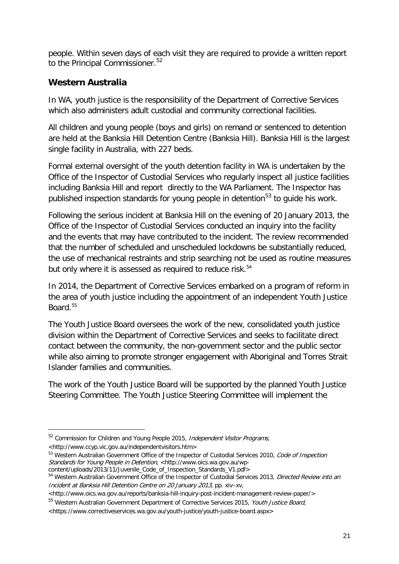people. Within seven days of each visit they are required to provide a written report to the Principal Commissioner.<sup>[52](#page-19-5)</sup>

#### <span id="page-20-0"></span>**Western Australia**

In WA, youth justice is the responsibility of the Department of Corrective Services which also administers adult custodial and community correctional facilities.

All children and young people (boys and girls) on remand or sentenced to detention are held at the Banksia Hill Detention Centre (Banksia Hill). Banksia Hill is the largest single facility in Australia, with 227 beds.

Formal external oversight of the youth detention facility in WA is undertaken by the Office of the Inspector of Custodial Services who regularly inspect all justice facilities including Banksia Hill and report directly to the WA Parliament. The Inspector has published inspection standards for young people in detention<sup>[53](#page-20-1)</sup> to quide his work.

Following the serious incident at Banksia Hill on the evening of 20 January 2013, the Office of the Inspector of Custodial Services conducted an inquiry into the facility and the events that may have contributed to the incident. The review recommended that the number of scheduled and unscheduled lockdowns be substantially reduced, the use of mechanical restraints and strip searching not be used as routine measures but only where it is assessed as required to reduce risk.<sup>[54](#page-20-2)</sup>

In 2014, the Department of Corrective Services embarked on a program of reform in the area of youth justice including the appointment of an independent Youth Justice Board.[55](#page-20-3)

The Youth Justice Board oversees the work of the new, consolidated youth justice division within the Department of Corrective Services and seeks to facilitate direct contact between the community, the non-government sector and the public sector while also aiming to promote stronger engagement with Aboriginal and Torres Strait Islander families and communities.

The work of the Youth Justice Board will be supported by the planned Youth Justice Steering Committee. The Youth Justice Steering Committee will implement the

-

content/uploads/2013/11/Juvenile\_Code\_of\_Inspection\_Standards\_V1.pdf>

<sup>&</sup>lt;sup>52</sup> Commission for Children and Young People 2015, *Independent Visitor Programs*,

<sup>&</sup>lt;http://www.ccyp.vic.gov.au/independentvisitors.htm>

<span id="page-20-1"></span><sup>53</sup> Western Australian Government Office of the Inspector of Custodial Services 2010, Code of Inspection Standards for Young People in Detention, <http://www.oics.wa.gov.au/wp-

<span id="page-20-2"></span><sup>&</sup>lt;sup>54</sup> Western Australian Government Office of the Inspector of Custodial Services 2013, Directed Review into an Incident at Banksia Hill Detention Centre on 20 January 2013, pp. xiv–xv,

<sup>&</sup>lt;http://www.oics.wa.gov.au/reports/banksia-hill-inquiry-post-incident-management-review-paper/>

<span id="page-20-3"></span><sup>&</sup>lt;sup>55</sup> Western Australian Government Department of Corrective Services 2015, Youth Justice Board,

<span id="page-20-4"></span><sup>&</sup>lt;https://www.correctiveservices.wa.gov.au/youth-justice/youth-justice-board.aspx>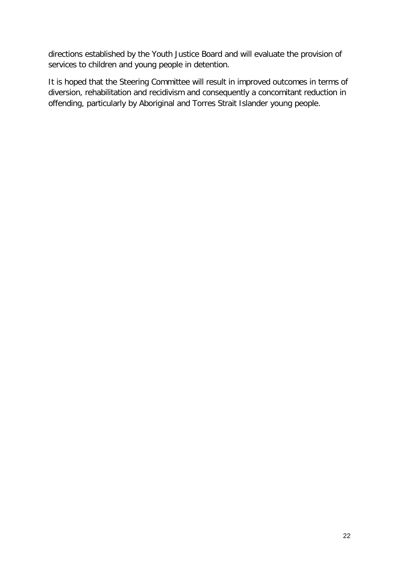directions established by the Youth Justice Board and will evaluate the provision of services to children and young people in detention.

It is hoped that the Steering Committee will result in improved outcomes in terms of diversion, rehabilitation and recidivism and consequently a concomitant reduction in offending, particularly by Aboriginal and Torres Strait Islander young people.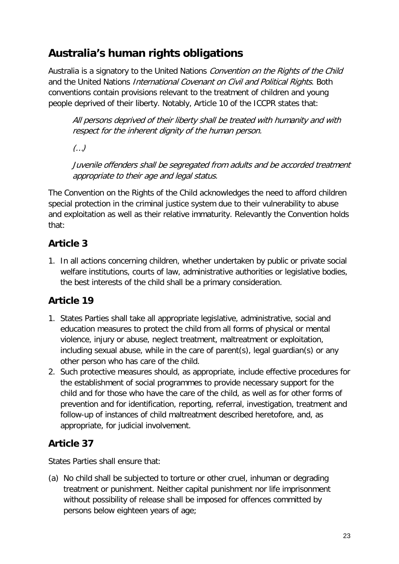# <span id="page-22-0"></span>**Australia's human rights obligations**

Australia is a signatory to the United Nations Convention on the Rights of the Child and the United Nations International Covenant on Civil and Political Rights. Both conventions contain provisions relevant to the treatment of children and young people deprived of their liberty. Notably, Article 10 of the ICCPR states that:

All persons deprived of their liberty shall be treated with humanity and with respect for the inherent dignity of the human person.

(…)

Juvenile offenders shall be segregated from adults and be accorded treatment appropriate to their age and legal status.

The Convention on the Rights of the Child acknowledges the need to afford children special protection in the criminal justice system due to their vulnerability to abuse and exploitation as well as their relative immaturity. Relevantly the Convention holds that:

## <span id="page-22-1"></span>**Article 3**

1. In all actions concerning children, whether undertaken by public or private social welfare institutions, courts of law, administrative authorities or legislative bodies, the best interests of the child shall be a primary consideration.

## <span id="page-22-2"></span>**Article 19**

- 1. States Parties shall take all appropriate legislative, administrative, social and education measures to protect the child from all forms of physical or mental violence, injury or abuse, neglect treatment, maltreatment or exploitation, including sexual abuse, while in the care of parent(s), legal guardian(s) or any other person who has care of the child.
- 2. Such protective measures should, as appropriate, include effective procedures for the establishment of social programmes to provide necessary support for the child and for those who have the care of the child, as well as for other forms of prevention and for identification, reporting, referral, investigation, treatment and follow-up of instances of child maltreatment described heretofore, and, as appropriate, for judicial involvement.

## <span id="page-22-3"></span>**Article 37**

States Parties shall ensure that:

(a) No child shall be subjected to torture or other cruel, inhuman or degrading treatment or punishment. Neither capital punishment nor life imprisonment without possibility of release shall be imposed for offences committed by persons below eighteen years of age;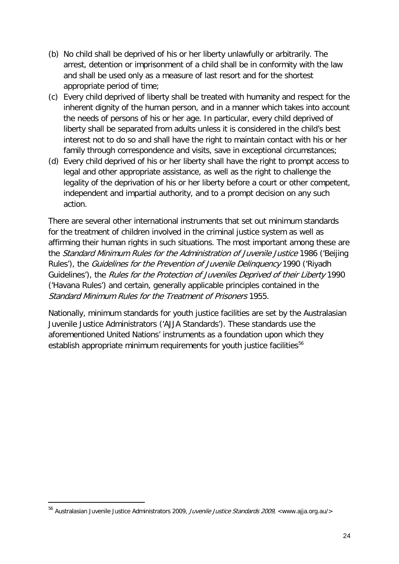- (b) No child shall be deprived of his or her liberty unlawfully or arbitrarily. The arrest, detention or imprisonment of a child shall be in conformity with the law and shall be used only as a measure of last resort and for the shortest appropriate period of time;
- (c) Every child deprived of liberty shall be treated with humanity and respect for the inherent dignity of the human person, and in a manner which takes into account the needs of persons of his or her age. In particular, every child deprived of liberty shall be separated from adults unless it is considered in the child's best interest not to do so and shall have the right to maintain contact with his or her family through correspondence and visits, save in exceptional circumstances;
- (d) Every child deprived of his or her liberty shall have the right to prompt access to legal and other appropriate assistance, as well as the right to challenge the legality of the deprivation of his or her liberty before a court or other competent, independent and impartial authority, and to a prompt decision on any such action.

There are several other international instruments that set out minimum standards for the treatment of children involved in the criminal justice system as well as affirming their human rights in such situations. The most important among these are the Standard Minimum Rules for the Administration of Juvenile Justice 1986 ('Beijing Rules'), the Guidelines for the Prevention of Juvenile Delinquency 1990 ('Riyadh Guidelines'), the Rules for the Protection of Juveniles Deprived of their Liberty 1990 ('Havana Rules') and certain, generally applicable principles contained in the Standard Minimum Rules for the Treatment of Prisoners 1955.

Nationally, minimum standards for youth justice facilities are set by the Australasian Juvenile Justice Administrators ('AJJA Standards'). These standards use the aforementioned United Nations' instruments as a foundation upon which they establish appropriate minimum requirements for youth justice facilities<sup>[56](#page-20-4)</sup>

<span id="page-23-0"></span><sup>56</sup> Australasian Juvenile Justice Administrators 2009, Juvenile Justice Standards 2009, <www.ajja.org.au/>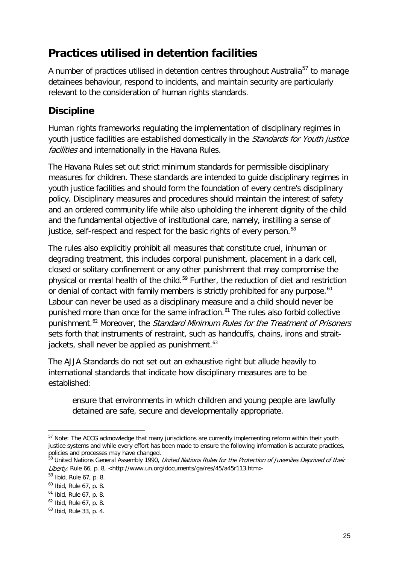# <span id="page-24-0"></span>**Practices utilised in detention facilities**

A number of practices utilised in detention centres throughout Australia<sup>[57](#page-23-0)</sup> to manage detainees behaviour, respond to incidents, and maintain security are particularly relevant to the consideration of human rights standards.

## <span id="page-24-1"></span>**Discipline**

Human rights frameworks regulating the implementation of disciplinary regimes in youth justice facilities are established domestically in the Standards for Youth justice facilities and internationally in the Havana Rules.

The Havana Rules set out strict minimum standards for permissible disciplinary measures for children. These standards are intended to guide disciplinary regimes in youth justice facilities and should form the foundation of every centre's disciplinary policy. Disciplinary measures and procedures should maintain the interest of safety and an ordered community life while also upholding the inherent dignity of the child and the fundamental objective of institutional care, namely, instilling a sense of justice, self-respect and respect for the basic rights of every person.<sup>[58](#page-24-2)</sup>

The rules also explicitly prohibit all measures that constitute cruel, inhuman or degrading treatment, this includes corporal punishment, placement in a dark cell, closed or solitary confinement or any other punishment that may compromise the physical or mental health of the child.<sup>[59](#page-24-3)</sup> Further, the reduction of diet and restriction or denial of contact with family members is strictly prohibited for any purpose.<sup>[60](#page-24-4)</sup> Labour can never be used as a disciplinary measure and a child should never be punished more than once for the same infraction.<sup>[61](#page-24-5)</sup> The rules also forbid collective punishment.<sup>[62](#page-24-6)</sup> Moreover, the *Standard Minimum Rules for the Treatment of Prisoners* sets forth that instruments of restraint, such as handcuffs, chains, irons and straitjackets, shall never be applied as punishment. $63$ 

The AJJA Standards do not set out an exhaustive right but allude heavily to international standards that indicate how disciplinary measures are to be established:

ensure that environments in which children and young people are lawfully detained are safe, secure and developmentally appropriate.

<sup>-</sup><sup>57</sup> Note: The ACCG acknowledge that many jurisdictions are currently implementing reform within their youth justice systems and while every effort has been made to ensure the following information is accurate practices, policies and processes may have changed.

<span id="page-24-2"></span><sup>&</sup>lt;sup>58</sup> United Nations General Assembly 1990, *United Nations Rules for the Protection of Juveniles Deprived of their* Liberty, Rule 66, p. 8, <http://www.un.org/documents/ga/res/45/a45r113.htm>

<span id="page-24-8"></span><span id="page-24-3"></span><sup>59</sup> Ibid, Rule 67, p. 8.

<span id="page-24-4"></span><sup>60</sup> Ibid, Rule 67, p. 8.

<span id="page-24-5"></span> $61$  Ibid, Rule 67, p. 8.

<span id="page-24-6"></span><sup>62</sup> Ibid, Rule 67, p. 8.

<span id="page-24-7"></span> $63$  Ibid, Rule 33, p. 4.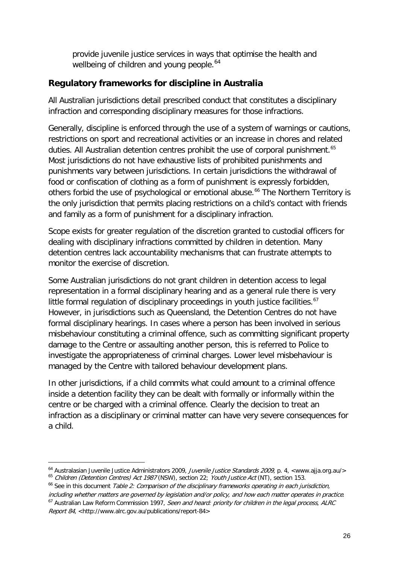provide juvenile justice services in ways that optimise the health and wellbeing of children and young people.<sup>[64](#page-24-8)</sup>

#### <span id="page-25-0"></span>**Regulatory frameworks for discipline in Australia**

All Australian jurisdictions detail prescribed conduct that constitutes a disciplinary infraction and corresponding disciplinary measures for those infractions.

Generally, discipline is enforced through the use of a system of warnings or cautions, restrictions on sport and recreational activities or an increase in chores and related duties. All Australian detention centres prohibit the use of corporal punishment.<sup>[65](#page-25-1)</sup> Most jurisdictions do not have exhaustive lists of prohibited punishments and punishments vary between jurisdictions. In certain jurisdictions the withdrawal of food or confiscation of clothing as a form of punishment is expressly forbidden, others forbid the use of psychological or emotional abuse.<sup>[66](#page-25-2)</sup> The Northern Territory is the only jurisdiction that permits placing restrictions on a child's contact with friends and family as a form of punishment for a disciplinary infraction.

Scope exists for greater regulation of the discretion granted to custodial officers for dealing with disciplinary infractions committed by children in detention. Many detention centres lack accountability mechanisms that can frustrate attempts to monitor the exercise of discretion.

Some Australian jurisdictions do not grant children in detention access to legal representation in a formal disciplinary hearing and as a general rule there is very little formal regulation of disciplinary proceedings in youth justice facilities. $67$ However, in jurisdictions such as Queensland, the Detention Centres do not have formal disciplinary hearings. In cases where a person has been involved in serious misbehaviour constituting a criminal offence, such as committing significant property damage to the Centre or assaulting another person, this is referred to Police to investigate the appropriateness of criminal charges. Lower level misbehaviour is managed by the Centre with tailored behaviour development plans.

In other jurisdictions, if a child commits what could amount to a criminal offence inside a detention facility they can be dealt with formally or informally within the centre or be charged with a criminal offence. Clearly the decision to treat an infraction as a disciplinary or criminal matter can have very severe consequences for a child.

<sup>&</sup>lt;sup>64</sup> Australasian Juvenile Justice Administrators 2009, *Juvenile Justice Standards 2009*, p. 4, <www.ajja.org.au/>
<sup>65</sup> Children (Detention Centres) Act 1987 (NSW), section 22; Youth Justice Act (NT), section 153.

<span id="page-25-2"></span><span id="page-25-1"></span> $66$  See in this document Table 2: Comparison of the disciplinary frameworks operating in each jurisdiction,

<span id="page-25-3"></span>including whether matters are governed by legislation and/or policy, and how each matter operates in practice.<br><sup>67</sup> Australian Law Reform Commission 1997, Seen and heard: priority for children in the legal process, ALRC Report 84, <http://www.alrc.gov.au/publications/report-84>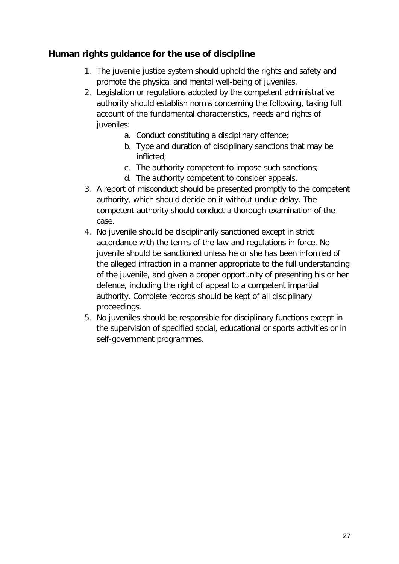#### <span id="page-26-0"></span>**Human rights guidance for the use of discipline**

- 1. The juvenile justice system should uphold the rights and safety and promote the physical and mental well-being of juveniles.
- 2. Legislation or regulations adopted by the competent administrative authority should establish norms concerning the following, taking full account of the fundamental characteristics, needs and rights of juveniles:
	- a. Conduct constituting a disciplinary offence;
	- b. Type and duration of disciplinary sanctions that may be inflicted;
	- c. The authority competent to impose such sanctions;
	- d. The authority competent to consider appeals.
- 3. A report of misconduct should be presented promptly to the competent authority, which should decide on it without undue delay. The competent authority should conduct a thorough examination of the case.
- 4. No juvenile should be disciplinarily sanctioned except in strict accordance with the terms of the law and regulations in force. No juvenile should be sanctioned unless he or she has been informed of the alleged infraction in a manner appropriate to the full understanding of the juvenile, and given a proper opportunity of presenting his or her defence, including the right of appeal to a competent impartial authority. Complete records should be kept of all disciplinary proceedings.
- 5. No juveniles should be responsible for disciplinary functions except in the supervision of specified social, educational or sports activities or in self-government programmes.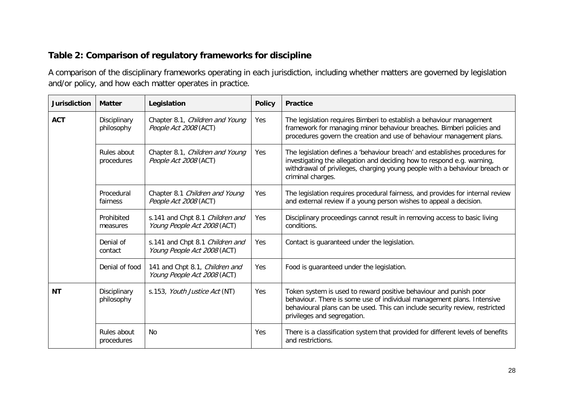#### **Table 2: Comparison of regulatory frameworks for discipline**

A comparison of the disciplinary frameworks operating in each jurisdiction, including whether matters are governed by legislation and/or policy, and how each matter operates in practice.

<span id="page-27-0"></span>

| <b>Jurisdiction</b> | <b>Matter</b>              | Legislation                                                    | <b>Policy</b> | <b>Practice</b>                                                                                                                                                                                                                                           |
|---------------------|----------------------------|----------------------------------------------------------------|---------------|-----------------------------------------------------------------------------------------------------------------------------------------------------------------------------------------------------------------------------------------------------------|
| <b>ACT</b>          | Disciplinary<br>philosophy | Chapter 8.1, Children and Young<br>People Act 2008 (ACT)       | Yes           | The legislation requires Bimberi to establish a behaviour management<br>framework for managing minor behaviour breaches. Bimberi policies and<br>procedures govern the creation and use of behaviour management plans.                                    |
|                     | Rules about<br>procedures  | Chapter 8.1, Children and Young<br>People Act 2008 (ACT)       | Yes           | The legislation defines a 'behaviour breach' and establishes procedures for<br>investigating the allegation and deciding how to respond e.g. warning,<br>withdrawal of privileges, charging young people with a behaviour breach or<br>criminal charges.  |
|                     | Procedural<br>fairness     | Chapter 8.1 Children and Young<br>People Act 2008 (ACT)        | Yes           | The legislation requires procedural fairness, and provides for internal review<br>and external review if a young person wishes to appeal a decision.                                                                                                      |
|                     | Prohibited<br>measures     | s.141 and Chpt 8.1 Children and<br>Young People Act 2008 (ACT) | Yes           | Disciplinary proceedings cannot result in removing access to basic living<br>conditions.                                                                                                                                                                  |
|                     | Denial of<br>contact       | s.141 and Chpt 8.1 Children and<br>Young People Act 2008 (ACT) | Yes           | Contact is guaranteed under the legislation.                                                                                                                                                                                                              |
|                     | Denial of food             | 141 and Chpt 8.1, Children and<br>Young People Act 2008 (ACT)  | Yes           | Food is guaranteed under the legislation.                                                                                                                                                                                                                 |
| <b>NT</b>           | Disciplinary<br>philosophy | s.153, Youth Justice Act (NT)                                  | Yes           | Token system is used to reward positive behaviour and punish poor<br>behaviour. There is some use of individual management plans. Intensive<br>behavioural plans can be used. This can include security review, restricted<br>privileges and segregation. |
|                     | Rules about<br>procedures  | No                                                             | Yes           | There is a classification system that provided for different levels of benefits<br>and restrictions.                                                                                                                                                      |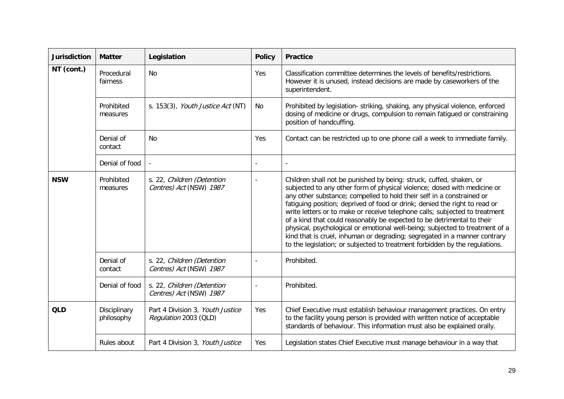| <b>Jurisdiction</b> | <b>Matter</b>              | Legislation                                               | <b>Policy</b> | <b>Practice</b>                                                                                                                                                                                                                                                                                                                                                                                                                                                                                                                                                                                                                                                                                             |
|---------------------|----------------------------|-----------------------------------------------------------|---------------|-------------------------------------------------------------------------------------------------------------------------------------------------------------------------------------------------------------------------------------------------------------------------------------------------------------------------------------------------------------------------------------------------------------------------------------------------------------------------------------------------------------------------------------------------------------------------------------------------------------------------------------------------------------------------------------------------------------|
| NT (cont.)          | Procedural<br>fairness     | <b>No</b>                                                 | Yes           | Classification committee determines the levels of benefits/restrictions.<br>However it is unused, instead decisions are made by caseworkers of the<br>superintendent.                                                                                                                                                                                                                                                                                                                                                                                                                                                                                                                                       |
|                     | Prohibited<br>measures     | s. 153(3), Youth Justice Act (NT)                         | No            | Prohibited by legislation-striking, shaking, any physical violence, enforced<br>dosing of medicine or drugs, compulsion to remain fatigued or constraining<br>position of handcuffing.                                                                                                                                                                                                                                                                                                                                                                                                                                                                                                                      |
|                     | Denial of<br>contact       | <b>No</b>                                                 | Yes           | Contact can be restricted up to one phone call a week to immediate family.                                                                                                                                                                                                                                                                                                                                                                                                                                                                                                                                                                                                                                  |
|                     | Denial of food             |                                                           |               |                                                                                                                                                                                                                                                                                                                                                                                                                                                                                                                                                                                                                                                                                                             |
| <b>NSW</b>          | Prohibited<br>measures     | s. 22, Children (Detention<br>Centres) Act (NSW) 1987     |               | Children shall not be punished by being: struck, cuffed, shaken, or<br>subjected to any other form of physical violence; dosed with medicine or<br>any other substance; compelled to hold their self in a constrained or<br>fatiguing position; deprived of food or drink; denied the right to read or<br>write letters or to make or receive telephone calls; subjected to treatment<br>of a kind that could reasonably be expected to be detrimental to their<br>physical, psychological or emotional well-being; subjected to treatment of a<br>kind that is cruel, inhuman or degrading; segregated in a manner contrary<br>to the legislation; or subjected to treatment forbidden by the regulations. |
|                     | Denial of<br>contact       | s. 22, Children (Detention<br>Centres) Act (NSW) 1987     |               | Prohibited.                                                                                                                                                                                                                                                                                                                                                                                                                                                                                                                                                                                                                                                                                                 |
|                     | Denial of food             | s. 22, Children (Detention<br>Centres) Act (NSW) 1987     |               | Prohibited.                                                                                                                                                                                                                                                                                                                                                                                                                                                                                                                                                                                                                                                                                                 |
| <b>QLD</b>          | Disciplinary<br>philosophy | Part 4 Division 3, Youth Justice<br>Regulation 2003 (QLD) | Yes           | Chief Executive must establish behaviour management practices. On entry<br>to the facility young person is provided with written notice of acceptable<br>standards of behaviour. This information must also be explained orally.                                                                                                                                                                                                                                                                                                                                                                                                                                                                            |
|                     | Rules about                | Part 4 Division 3, Youth Justice                          | Yes           | Legislation states Chief Executive must manage behaviour in a way that                                                                                                                                                                                                                                                                                                                                                                                                                                                                                                                                                                                                                                      |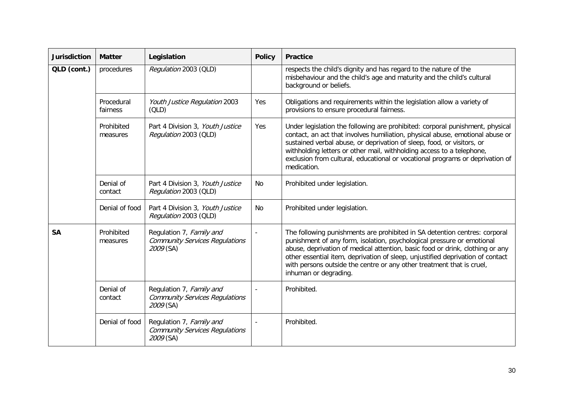| <b>Jurisdiction</b> | <b>Matter</b>          | Legislation                                                                    | <b>Policy</b>            | <b>Practice</b>                                                                                                                                                                                                                                                                                                                                                                                                           |
|---------------------|------------------------|--------------------------------------------------------------------------------|--------------------------|---------------------------------------------------------------------------------------------------------------------------------------------------------------------------------------------------------------------------------------------------------------------------------------------------------------------------------------------------------------------------------------------------------------------------|
| QLD (cont.)         | procedures             | Regulation 2003 (QLD)                                                          |                          | respects the child's dignity and has regard to the nature of the<br>misbehaviour and the child's age and maturity and the child's cultural<br>background or beliefs.                                                                                                                                                                                                                                                      |
|                     | Procedural<br>fairness | Youth Justice Regulation 2003<br>(OLD)                                         | Yes                      | Obligations and requirements within the legislation allow a variety of<br>provisions to ensure procedural fairness.                                                                                                                                                                                                                                                                                                       |
|                     | Prohibited<br>measures | Part 4 Division 3, Youth Justice<br>Regulation 2003 (QLD)                      | Yes                      | Under legislation the following are prohibited: corporal punishment, physical<br>contact, an act that involves humiliation, physical abuse, emotional abuse or<br>sustained verbal abuse, or deprivation of sleep, food, or visitors, or<br>withholding letters or other mail, withholding access to a telephone,<br>exclusion from cultural, educational or vocational programs or deprivation of<br>medication.         |
|                     | Denial of<br>contact   | Part 4 Division 3, Youth Justice<br>Regulation 2003 (QLD)                      | No                       | Prohibited under legislation.                                                                                                                                                                                                                                                                                                                                                                                             |
|                     | Denial of food         | Part 4 Division 3, Youth Justice<br>Regulation 2003 (QLD)                      | No                       | Prohibited under legislation.                                                                                                                                                                                                                                                                                                                                                                                             |
| <b>SA</b>           | Prohibited<br>measures | Regulation 7, Family and<br><b>Community Services Regulations</b><br>2009 (SA) | $\overline{\phantom{a}}$ | The following punishments are prohibited in SA detention centres: corporal<br>punishment of any form, isolation, psychological pressure or emotional<br>abuse, deprivation of medical attention, basic food or drink, clothing or any<br>other essential item, deprivation of sleep, unjustified deprivation of contact<br>with persons outside the centre or any other treatment that is cruel,<br>inhuman or degrading. |
|                     | Denial of<br>contact   | Regulation 7, Family and<br><b>Community Services Regulations</b><br>2009 (SA) | ÷,                       | Prohibited.                                                                                                                                                                                                                                                                                                                                                                                                               |
|                     | Denial of food         | Regulation 7, Family and<br><b>Community Services Regulations</b><br>2009 (SA) |                          | Prohibited.                                                                                                                                                                                                                                                                                                                                                                                                               |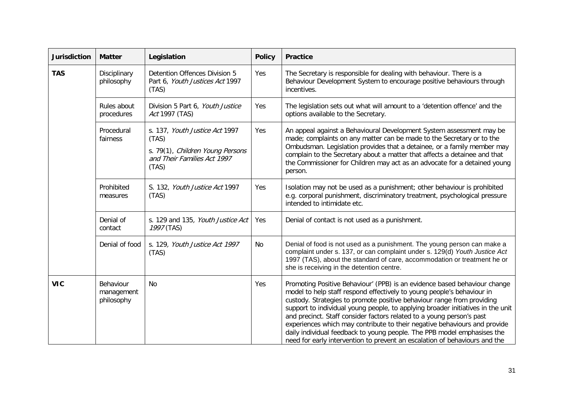| <b>Jurisdiction</b> | <b>Matter</b>                         | Legislation                                                                                                         | <b>Policy</b> | <b>Practice</b>                                                                                                                                                                                                                                                                                                                                                                                                                                                                                                                                                                                                                 |
|---------------------|---------------------------------------|---------------------------------------------------------------------------------------------------------------------|---------------|---------------------------------------------------------------------------------------------------------------------------------------------------------------------------------------------------------------------------------------------------------------------------------------------------------------------------------------------------------------------------------------------------------------------------------------------------------------------------------------------------------------------------------------------------------------------------------------------------------------------------------|
| <b>TAS</b>          | Disciplinary<br>philosophy            | Detention Offences Division 5<br>Part 6, Youth Justices Act 1997<br>(TAS)                                           | Yes           | The Secretary is responsible for dealing with behaviour. There is a<br>Behaviour Development System to encourage positive behaviours through<br>incentives.                                                                                                                                                                                                                                                                                                                                                                                                                                                                     |
|                     | Rules about<br>procedures             | Division 5 Part 6, Youth Justice<br>Act 1997 (TAS)                                                                  | Yes           | The legislation sets out what will amount to a 'detention offence' and the<br>options available to the Secretary.                                                                                                                                                                                                                                                                                                                                                                                                                                                                                                               |
|                     | Procedural<br>fairness                | s. 137, Youth Justice Act 1997<br>(TAS)<br>s. 79(1), Children Young Persons<br>and Their Families Act 1997<br>(TAS) | Yes           | An appeal against a Behavioural Development System assessment may be<br>made; complaints on any matter can be made to the Secretary or to the<br>Ombudsman. Legislation provides that a detainee, or a family member may<br>complain to the Secretary about a matter that affects a detainee and that<br>the Commissioner for Children may act as an advocate for a detained young<br>person.                                                                                                                                                                                                                                   |
|                     | Prohibited<br>measures                | S. 132, Youth Justice Act 1997<br>(TAS)                                                                             | Yes           | Isolation may not be used as a punishment; other behaviour is prohibited<br>e.g. corporal punishment, discriminatory treatment, psychological pressure<br>intended to intimidate etc.                                                                                                                                                                                                                                                                                                                                                                                                                                           |
|                     | Denial of<br>contact                  | s. 129 and 135, Youth Justice Act<br>1997 (TAS)                                                                     | Yes           | Denial of contact is not used as a punishment.                                                                                                                                                                                                                                                                                                                                                                                                                                                                                                                                                                                  |
|                     | Denial of food                        | s. 129, Youth Justice Act 1997<br>(TAS)                                                                             | No            | Denial of food is not used as a punishment. The young person can make a<br>complaint under s. 137, or can complaint under s. 129(d) Youth Justice Act<br>1997 (TAS), about the standard of care, accommodation or treatment he or<br>she is receiving in the detention centre.                                                                                                                                                                                                                                                                                                                                                  |
| <b>VIC</b>          | Behaviour<br>management<br>philosophy | No                                                                                                                  | Yes           | Promoting Positive Behaviour' (PPB) is an evidence based behaviour change<br>model to help staff respond effectively to young people's behaviour in<br>custody. Strategies to promote positive behaviour range from providing<br>support to individual young people, to applying broader initiatives in the unit<br>and precinct. Staff consider factors related to a young person's past<br>experiences which may contribute to their negative behaviours and provide<br>daily individual feedback to young people. The PPB model emphasises the<br>need for early intervention to prevent an escalation of behaviours and the |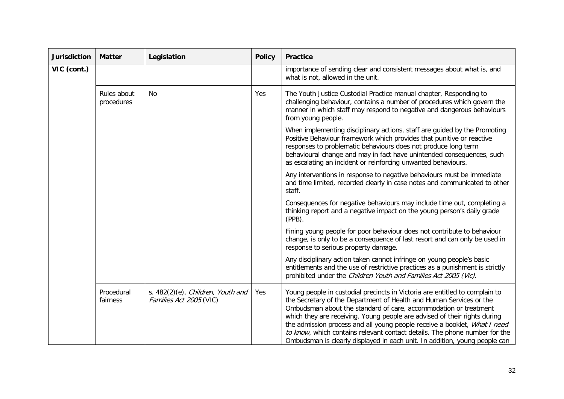| <b>Jurisdiction</b> | <b>Matter</b>             | Legislation                                                            | <b>Policy</b> | <b>Practice</b>                                                                                                                                                                                                                                                                                                                                                                                                                                                                                                                              |
|---------------------|---------------------------|------------------------------------------------------------------------|---------------|----------------------------------------------------------------------------------------------------------------------------------------------------------------------------------------------------------------------------------------------------------------------------------------------------------------------------------------------------------------------------------------------------------------------------------------------------------------------------------------------------------------------------------------------|
| VIC (cont.)         |                           |                                                                        |               | importance of sending clear and consistent messages about what is, and<br>what is not, allowed in the unit.                                                                                                                                                                                                                                                                                                                                                                                                                                  |
|                     | Rules about<br>procedures | No                                                                     | Yes           | The Youth Justice Custodial Practice manual chapter, Responding to<br>challenging behaviour, contains a number of procedures which govern the<br>manner in which staff may respond to negative and dangerous behaviours<br>from young people.                                                                                                                                                                                                                                                                                                |
|                     |                           |                                                                        |               | When implementing disciplinary actions, staff are guided by the Promoting<br>Positive Behaviour framework which provides that punitive or reactive<br>responses to problematic behaviours does not produce long term<br>behavioural change and may in fact have unintended consequences, such<br>as escalating an incident or reinforcing unwanted behaviours.                                                                                                                                                                               |
|                     |                           |                                                                        |               | Any interventions in response to negative behaviours must be immediate<br>and time limited, recorded clearly in case notes and communicated to other<br>staff.                                                                                                                                                                                                                                                                                                                                                                               |
|                     |                           |                                                                        |               | Consequences for negative behaviours may include time out, completing a<br>thinking report and a negative impact on the young person's daily grade<br>$(PPB)$ .                                                                                                                                                                                                                                                                                                                                                                              |
|                     |                           |                                                                        |               | Fining young people for poor behaviour does not contribute to behaviour<br>change, is only to be a consequence of last resort and can only be used in<br>response to serious property damage.                                                                                                                                                                                                                                                                                                                                                |
|                     |                           |                                                                        |               | Any disciplinary action taken cannot infringe on young people's basic<br>entitlements and the use of restrictive practices as a punishment is strictly<br>prohibited under the Children Youth and Families Act 2005 (Vic).                                                                                                                                                                                                                                                                                                                   |
|                     | Procedural<br>fairness    | s. $482(2)(e)$ , <i>Children, Youth and</i><br>Families Act 2005 (VIC) | Yes           | Young people in custodial precincts in Victoria are entitled to complain to<br>the Secretary of the Department of Health and Human Services or the<br>Ombudsman about the standard of care, accommodation or treatment<br>which they are receiving. Young people are advised of their rights during<br>the admission process and all young people receive a booklet, What I need<br>to know, which contains relevant contact details. The phone number for the<br>Ombudsman is clearly displayed in each unit. In addition, young people can |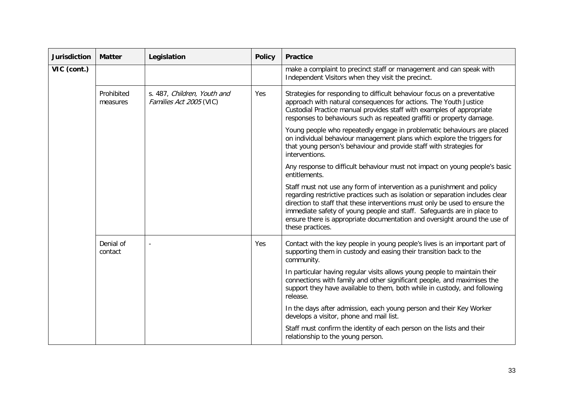| <b>Jurisdiction</b> | <b>Matter</b>          | Legislation                                            | <b>Policy</b> | <b>Practice</b>                                                                                                                                                                                                                                                                                                                                                                                                    |
|---------------------|------------------------|--------------------------------------------------------|---------------|--------------------------------------------------------------------------------------------------------------------------------------------------------------------------------------------------------------------------------------------------------------------------------------------------------------------------------------------------------------------------------------------------------------------|
| VIC (cont.)         |                        |                                                        |               | make a complaint to precinct staff or management and can speak with<br>Independent Visitors when they visit the precinct.                                                                                                                                                                                                                                                                                          |
|                     | Prohibited<br>measures | s. 487, Children, Youth and<br>Families Act 2005 (VIC) | Yes           | Strategies for responding to difficult behaviour focus on a preventative<br>approach with natural consequences for actions. The Youth Justice<br>Custodial Practice manual provides staff with examples of appropriate<br>responses to behaviours such as repeated graffiti or property damage.                                                                                                                    |
|                     |                        |                                                        |               | Young people who repeatedly engage in problematic behaviours are placed<br>on individual behaviour management plans which explore the triggers for<br>that young person's behaviour and provide staff with strategies for<br>interventions.                                                                                                                                                                        |
|                     |                        |                                                        |               | Any response to difficult behaviour must not impact on young people's basic<br>entitlements.                                                                                                                                                                                                                                                                                                                       |
|                     |                        |                                                        |               | Staff must not use any form of intervention as a punishment and policy<br>regarding restrictive practices such as isolation or separation includes clear<br>direction to staff that these interventions must only be used to ensure the<br>immediate safety of young people and staff. Safeguards are in place to<br>ensure there is appropriate documentation and oversight around the use of<br>these practices. |
|                     | Denial of<br>contact   |                                                        | Yes           | Contact with the key people in young people's lives is an important part of<br>supporting them in custody and easing their transition back to the<br>community.                                                                                                                                                                                                                                                    |
|                     |                        |                                                        |               | In particular having regular visits allows young people to maintain their<br>connections with family and other significant people, and maximises the<br>support they have available to them, both while in custody, and following<br>release.                                                                                                                                                                      |
|                     |                        |                                                        |               | In the days after admission, each young person and their Key Worker<br>develops a visitor, phone and mail list.                                                                                                                                                                                                                                                                                                    |
|                     |                        |                                                        |               | Staff must confirm the identity of each person on the lists and their<br>relationship to the young person.                                                                                                                                                                                                                                                                                                         |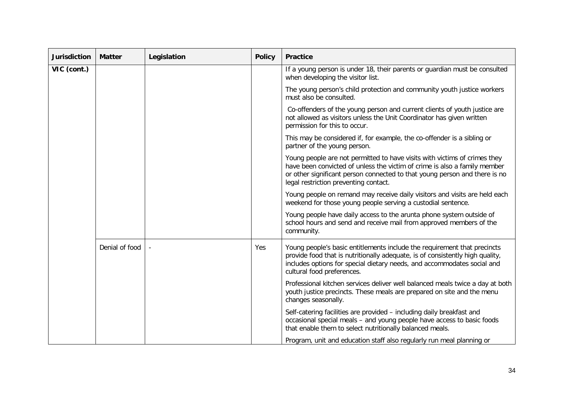| <b>Jurisdiction</b> | <b>Matter</b>  | Legislation | <b>Policy</b> | <b>Practice</b>                                                                                                                                                                                                                                                               |
|---------------------|----------------|-------------|---------------|-------------------------------------------------------------------------------------------------------------------------------------------------------------------------------------------------------------------------------------------------------------------------------|
| VIC (cont.)         |                |             |               | If a young person is under 18, their parents or guardian must be consulted<br>when developing the visitor list.                                                                                                                                                               |
|                     |                |             |               | The young person's child protection and community youth justice workers<br>must also be consulted.                                                                                                                                                                            |
|                     |                |             |               | Co-offenders of the young person and current clients of youth justice are<br>not allowed as visitors unless the Unit Coordinator has given written<br>permission for this to occur.                                                                                           |
|                     |                |             |               | This may be considered if, for example, the co-offender is a sibling or<br>partner of the young person.                                                                                                                                                                       |
|                     |                |             |               | Young people are not permitted to have visits with victims of crimes they<br>have been convicted of unless the victim of crime is also a family member<br>or other significant person connected to that young person and there is no<br>legal restriction preventing contact. |
|                     |                |             |               | Young people on remand may receive daily visitors and visits are held each<br>weekend for those young people serving a custodial sentence.                                                                                                                                    |
|                     |                |             |               | Young people have daily access to the arunta phone system outside of<br>school hours and send and receive mail from approved members of the<br>community.                                                                                                                     |
|                     | Denial of food |             | Yes           | Young people's basic entitlements include the requirement that precincts<br>provide food that is nutritionally adequate, is of consistently high quality,<br>includes options for special dietary needs, and accommodates social and<br>cultural food preferences.            |
|                     |                |             |               | Professional kitchen services deliver well balanced meals twice a day at both<br>youth justice precincts. These meals are prepared on site and the menu<br>changes seasonally.                                                                                                |
|                     |                |             |               | Self-catering facilities are provided - including daily breakfast and<br>occasional special meals - and young people have access to basic foods<br>that enable them to select nutritionally balanced meals.                                                                   |
|                     |                |             |               | Program, unit and education staff also regularly run meal planning or                                                                                                                                                                                                         |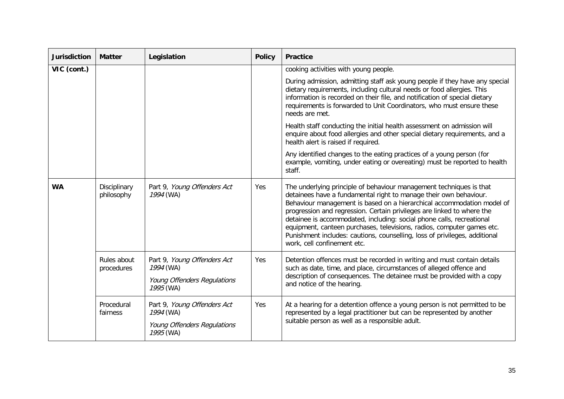| <b>Jurisdiction</b> | <b>Matter</b>              | Legislation                                                                          | <b>Policy</b> | <b>Practice</b>                                                                                                                                                                                                                                                                                                                                                                                                                                                                                                                                              |
|---------------------|----------------------------|--------------------------------------------------------------------------------------|---------------|--------------------------------------------------------------------------------------------------------------------------------------------------------------------------------------------------------------------------------------------------------------------------------------------------------------------------------------------------------------------------------------------------------------------------------------------------------------------------------------------------------------------------------------------------------------|
| VIC (cont.)         |                            |                                                                                      |               | cooking activities with young people.                                                                                                                                                                                                                                                                                                                                                                                                                                                                                                                        |
|                     |                            |                                                                                      |               | During admission, admitting staff ask young people if they have any special<br>dietary requirements, including cultural needs or food allergies. This<br>information is recorded on their file, and notification of special dietary<br>requirements is forwarded to Unit Coordinators, who must ensure these<br>needs are met.                                                                                                                                                                                                                               |
|                     |                            |                                                                                      |               | Health staff conducting the initial health assessment on admission will<br>enquire about food allergies and other special dietary requirements, and a<br>health alert is raised if required.                                                                                                                                                                                                                                                                                                                                                                 |
|                     |                            |                                                                                      |               | Any identified changes to the eating practices of a young person (for<br>example, vomiting, under eating or overeating) must be reported to health<br>staff.                                                                                                                                                                                                                                                                                                                                                                                                 |
| <b>WA</b>           | Disciplinary<br>philosophy | Part 9, Young Offenders Act<br>1994 (WA)                                             | Yes           | The underlying principle of behaviour management techniques is that<br>detainees have a fundamental right to manage their own behaviour.<br>Behaviour management is based on a hierarchical accommodation model of<br>progression and regression. Certain privileges are linked to where the<br>detainee is accommodated, including: social phone calls, recreational<br>equipment, canteen purchases, televisions, radios, computer games etc.<br>Punishment includes: cautions, counselling, loss of privileges, additional<br>work, cell confinement etc. |
|                     | Rules about<br>procedures  | Part 9, Young Offenders Act<br>1994 (WA)<br>Young Offenders Regulations<br>1995 (WA) | Yes           | Detention offences must be recorded in writing and must contain details<br>such as date, time, and place, circumstances of alleged offence and<br>description of consequences. The detainee must be provided with a copy<br>and notice of the hearing.                                                                                                                                                                                                                                                                                                       |
|                     | Procedural<br>fairness     | Part 9, Young Offenders Act<br>1994 (WA)<br>Young Offenders Regulations<br>1995 (WA) | Yes           | At a hearing for a detention offence a young person is not permitted to be<br>represented by a legal practitioner but can be represented by another<br>suitable person as well as a responsible adult.                                                                                                                                                                                                                                                                                                                                                       |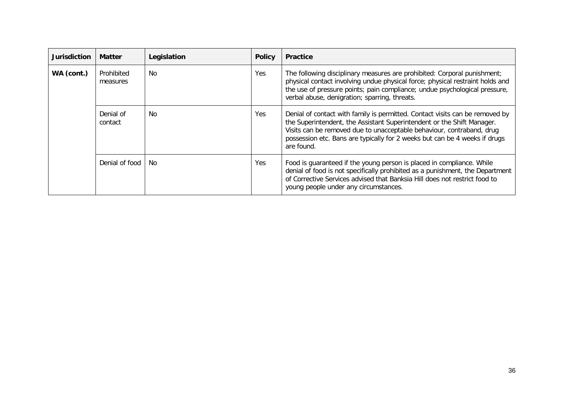| <b>Jurisdiction</b> | <b>Matter</b>          | Legislation | <b>Policy</b> | <b>Practice</b>                                                                                                                                                                                                                                                                                                             |
|---------------------|------------------------|-------------|---------------|-----------------------------------------------------------------------------------------------------------------------------------------------------------------------------------------------------------------------------------------------------------------------------------------------------------------------------|
| WA (cont.)          | Prohibited<br>measures | <b>No</b>   | Yes           | The following disciplinary measures are prohibited: Corporal punishment;<br>physical contact involving undue physical force; physical restraint holds and<br>the use of pressure points; pain compliance; undue psychological pressure,<br>verbal abuse, denigration; sparring, threats.                                    |
|                     | Denial of<br>contact   | <b>No</b>   | <b>Yes</b>    | Denial of contact with family is permitted. Contact visits can be removed by<br>the Superintendent, the Assistant Superintendent or the Shift Manager.<br>Visits can be removed due to unacceptable behaviour, contraband, drug<br>possession etc. Bans are typically for 2 weeks but can be 4 weeks if drugs<br>are found. |
|                     | Denial of food         | No.         | Yes           | Food is guaranteed if the young person is placed in compliance. While<br>denial of food is not specifically prohibited as a punishment, the Department<br>of Corrective Services advised that Banksia Hill does not restrict food to<br>young people under any circumstances.                                               |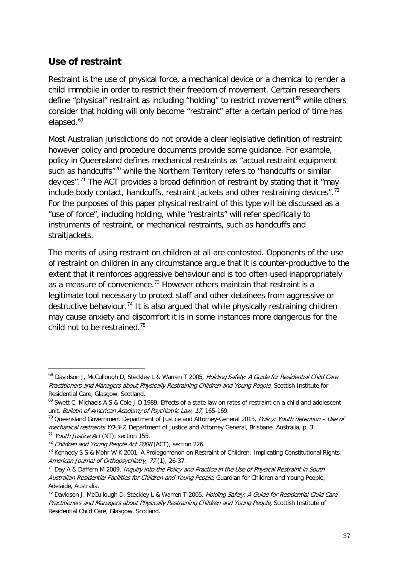# **Use of restraint**

Restraint is the use of physical force, a mechanical device or a chemical to render a child immobile in order to restrict their freedom of movement. Certain researchers define "physical" restraint as including "holding" to restrict movement<sup>[68](#page-25-0)</sup> while others consider that holding will only become "restraint" after a certain period of time has elapsed.<sup>[69](#page-36-0)</sup>

Most Australian jurisdictions do not provide a clear legislative definition of restraint however policy and procedure documents provide some guidance. For example, policy in Queensland defines mechanical restraints as "actual restraint equipment such as handcuffs"<sup>[70](#page-36-1)</sup> while the Northern Territory refers to "handcuffs or similar devices".[71](#page-36-2) The ACT provides a broad definition of restraint by stating that it "may include body contact, handcuffs, restraint jackets and other restraining devices".<sup>[72](#page-36-3)</sup> For the purposes of this paper physical restraint of this type will be discussed as a "use of force", including holding, while "restraints" will refer specifically to instruments of restraint, or mechanical restraints, such as handcuffs and straitjackets.

The merits of using restraint on children at all are contested. Opponents of the use of restraint on children in any circumstance argue that it is counter-productive to the extent that it reinforces aggressive behaviour and is too often used inappropriately as a measure of convenience.<sup>[73](#page-36-4)</sup> However others maintain that restraint is a legitimate tool necessary to protect staff and other detainees from aggressive or destructive behaviour.<sup>[74](#page-36-5)</sup> It is also argued that while physically restraining children may cause anxiety and discomfort it is in some instances more dangerous for the child not to be restrained.[75](#page-36-6)

<sup>&</sup>lt;sup>68</sup> Davidson J, McCullough D, Steckley L & Warren T 2005, *Holding Safely: A Guide for Residential Child Care* Practitioners and Managers about Physically Restraining Children and Young People, Scottish Institute for Residential Care, Glasgow, Scotland.

<span id="page-36-0"></span><sup>&</sup>lt;sup>69</sup> Swett C, Michaels A S & Cole J O 1989, Effects of a state law on rates of restraint on a child and adolescent unit, Bulletin of American Academy of Psychiatric Law, 17, 165-169.

<span id="page-36-1"></span><sup>&</sup>lt;sup>70</sup> Queensland Government Department of Justice and Attorney-General 2013, Policy: Youth detention – Use of mechanical restraints YD-3-7, Department of Justice and Attorney General, Brisbane, Australia, p. 3.

<span id="page-36-2"></span> $71$  Youth Justice Act (NT), section 155.

<span id="page-36-3"></span><sup>&</sup>lt;sup>72</sup> Children and Young People Act 2008 (ACT), section 226.

<span id="page-36-4"></span><sup>&</sup>lt;sup>73</sup> Kennedy S S & Mohr W K 2001, A Prolegomenon on Restraint of Children: Implicating Constitutional Rights. American Journal of Orthopsychiatry, 77 (1), 26-37.

<span id="page-36-5"></span> $74$  Day A & Daffern M 2009, Inquiry into the Policy and Practice in the Use of Physical Restraint in South Australian Residential Facilities for Children and Young People, Guardian for Children and Young People, Adelaide, Australia.

<span id="page-36-6"></span><sup>&</sup>lt;sup>75</sup> Davidson J, McCullough D, Steckley L & Warren T 2005, *Holding Safely: A Guide for Residential Child Care* Practitioners and Managers about Physically Restraining Children and Young People, Scottish Institute of Residential Child Care, Glasgow, Scotland.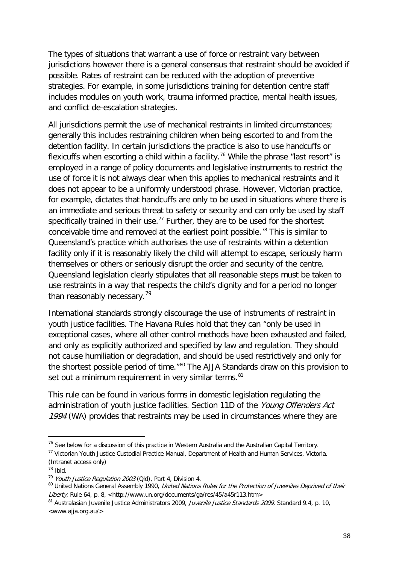The types of situations that warrant a use of force or restraint vary between jurisdictions however there is a general consensus that restraint should be avoided if possible. Rates of restraint can be reduced with the adoption of preventive strategies. For example, in some jurisdictions training for detention centre staff includes modules on youth work, trauma informed practice, mental health issues, and conflict de-escalation strategies.

All jurisdictions permit the use of mechanical restraints in limited circumstances; generally this includes restraining children when being escorted to and from the detention facility. In certain jurisdictions the practice is also to use handcuffs or flexicuffs when escorting a child within a facility.<sup>[76](#page-36-3)</sup> While the phrase "last resort" is employed in a range of policy documents and legislative instruments to restrict the use of force it is not always clear when this applies to mechanical restraints and it does not appear to be a uniformly understood phrase. However, Victorian practice, for example, dictates that handcuffs are only to be used in situations where there is an immediate and serious threat to safety or security and can only be used by staff specifically trained in their use.<sup>[77](#page-37-0)</sup> Further, they are to be used for the shortest conceivable time and removed at the earliest point possible.<sup>[78](#page-37-1)</sup> This is similar to Queensland's practice which authorises the use of restraints within a detention facility only if it is reasonably likely the child will attempt to escape, seriously harm themselves or others or seriously disrupt the order and security of the centre. Queensland legislation clearly stipulates that all reasonable steps must be taken to use restraints in a way that respects the child's dignity and for a period no longer than reasonably necessary.<sup>[79](#page-37-2)</sup>

International standards strongly discourage the use of instruments of restraint in youth justice facilities. The Havana Rules hold that they can "only be used in exceptional cases, where all other control methods have been exhausted and failed, and only as explicitly authorized and specified by law and regulation. They should not cause humiliation or degradation, and should be used restrictively and only for the shortest possible period of time."<sup>[80](#page-37-3)</sup> The AJJA Standards draw on this provision to set out a minimum requirement in very similar terms.<sup>[81](#page-37-4)</sup>

<span id="page-37-5"></span>This rule can be found in various forms in domestic legislation regulating the administration of youth justice facilities. Section 11D of the Young Offenders Act 1994 (WA) provides that restraints may be used in circumstances where they are

<sup>&</sup>lt;sup>76</sup> See below for a discussion of this practice in Western Australia and the Australian Capital Territory.

<span id="page-37-0"></span><sup>77</sup> Victorian Youth Justice Custodial Practice Manual, Department of Health and Human Services, Victoria. (Intranet access only)

<span id="page-37-1"></span> $78$  Ibid.

<span id="page-37-3"></span><span id="page-37-2"></span><sup>&</sup>lt;sup>79</sup> Youth Justice Regulation 2003 (Qld), Part 4, Division 4.<br><sup>80</sup> United Nations General Assembly 1990, *United Nations Rules for the Protection of Juveniles Deprived of their* Liberty, Rule 64, p. 8, <http://www.un.org/documents/ga/res/45/a45r113.htm>

<span id="page-37-4"></span><sup>81</sup> Australasian Juvenile Justice Administrators 2009, Juvenile Justice Standards 2009, Standard 9.4, p. 10, <www.ajja.org.au/>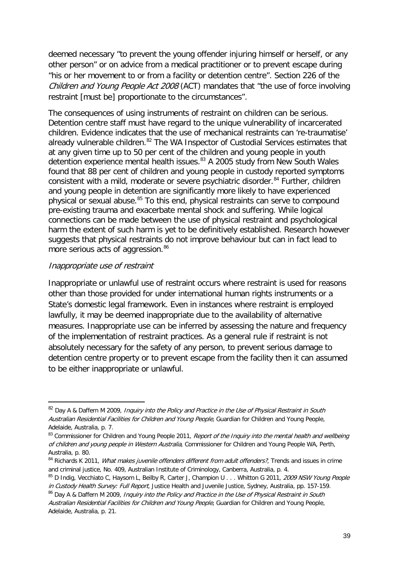deemed necessary "to prevent the young offender injuring himself or herself, or any other person" or on advice from a medical practitioner or to prevent escape during "his or her movement to or from a facility or detention centre". Section 226 of the Children and Young People Act 2008 (ACT) mandates that "the use of force involving restraint [must be] proportionate to the circumstances".

The consequences of using instruments of restraint on children can be serious. Detention centre staff must have regard to the unique vulnerability of incarcerated children. Evidence indicates that the use of mechanical restraints can 're-traumatise' already vulnerable children.<sup>[82](#page-37-5)</sup> The WA Inspector of Custodial Services estimates that at any given time up to 50 per cent of the children and young people in youth detention experience mental health issues.<sup>[83](#page-38-0)</sup> A 2005 study from New South Wales found that 88 per cent of children and young people in custody reported symptoms consistent with a mild, moderate or severe psychiatric disorder.<sup>[84](#page-38-1)</sup> Further, children and young people in detention are significantly more likely to have experienced physical or sexual abuse.<sup>[85](#page-38-2)</sup> To this end, physical restraints can serve to compound pre-existing trauma and exacerbate mental shock and suffering. While logical connections can be made between the use of physical restraint and psychological harm the extent of such harm is yet to be definitively established. Research however suggests that physical restraints do not improve behaviour but can in fact lead to more serious acts of aggression.<sup>[86](#page-38-3)</sup>

#### Inappropriate use of restraint

-

Inappropriate or unlawful use of restraint occurs where restraint is used for reasons other than those provided for under international human rights instruments or a State's domestic legal framework. Even in instances where restraint is employed lawfully, it may be deemed inappropriate due to the availability of alternative measures. Inappropriate use can be inferred by assessing the nature and frequency of the implementation of restraint practices. As a general rule if restraint is not absolutely necessary for the safety of any person, to prevent serious damage to detention centre property or to prevent escape from the facility then it can assumed to be either inappropriate or unlawful.

<sup>82</sup> Day A & Daffern M 2009, Inquiry into the Policy and Practice in the Use of Physical Restraint in South Australian Residential Facilities for Children and Young People, Guardian for Children and Young People, Adelaide, Australia, p. 7.

<span id="page-38-4"></span><span id="page-38-0"></span><sup>&</sup>lt;sup>83</sup> Commissioner for Children and Young People 2011, Report of the Inquiry into the mental health and wellbeing of children and young people in Western Australia, Commissioner for Children and Young People WA, Perth, Australia, p. 80.

<span id="page-38-1"></span><sup>&</sup>lt;sup>84</sup> Richards K 2011, *What makes juvenile offenders different from adult offenders?*, Trends and issues in crime and criminal justice, No. 409, Australian Institute of Criminology, Canberra, Australia, p. 4.

<span id="page-38-2"></span><sup>85</sup> D Indig, Vecchiato C, Haysom L, Beilby R, Carter J, Champion U . . . Whitton G 2011, 2009 NSW Young People in Custody Health Survey: Full Report, Justice Health and Juvenile Justice, Sydney, Australia, pp. 157-159.

<span id="page-38-3"></span><sup>&</sup>lt;sup>86</sup> Day A & Daffern M 2009, Inquiry into the Policy and Practice in the Use of Physical Restraint in South Australian Residential Facilities for Children and Young People, Guardian for Children and Young People, Adelaide, Australia, p. 21.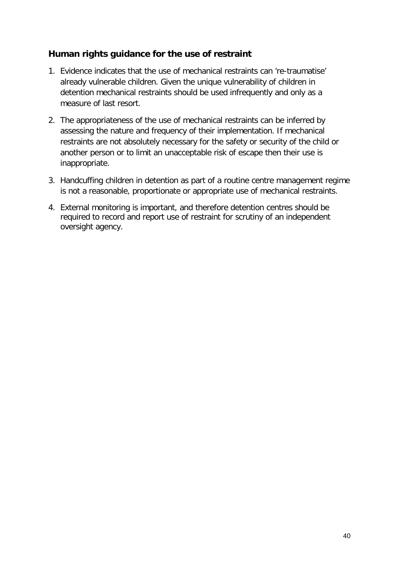#### **Human rights guidance for the use of restraint**

- 1. Evidence indicates that the use of mechanical restraints can 're-traumatise' already vulnerable children. Given the unique vulnerability of children in detention mechanical restraints should be used infrequently and only as a measure of last resort.
- 2. The appropriateness of the use of mechanical restraints can be inferred by assessing the nature and frequency of their implementation. If mechanical restraints are not absolutely necessary for the safety or security of the child or another person or to limit an unacceptable risk of escape then their use is inappropriate.
- 3. Handcuffing children in detention as part of a routine centre management regime is not a reasonable, proportionate or appropriate use of mechanical restraints.
- 4. External monitoring is important, and therefore detention centres should be required to record and report use of restraint for scrutiny of an independent oversight agency.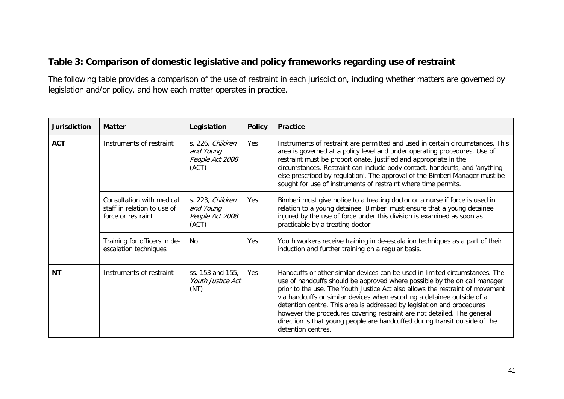### **Table 3: Comparison of domestic legislative and policy frameworks regarding use of restraint**

The following table provides a comparison of the use of restraint in each jurisdiction, including whether matters are governed by legislation and/or policy, and how each matter operates in practice.

| <b>Jurisdiction</b> | <b>Matter</b>                                                                  | Legislation                                               | <b>Policy</b> | <b>Practice</b>                                                                                                                                                                                                                                                                                                                                                                                                                                                                                                                                                                 |
|---------------------|--------------------------------------------------------------------------------|-----------------------------------------------------------|---------------|---------------------------------------------------------------------------------------------------------------------------------------------------------------------------------------------------------------------------------------------------------------------------------------------------------------------------------------------------------------------------------------------------------------------------------------------------------------------------------------------------------------------------------------------------------------------------------|
| <b>ACT</b>          | Instruments of restraint                                                       | s. 226, Children<br>and Young<br>People Act 2008<br>(ACT) | Yes           | Instruments of restraint are permitted and used in certain circumstances. This<br>area is governed at a policy level and under operating procedures. Use of<br>restraint must be proportionate, justified and appropriate in the<br>circumstances. Restraint can include body contact, handcuffs, and 'anything<br>else prescribed by regulation'. The approval of the Bimberi Manager must be<br>sought for use of instruments of restraint where time permits.                                                                                                                |
|                     | Consultation with medical<br>staff in relation to use of<br>force or restraint | s. 223, Children<br>and Young<br>People Act 2008<br>(ACT) | Yes           | Bimberi must give notice to a treating doctor or a nurse if force is used in<br>relation to a young detainee. Bimberi must ensure that a young detainee<br>injured by the use of force under this division is examined as soon as<br>practicable by a treating doctor.                                                                                                                                                                                                                                                                                                          |
|                     | Training for officers in de-<br>escalation techniques                          | No.                                                       | Yes           | Youth workers receive training in de-escalation techniques as a part of their<br>induction and further training on a regular basis.                                                                                                                                                                                                                                                                                                                                                                                                                                             |
| <b>NT</b>           | Instruments of restraint                                                       | ss. 153 and 155,<br>Youth Justice Act<br>(NT)             | Yes           | Handcuffs or other similar devices can be used in limited circumstances. The<br>use of handcuffs should be approved where possible by the on call manager<br>prior to the use. The Youth Justice Act also allows the restraint of movement<br>via handcuffs or similar devices when escorting a detainee outside of a<br>detention centre. This area is addressed by legislation and procedures<br>however the procedures covering restraint are not detailed. The general<br>direction is that young people are handcuffed during transit outside of the<br>detention centres. |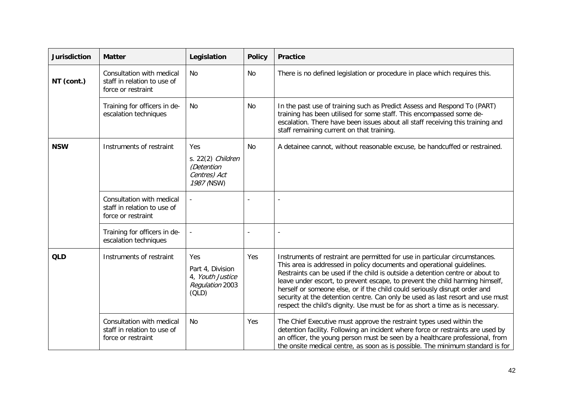| <b>Jurisdiction</b> | <b>Matter</b>                                                                                                     | Legislation | <b>Policy</b> | <b>Practice</b>                                                                                                                                                                                                                                                                                                                                                                                                                                                                                                                                                         |
|---------------------|-------------------------------------------------------------------------------------------------------------------|-------------|---------------|-------------------------------------------------------------------------------------------------------------------------------------------------------------------------------------------------------------------------------------------------------------------------------------------------------------------------------------------------------------------------------------------------------------------------------------------------------------------------------------------------------------------------------------------------------------------------|
| NT (cont.)          | Consultation with medical<br>staff in relation to use of<br>force or restraint                                    | No<br>No    |               | There is no defined legislation or procedure in place which requires this.                                                                                                                                                                                                                                                                                                                                                                                                                                                                                              |
|                     | Training for officers in de-<br>escalation techniques                                                             | No.         | <b>No</b>     | In the past use of training such as Predict Assess and Respond To (PART)<br>training has been utilised for some staff. This encompassed some de-<br>escalation. There have been issues about all staff receiving this training and<br>staff remaining current on that training.                                                                                                                                                                                                                                                                                         |
| <b>NSW</b>          | Instruments of restraint<br>Yes<br>s. $22(2)$ Children<br>(Detention<br>Centres) Act<br>1987 (NSW)                |             | No            | A detainee cannot, without reasonable excuse, be handcuffed or restrained.                                                                                                                                                                                                                                                                                                                                                                                                                                                                                              |
|                     | Consultation with medical<br>staff in relation to use of<br>force or restraint                                    |             |               |                                                                                                                                                                                                                                                                                                                                                                                                                                                                                                                                                                         |
|                     | Training for officers in de-<br>escalation techniques                                                             |             |               |                                                                                                                                                                                                                                                                                                                                                                                                                                                                                                                                                                         |
| <b>QLD</b>          | Instruments of restraint<br><b>Yes</b><br>Part 4, Division<br>4, Youth Justice<br><b>Regulation 2003</b><br>(OLD) |             | Yes           | Instruments of restraint are permitted for use in particular circumstances.<br>This area is addressed in policy documents and operational guidelines.<br>Restraints can be used if the child is outside a detention centre or about to<br>leave under escort, to prevent escape, to prevent the child harming himself,<br>herself or someone else, or if the child could seriously disrupt order and<br>security at the detention centre. Can only be used as last resort and use must<br>respect the child's dignity. Use must be for as short a time as is necessary. |
|                     | Consultation with medical<br>staff in relation to use of<br>force or restraint                                    | No          | Yes           | The Chief Executive must approve the restraint types used within the<br>detention facility. Following an incident where force or restraints are used by<br>an officer, the young person must be seen by a healthcare professional, from<br>the onsite medical centre, as soon as is possible. The minimum standard is for                                                                                                                                                                                                                                               |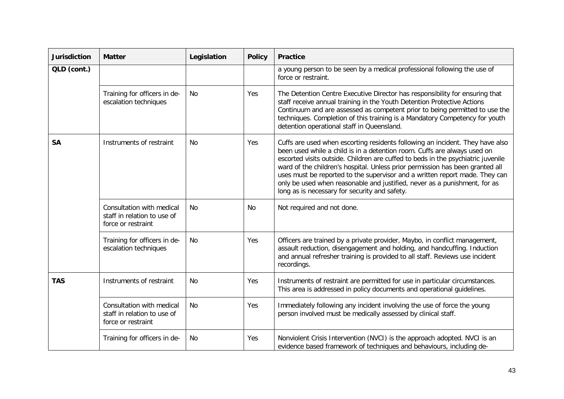| <b>Jurisdiction</b> | <b>Matter</b>                                                                  | Legislation | <b>Policy</b> | <b>Practice</b>                                                                                                                                                                                                                                                                                                                                                                                                                                                                                                                             |
|---------------------|--------------------------------------------------------------------------------|-------------|---------------|---------------------------------------------------------------------------------------------------------------------------------------------------------------------------------------------------------------------------------------------------------------------------------------------------------------------------------------------------------------------------------------------------------------------------------------------------------------------------------------------------------------------------------------------|
| QLD (cont.)         |                                                                                |             |               | a young person to be seen by a medical professional following the use of<br>force or restraint.                                                                                                                                                                                                                                                                                                                                                                                                                                             |
|                     | Training for officers in de-<br>escalation techniques                          | No.         | Yes           | The Detention Centre Executive Director has responsibility for ensuring that<br>staff receive annual training in the Youth Detention Protective Actions<br>Continuum and are assessed as competent prior to being permitted to use the<br>techniques. Completion of this training is a Mandatory Competency for youth<br>detention operational staff in Queensland.                                                                                                                                                                         |
| <b>SA</b>           | Instruments of restraint                                                       | No.         | Yes           | Cuffs are used when escorting residents following an incident. They have also<br>been used while a child is in a detention room. Cuffs are always used on<br>escorted visits outside. Children are cuffed to beds in the psychiatric juvenile<br>ward of the children's hospital. Unless prior permission has been granted all<br>uses must be reported to the supervisor and a written report made. They can<br>only be used when reasonable and justified, never as a punishment, for as<br>long as is necessary for security and safety. |
|                     | Consultation with medical<br>staff in relation to use of<br>force or restraint | No.         | No            | Not required and not done.                                                                                                                                                                                                                                                                                                                                                                                                                                                                                                                  |
|                     | Training for officers in de-<br>escalation techniques                          | No.         | Yes           | Officers are trained by a private provider, Maybo, in conflict management,<br>assault reduction, disengagement and holding, and handcuffing. Induction<br>and annual refresher training is provided to all staff. Reviews use incident<br>recordings.                                                                                                                                                                                                                                                                                       |
| <b>TAS</b>          | Instruments of restraint                                                       | No.         | Yes           | Instruments of restraint are permitted for use in particular circumstances.<br>This area is addressed in policy documents and operational guidelines.                                                                                                                                                                                                                                                                                                                                                                                       |
|                     | Consultation with medical<br>staff in relation to use of<br>force or restraint | <b>No</b>   | Yes           | Immediately following any incident involving the use of force the young<br>person involved must be medically assessed by clinical staff.                                                                                                                                                                                                                                                                                                                                                                                                    |
|                     | Training for officers in de-                                                   | No          | Yes           | Nonviolent Crisis Intervention (NVCI) is the approach adopted. NVCI is an<br>evidence based framework of techniques and behaviours, including de-                                                                                                                                                                                                                                                                                                                                                                                           |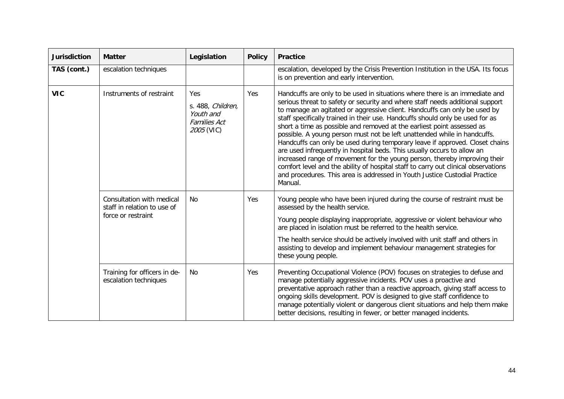| <b>Jurisdiction</b> | <b>Matter</b>                                                                                          | Legislation    | <b>Policy</b> | <b>Practice</b>                                                                                                                                                                                                                                                                                                                                                                                                                                                                                                                                                                                                                                                                                                                                                                                                                                                                                         |
|---------------------|--------------------------------------------------------------------------------------------------------|----------------|---------------|---------------------------------------------------------------------------------------------------------------------------------------------------------------------------------------------------------------------------------------------------------------------------------------------------------------------------------------------------------------------------------------------------------------------------------------------------------------------------------------------------------------------------------------------------------------------------------------------------------------------------------------------------------------------------------------------------------------------------------------------------------------------------------------------------------------------------------------------------------------------------------------------------------|
| TAS (cont.)         | escalation techniques                                                                                  |                |               | escalation, developed by the Crisis Prevention Institution in the USA. Its focus<br>is on prevention and early intervention.                                                                                                                                                                                                                                                                                                                                                                                                                                                                                                                                                                                                                                                                                                                                                                            |
| <b>VIC</b>          | Instruments of restraint<br>Yes<br>s. 488, Children,<br>Youth and<br><b>Families Act</b><br>2005 (VIC) |                | Yes           | Handcuffs are only to be used in situations where there is an immediate and<br>serious threat to safety or security and where staff needs additional support<br>to manage an agitated or aggressive client. Handcuffs can only be used by<br>staff specifically trained in their use. Handcuffs should only be used for as<br>short a time as possible and removed at the earliest point assessed as<br>possible. A young person must not be left unattended while in handcuffs.<br>Handcuffs can only be used during temporary leave if approved. Closet chains<br>are used infrequently in hospital beds. This usually occurs to allow an<br>increased range of movement for the young person, thereby improving their<br>comfort level and the ability of hospital staff to carry out clinical observations<br>and procedures. This area is addressed in Youth Justice Custodial Practice<br>Manual. |
|                     | Consultation with medical<br>staff in relation to use of<br>force or restraint                         | N <sub>0</sub> | Yes           | Young people who have been injured during the course of restraint must be<br>assessed by the health service.<br>Young people displaying inappropriate, aggressive or violent behaviour who<br>are placed in isolation must be referred to the health service.<br>The health service should be actively involved with unit staff and others in<br>assisting to develop and implement behaviour management strategies for<br>these young people.                                                                                                                                                                                                                                                                                                                                                                                                                                                          |
|                     | Training for officers in de-<br>escalation techniques                                                  | No.            | Yes           | Preventing Occupational Violence (POV) focuses on strategies to defuse and<br>manage potentially aggressive incidents. POV uses a proactive and<br>preventative approach rather than a reactive approach, giving staff access to<br>ongoing skills development. POV is designed to give staff confidence to<br>manage potentially violent or dangerous client situations and help them make<br>better decisions, resulting in fewer, or better managed incidents.                                                                                                                                                                                                                                                                                                                                                                                                                                       |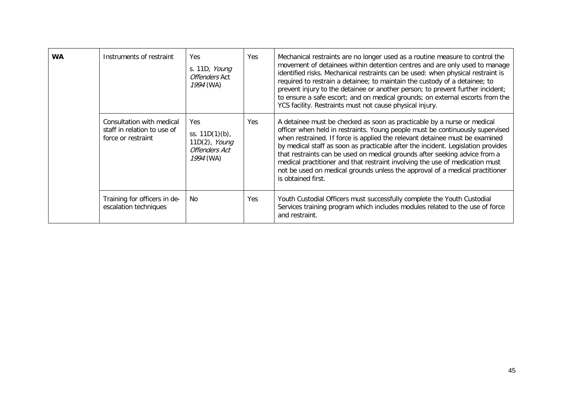| <b>WA</b> | Instruments of restraint                                                       | <b>Yes</b><br>s. 11D, <i>Young</i><br>Offenders Act<br>1994 (WA)                      | Yes | Mechanical restraints are no longer used as a routine measure to control the<br>movement of detainees within detention centres and are only used to manage<br>identified risks. Mechanical restraints can be used: when physical restraint is<br>required to restrain a detainee; to maintain the custody of a detainee; to<br>prevent injury to the detainee or another person; to prevent further incident;<br>to ensure a safe escort; and on medical grounds; on external escorts from the<br>YCS facility. Restraints must not cause physical injury.                                      |
|-----------|--------------------------------------------------------------------------------|---------------------------------------------------------------------------------------|-----|-------------------------------------------------------------------------------------------------------------------------------------------------------------------------------------------------------------------------------------------------------------------------------------------------------------------------------------------------------------------------------------------------------------------------------------------------------------------------------------------------------------------------------------------------------------------------------------------------|
|           | Consultation with medical<br>staff in relation to use of<br>force or restraint | <b>Yes</b><br>ss. 11D(1)(b),<br>$11D(2)$ , Young<br><b>Offenders Act</b><br>1994 (WA) | Yes | A detainee must be checked as soon as practicable by a nurse or medical<br>officer when held in restraints. Young people must be continuously supervised<br>when restrained. If force is applied the relevant detainee must be examined<br>by medical staff as soon as practicable after the incident. Legislation provides<br>that restraints can be used on medical grounds after seeking advice from a<br>medical practitioner and that restraint involving the use of medication must<br>not be used on medical grounds unless the approval of a medical practitioner<br>is obtained first. |
|           | Training for officers in de-<br>escalation techniques                          | No                                                                                    | Yes | Youth Custodial Officers must successfully complete the Youth Custodial<br>Services training program which includes modules related to the use of force<br>and restraint.                                                                                                                                                                                                                                                                                                                                                                                                                       |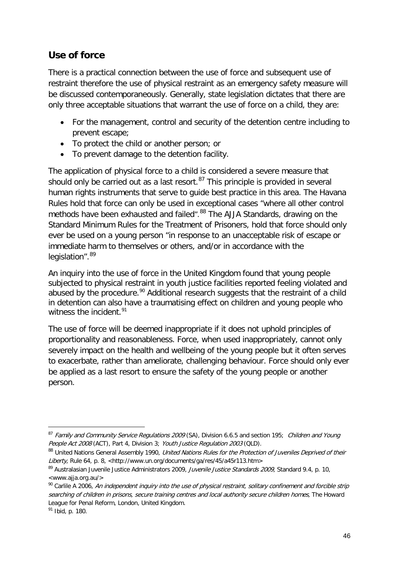## **Use of force**

There is a practical connection between the use of force and subsequent use of restraint therefore the use of physical restraint as an emergency safety measure will be discussed contemporaneously. Generally, state legislation dictates that there are only three acceptable situations that warrant the use of force on a child, they are:

- For the management, control and security of the detention centre including to prevent escape;
- To protect the child or another person; or
- To prevent damage to the detention facility.

The application of physical force to a child is considered a severe measure that should only be carried out as a last resort. $87$  This principle is provided in several human rights instruments that serve to guide best practice in this area. The Havana Rules hold that force can only be used in exceptional cases "where all other control methods have been exhausted and failed".<sup>[88](#page-45-0)</sup> The AJJA Standards, drawing on the Standard Minimum Rules for the Treatment of Prisoners, hold that force should only ever be used on a young person "in response to an unacceptable risk of escape or immediate harm to themselves or others, and/or in accordance with the legislation".<sup>[89](#page-45-1)</sup>

An inquiry into the use of force in the United Kingdom found that young people subjected to physical restraint in youth justice facilities reported feeling violated and abused by the procedure.<sup>[90](#page-45-2)</sup> Additional research suggests that the restraint of a child in detention can also have a traumatising effect on children and young people who witness the incident.<sup>[91](#page-45-3)</sup>

The use of force will be deemed inappropriate if it does not uphold principles of proportionality and reasonableness. Force, when used inappropriately, cannot only severely impact on the health and wellbeing of the young people but it often serves to exacerbate, rather than ameliorate, challenging behaviour. Force should only ever be applied as a last resort to ensure the safety of the young people or another person.

<sup>-</sup>87 Family and Community Service Regulations 2009 (SA), Division 6.6.5 and section 195; Children and Young People Act 2008 (ACT), Part 4, Division 3; Youth Justice Regulation 2003 (QLD).

<span id="page-45-4"></span><span id="page-45-0"></span><sup>88</sup> United Nations General Assembly 1990, United Nations Rules for the Protection of Juveniles Deprived of their Liberty, Rule 64, p. 8, <http://www.un.org/documents/ga/res/45/a45r113.htm>

<span id="page-45-1"></span><sup>&</sup>lt;sup>89</sup> Australasian Juvenile Justice Administrators 2009, *Juvenile Justice Standards 2009*, Standard 9.4, p. 10, <www.ajja.org.au/>

<span id="page-45-2"></span> $90$  Carlile A 2006, An independent inquiry into the use of physical restraint, solitary confinement and forcible strip searching of children in prisons, secure training centres and local authority secure children homes, The Howard League for Penal Reform, London, United Kingdom.

<span id="page-45-3"></span> $91$  Ibid, p. 180.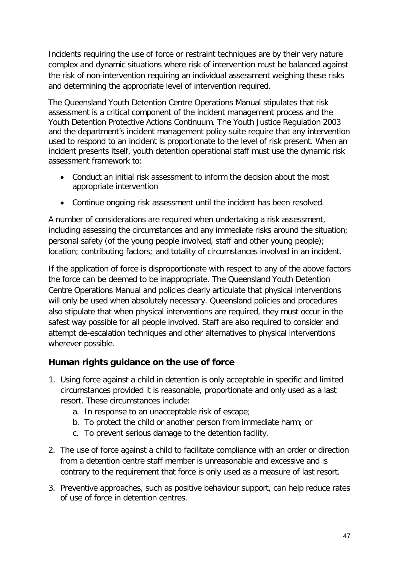Incidents requiring the use of force or restraint techniques are by their very nature complex and dynamic situations where risk of intervention must be balanced against the risk of non-intervention requiring an individual assessment weighing these risks and determining the appropriate level of intervention required.

The Queensland Youth Detention Centre Operations Manual stipulates that risk assessment is a critical component of the incident management process and the Youth Detention Protective Actions Continuum. The Youth Justice Regulation 2003 and the department's incident management policy suite require that any intervention used to respond to an incident is proportionate to the level of risk present. When an incident presents itself, youth detention operational staff must use the dynamic risk assessment framework to:

- Conduct an initial risk assessment to inform the decision about the most appropriate intervention
- Continue ongoing risk assessment until the incident has been resolved.

A number of considerations are required when undertaking a risk assessment, including assessing the circumstances and any immediate risks around the situation; personal safety (of the young people involved, staff and other young people); location; contributing factors; and totality of circumstances involved in an incident.

If the application of force is disproportionate with respect to any of the above factors the force can be deemed to be inappropriate. The Queensland Youth Detention Centre Operations Manual and policies clearly articulate that physical interventions will only be used when absolutely necessary. Queensland policies and procedures also stipulate that when physical interventions are required, they must occur in the safest way possible for all people involved. Staff are also required to consider and attempt de-escalation techniques and other alternatives to physical interventions wherever possible.

# **Human rights guidance on the use of force**

- 1. Using force against a child in detention is only acceptable in specific and limited circumstances provided it is reasonable, proportionate and only used as a last resort. These circumstances include:
	- a. In response to an unacceptable risk of escape;
	- b. To protect the child or another person from immediate harm; or
	- c. To prevent serious damage to the detention facility.
- 2. The use of force against a child to facilitate compliance with an order or direction from a detention centre staff member is unreasonable and excessive and is contrary to the requirement that force is only used as a measure of last resort.
- 3. Preventive approaches, such as positive behaviour support, can help reduce rates of use of force in detention centres.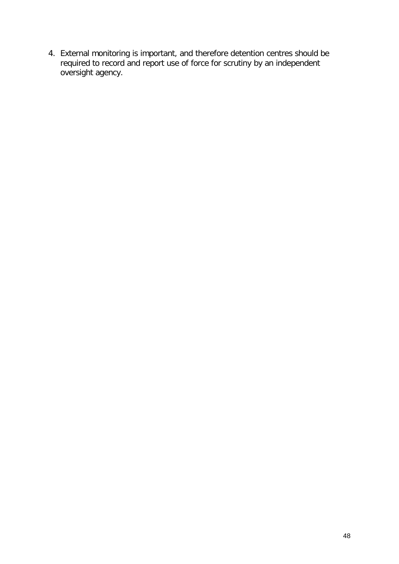4. External monitoring is important, and therefore detention centres should be required to record and report use of force for scrutiny by an independent oversight agency.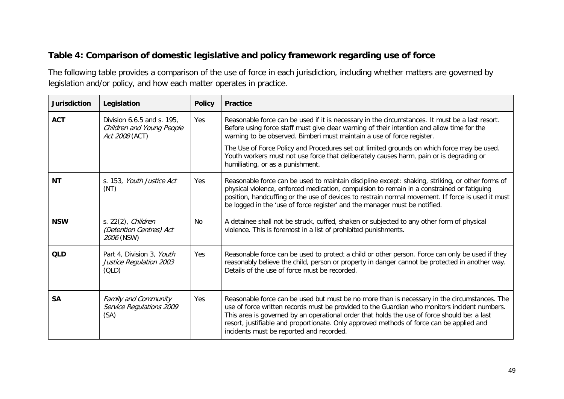# **Table 4: Comparison of domestic legislative and policy framework regarding use of force**

The following table provides a comparison of the use of force in each jurisdiction, including whether matters are governed by legislation and/or policy, and how each matter operates in practice.

| <b>Jurisdiction</b> | Legislation                                                               | <b>Policy</b> | <b>Practice</b>                                                                                                                                                                                                                                                                                                                                                                                                                     |
|---------------------|---------------------------------------------------------------------------|---------------|-------------------------------------------------------------------------------------------------------------------------------------------------------------------------------------------------------------------------------------------------------------------------------------------------------------------------------------------------------------------------------------------------------------------------------------|
| <b>ACT</b>          | Division 6.6.5 and s. 195,<br>Children and Young People<br>Act 2008 (ACT) | Yes           | Reasonable force can be used if it is necessary in the circumstances. It must be a last resort.<br>Before using force staff must give clear warning of their intention and allow time for the<br>warning to be observed. Bimberi must maintain a use of force register.                                                                                                                                                             |
|                     |                                                                           |               | The Use of Force Policy and Procedures set out limited grounds on which force may be used.<br>Youth workers must not use force that deliberately causes harm, pain or is degrading or<br>humiliating, or as a punishment.                                                                                                                                                                                                           |
| <b>NT</b>           | s. 153, Youth Justice Act<br>(NT)                                         | Yes           | Reasonable force can be used to maintain discipline except: shaking, striking, or other forms of<br>physical violence, enforced medication, compulsion to remain in a constrained or fatiguing<br>position, handcuffing or the use of devices to restrain normal movement. If force is used it must<br>be logged in the 'use of force register' and the manager must be notified.                                                   |
| <b>NSW</b>          | s. $22(2)$ , <i>Children</i><br>(Detention Centres) Act<br>2006 (NSW)     | No.           | A detainee shall not be struck, cuffed, shaken or subjected to any other form of physical<br>violence. This is foremost in a list of prohibited punishments.                                                                                                                                                                                                                                                                        |
| <b>QLD</b>          | Part 4, Division 3, Youth<br>Justice Regulation 2003<br>(OLD)             | Yes           | Reasonable force can be used to protect a child or other person. Force can only be used if they<br>reasonably believe the child, person or property in danger cannot be protected in another way.<br>Details of the use of force must be recorded.                                                                                                                                                                                  |
| <b>SA</b>           | Family and Community<br>Service Regulations 2009<br>(SA)                  | Yes           | Reasonable force can be used but must be no more than is necessary in the circumstances. The<br>use of force written records must be provided to the Guardian who monitors incident numbers.<br>This area is governed by an operational order that holds the use of force should be: a last<br>resort, justifiable and proportionate. Only approved methods of force can be applied and<br>incidents must be reported and recorded. |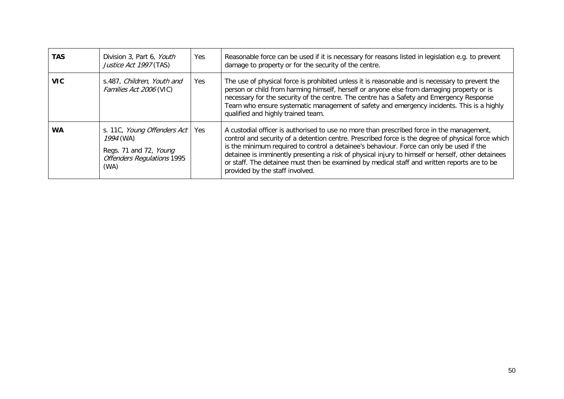| <b>TAS</b> | Division 3, Part 6, Youth<br>Justice Act 1997 (TAS)                                                             | Yes.       | Reasonable force can be used if it is necessary for reasons listed in legislation e.g. to prevent<br>damage to property or for the security of the centre.                                                                                                                                                                                                                                                                                                                                                                          |
|------------|-----------------------------------------------------------------------------------------------------------------|------------|-------------------------------------------------------------------------------------------------------------------------------------------------------------------------------------------------------------------------------------------------------------------------------------------------------------------------------------------------------------------------------------------------------------------------------------------------------------------------------------------------------------------------------------|
| VIC.       | s.487, Children, Youth and<br>Families Act 2006 (VIC)                                                           | <b>Yes</b> | The use of physical force is prohibited unless it is reasonable and is necessary to prevent the<br>person or child from harming himself, herself or anyone else from damaging property or is<br>necessary for the security of the centre. The centre has a Safety and Emergency Response<br>Team who ensure systematic management of safety and emergency incidents. This is a highly<br>qualified and highly trained team.                                                                                                         |
| <b>WA</b>  | s. 11C, Young Offenders Act<br>1994 (WA)<br>Regs. 71 and 72, Young<br><b>Offenders Regulations 1995</b><br>(WA) | Yes        | A custodial officer is authorised to use no more than prescribed force in the management,<br>control and security of a detention centre. Prescribed force is the degree of physical force which<br>is the minimum required to control a detainee's behaviour. Force can only be used if the<br>detainee is imminently presenting a risk of physical injury to himself or herself, other detainees<br>or staff. The detainee must then be examined by medical staff and written reports are to be<br>provided by the staff involved. |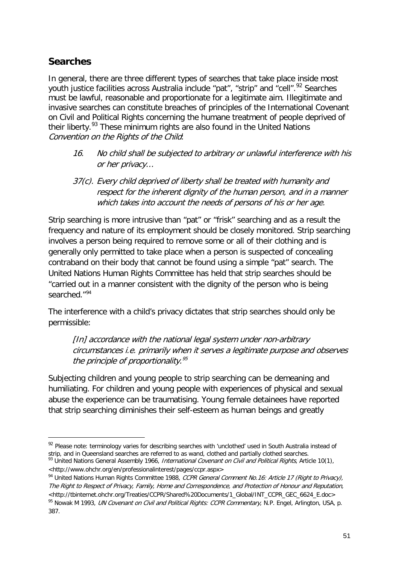# **Searches**

-

In general, there are three different types of searches that take place inside most youth justice facilities across Australia include "pat", "strip" and "cell".<sup>[92](#page-45-4)</sup> Searches must be lawful, reasonable and proportionate for a legitimate aim. Illegitimate and invasive searches can constitute breaches of principles of the International Covenant on Civil and Political Rights concerning the humane treatment of people deprived of their liberty.<sup>[93](#page-50-0)</sup> These minimum rights are also found in the United Nations Convention on the Rights of the Child:

- 16. No child shall be subjected to arbitrary or unlawful interference with his or her privacy…
- 37(c). Every child deprived of liberty shall be treated with humanity and respect for the inherent dignity of the human person, and in a manner which takes into account the needs of persons of his or her age.

Strip searching is more intrusive than "pat" or "frisk" searching and as a result the frequency and nature of its employment should be closely monitored. Strip searching involves a person being required to remove some or all of their clothing and is generally only permitted to take place when a person is suspected of concealing contraband on their body that cannot be found using a simple "pat" search. The United Nations Human Rights Committee has held that strip searches should be "carried out in a manner consistent with the dignity of the person who is being searched."[94](#page-50-1)

The interference with a child's privacy dictates that strip searches should only be permissible:

[In] accordance with the national legal system under non-arbitrary circumstances i.e. primarily when it serves a legitimate purpose and observes the principle of proportionality.<sup>[95](#page-50-2)</sup>

Subjecting children and young people to strip searching can be demeaning and humiliating. For children and young people with experiences of physical and sexual abuse the experience can be traumatising. Young female detainees have reported that strip searching diminishes their self-esteem as human beings and greatly

<sup>92</sup> Please note: terminology varies for describing searches with 'unclothed' used in South Australia instead of strip, and in Queensland searches are referred to as wand, clothed and partially clothed searches. 93 United Nations General Assembly 1966, International Covenant on Civil and Political Rights, Article 10(1),

<span id="page-50-3"></span><span id="page-50-0"></span><sup>&</sup>lt;http://www.ohchr.org/en/professionalinterest/pages/ccpr.aspx>

<span id="page-50-1"></span><sup>94</sup> United Nations Human Rights Committee 1988, CCPR General Comment No. 16: Article 17 (Right to Privacy), The Right to Respect of Privacy, Family, Home and Correspondence, and Protection of Honour and Reputation, <http://tbinternet.ohchr.org/Treaties/CCPR/Shared%20Documents/1\_Global/INT\_CCPR\_GEC\_6624\_E.doc>

<span id="page-50-2"></span><sup>95</sup> Nowak M 1993, UN Covenant on Civil and Political Rights: CCPR Commentary, N.P. Engel, Arlington, USA, p. 387.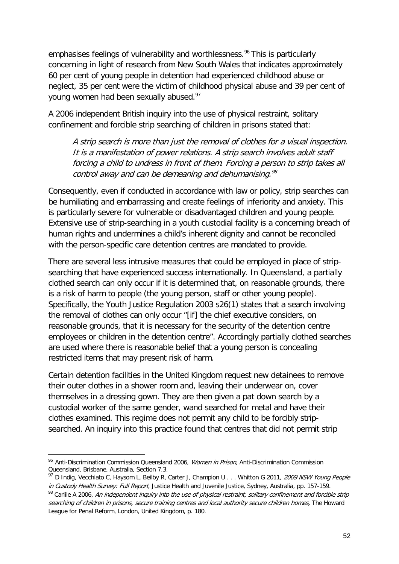emphasises feelings of vulnerability and worthlessness.<sup>[96](#page-50-3)</sup> This is particularly concerning in light of research from New South Wales that indicates approximately 60 per cent of young people in detention had experienced childhood abuse or neglect, 35 per cent were the victim of childhood physical abuse and 39 per cent of young women had been sexually abused.<sup>97</sup>

A 2006 independent British inquiry into the use of physical restraint, solitary confinement and forcible strip searching of children in prisons stated that:

A strip search is more than just the removal of clothes for a visual inspection. It is a manifestation of power relations. A strip search involves adult staff forcing a child to undress in front of them. Forcing a person to strip takes all control away and can be demeaning and dehumanising. $98$ 

Consequently, even if conducted in accordance with law or policy, strip searches can be humiliating and embarrassing and create feelings of inferiority and anxiety. This is particularly severe for vulnerable or disadvantaged children and young people. Extensive use of strip-searching in a youth custodial facility is a concerning breach of human rights and undermines a child's inherent dignity and cannot be reconciled with the person-specific care detention centres are mandated to provide.

There are several less intrusive measures that could be employed in place of stripsearching that have experienced success internationally. In Queensland, a partially clothed search can only occur if it is determined that, on reasonable grounds, there is a risk of harm to people (the young person, staff or other young people). Specifically, the Youth Justice Regulation 2003 s26(1) states that a search involving the removal of clothes can only occur "[if] the chief executive considers, on reasonable grounds, that it is necessary for the security of the detention centre employees or children in the detention centre". Accordingly partially clothed searches are used where there is reasonable belief that a young person is concealing restricted items that may present risk of harm.

Certain detention facilities in the United Kingdom request new detainees to remove their outer clothes in a shower room and, leaving their underwear on, cover themselves in a dressing gown. They are then given a pat down search by a custodial worker of the same gender, wand searched for metal and have their clothes examined. This regime does not permit any child to be forcibly stripsearched. An inquiry into this practice found that centres that did not permit strip

<sup>&</sup>lt;sup>96</sup> Anti-Discrimination Commission Queensland 2006, *Women in Prison*, Anti-Discrimination Commission Queensland, Brisbane, Australia, Section 7.3.

<span id="page-51-0"></span><sup>&</sup>lt;sup>97</sup> D Indig, Vecchiato C, Haysom L, Beilby R, Carter J, Champion U . . . Whitton G 2011, 2009 NSW Young People in Custody Health Survey: Full Report, Justice Health and Juvenile Justice, Sydney, Australia, pp. 157-159.

<span id="page-51-1"></span><sup>98</sup> Carlile A 2006, An independent inquiry into the use of physical restraint, solitary confinement and forcible strip searching of children in prisons, secure training centres and local authority secure children homes, The Howard League for Penal Reform, London, United Kingdom, p. 180.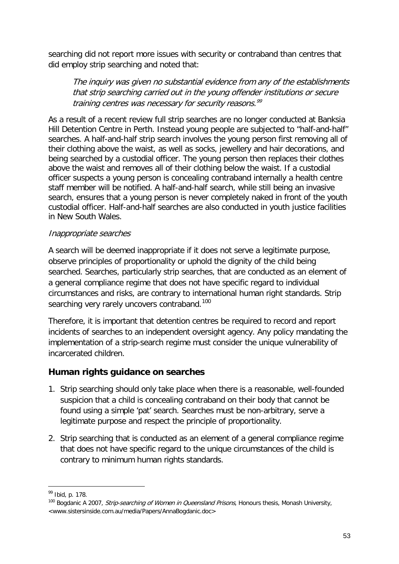searching did not report more issues with security or contraband than centres that did employ strip searching and noted that:

The inquiry was given no substantial evidence from any of the establishments that strip searching carried out in the young offender institutions or secure training centres was necessary for security reasons.<sup>[99](#page-51-1)</sup>

As a result of a recent review full strip searches are no longer conducted at Banksia Hill Detention Centre in Perth. Instead young people are subjected to "half-and-half" searches. A half-and-half strip search involves the young person first removing all of their clothing above the waist, as well as socks, jewellery and hair decorations, and being searched by a custodial officer. The young person then replaces their clothes above the waist and removes all of their clothing below the waist. If a custodial officer suspects a young person is concealing contraband internally a health centre staff member will be notified. A half-and-half search, while still being an invasive search, ensures that a young person is never completely naked in front of the youth custodial officer. Half-and-half searches are also conducted in youth justice facilities in New South Wales.

#### Inappropriate searches

A search will be deemed inappropriate if it does not serve a legitimate purpose, observe principles of proportionality or uphold the dignity of the child being searched. Searches, particularly strip searches, that are conducted as an element of a general compliance regime that does not have specific regard to individual circumstances and risks, are contrary to international human right standards. Strip searching very rarely uncovers contraband.<sup>[100](#page-52-0)</sup>

Therefore, it is important that detention centres be required to record and report incidents of searches to an independent oversight agency. Any policy mandating the implementation of a strip-search regime must consider the unique vulnerability of incarcerated children.

#### **Human rights guidance on searches**

- 1. Strip searching should only take place when there is a reasonable, well-founded suspicion that a child is concealing contraband on their body that cannot be found using a simple 'pat' search. Searches must be non-arbitrary, serve a legitimate purpose and respect the principle of proportionality.
- 2. Strip searching that is conducted as an element of a general compliance regime that does not have specific regard to the unique circumstances of the child is contrary to minimum human rights standards.

<sup>99</sup> Ibid, p. 178.

<span id="page-52-0"></span><sup>&</sup>lt;sup>100</sup> Bogdanic A 2007, *Strip-searching of Women in Queensland Prisons*, Honours thesis, Monash University, <www.sistersinside.com.au/media/Papers/AnnaBogdanic.doc>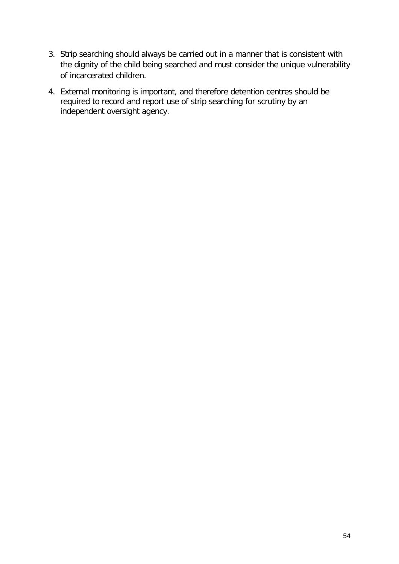- 3. Strip searching should always be carried out in a manner that is consistent with the dignity of the child being searched and must consider the unique vulnerability of incarcerated children.
- 4. External monitoring is important, and therefore detention centres should be required to record and report use of strip searching for scrutiny by an independent oversight agency.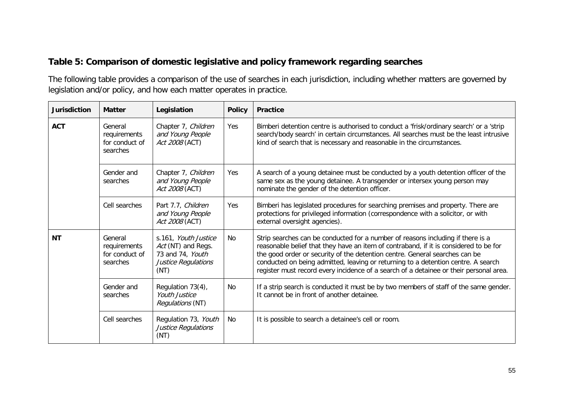### **Table 5: Comparison of domestic legislative and policy framework regarding searches**

The following table provides a comparison of the use of searches in each jurisdiction, including whether matters are governed by legislation and/or policy, and how each matter operates in practice.

| <b>Jurisdiction</b> | <b>Matter</b>                                         | Legislation                                                                                   | <b>Policy</b> | <b>Practice</b>                                                                                                                                                                                                                                                                                                                                                                                                                        |
|---------------------|-------------------------------------------------------|-----------------------------------------------------------------------------------------------|---------------|----------------------------------------------------------------------------------------------------------------------------------------------------------------------------------------------------------------------------------------------------------------------------------------------------------------------------------------------------------------------------------------------------------------------------------------|
| <b>ACT</b>          | General<br>requirements<br>for conduct of<br>searches | Chapter 7, Children<br>and Young People<br>Act 2008 (ACT)                                     | Yes           | Bimberi detention centre is authorised to conduct a 'frisk/ordinary search' or a 'strip<br>search/body search' in certain circumstances. All searches must be the least intrusive<br>kind of search that is necessary and reasonable in the circumstances.                                                                                                                                                                             |
|                     | Gender and<br>searches                                | Chapter 7, Children<br>and Young People<br>Act 2008 (ACT)                                     | Yes           | A search of a young detainee must be conducted by a youth detention officer of the<br>same sex as the young detainee. A transgender or intersex young person may<br>nominate the gender of the detention officer.                                                                                                                                                                                                                      |
|                     | Cell searches                                         | Part 7.7, Children<br>and Young People<br>Act 2008 (ACT)                                      | Yes           | Bimberi has legislated procedures for searching premises and property. There are<br>protections for privileged information (correspondence with a solicitor, or with<br>external oversight agencies).                                                                                                                                                                                                                                  |
| <b>NT</b>           | General<br>requirements<br>for conduct of<br>searches | s.161, Youth Justice<br>Act (NT) and Regs.<br>73 and 74, Youth<br>Justice Regulations<br>(NT) | <b>No</b>     | Strip searches can be conducted for a number of reasons including if there is a<br>reasonable belief that they have an item of contraband, if it is considered to be for<br>the good order or security of the detention centre. General searches can be<br>conducted on being admitted, leaving or returning to a detention centre. A search<br>register must record every incidence of a search of a detainee or their personal area. |
|                     | Gender and<br>searches                                | Regulation 73(4),<br><b>Youth Justice</b><br>Regulations (NT)                                 | <b>No</b>     | If a strip search is conducted it must be by two members of staff of the same gender.<br>It cannot be in front of another detainee.                                                                                                                                                                                                                                                                                                    |
|                     | Cell searches                                         | Regulation 73, Youth<br>Justice Regulations<br>(NT)                                           | <b>No</b>     | It is possible to search a detainee's cell or room.                                                                                                                                                                                                                                                                                                                                                                                    |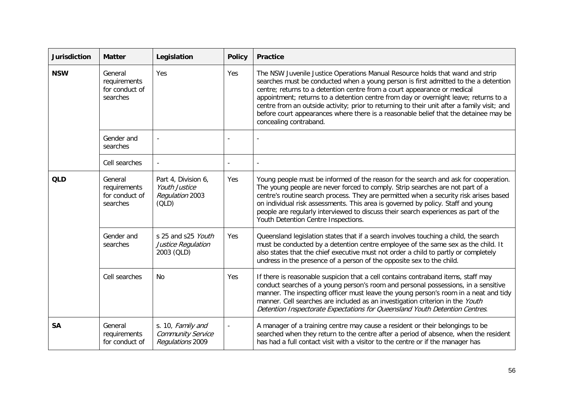| <b>Jurisdiction</b> | <b>Matter</b>                                         | Legislation                                                                    | <b>Policy</b> | <b>Practice</b>                                                                                                                                                                                                                                                                                                                                                                                                                                                                                                                                           |
|---------------------|-------------------------------------------------------|--------------------------------------------------------------------------------|---------------|-----------------------------------------------------------------------------------------------------------------------------------------------------------------------------------------------------------------------------------------------------------------------------------------------------------------------------------------------------------------------------------------------------------------------------------------------------------------------------------------------------------------------------------------------------------|
| <b>NSW</b>          | General<br>requirements<br>for conduct of<br>searches | Yes                                                                            | Yes           | The NSW Juvenile Justice Operations Manual Resource holds that wand and strip<br>searches must be conducted when a young person is first admitted to the a detention<br>centre; returns to a detention centre from a court appearance or medical<br>appointment; returns to a detention centre from day or overnight leave; returns to a<br>centre from an outside activity; prior to returning to their unit after a family visit; and<br>before court appearances where there is a reasonable belief that the detainee may be<br>concealing contraband. |
|                     | Gender and<br>searches                                |                                                                                |               |                                                                                                                                                                                                                                                                                                                                                                                                                                                                                                                                                           |
|                     | Cell searches                                         |                                                                                |               |                                                                                                                                                                                                                                                                                                                                                                                                                                                                                                                                                           |
| <b>QLD</b>          | General<br>requirements<br>for conduct of<br>searches | Part 4, Division 6,<br><b>Youth Justice</b><br><b>Regulation 2003</b><br>(OLD) | Yes           | Young people must be informed of the reason for the search and ask for cooperation.<br>The young people are never forced to comply. Strip searches are not part of a<br>centre's routine search process. They are permitted when a security risk arises based<br>on individual risk assessments. This area is governed by policy. Staff and young<br>people are regularly interviewed to discuss their search experiences as part of the<br>Youth Detention Centre Inspections.                                                                           |
|                     | Gender and<br>searches                                | s 25 and s25 Youth<br>Justice Regulation<br>2003 (QLD)                         | Yes           | Queensland legislation states that if a search involves touching a child, the search<br>must be conducted by a detention centre employee of the same sex as the child. It<br>also states that the chief executive must not order a child to partly or completely<br>undress in the presence of a person of the opposite sex to the child.                                                                                                                                                                                                                 |
|                     | Cell searches                                         | N <sub>0</sub>                                                                 | Yes           | If there is reasonable suspicion that a cell contains contraband items, staff may<br>conduct searches of a young person's room and personal possessions, in a sensitive<br>manner. The inspecting officer must leave the young person's room in a neat and tidy<br>manner. Cell searches are included as an investigation criterion in the Youth<br>Detention Inspectorate Expectations for Queensland Youth Detention Centres.                                                                                                                           |
| <b>SA</b>           | General<br>requirements<br>for conduct of             | s. 10, Family and<br><b>Community Service</b><br>Regulations 2009              |               | A manager of a training centre may cause a resident or their belongings to be<br>searched when they return to the centre after a period of absence, when the resident<br>has had a full contact visit with a visitor to the centre or if the manager has                                                                                                                                                                                                                                                                                                  |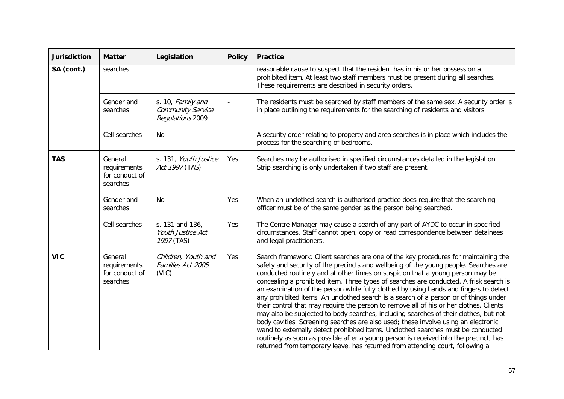| <b>Jurisdiction</b> | <b>Matter</b>                                         | Legislation                                                       | <b>Policy</b> | <b>Practice</b>                                                                                                                                                                                                                                                                                                                                                                                                                                                                                                                                                                                                                                                                                                                                                                                                                                                                                                                                                                                                                                                                |
|---------------------|-------------------------------------------------------|-------------------------------------------------------------------|---------------|--------------------------------------------------------------------------------------------------------------------------------------------------------------------------------------------------------------------------------------------------------------------------------------------------------------------------------------------------------------------------------------------------------------------------------------------------------------------------------------------------------------------------------------------------------------------------------------------------------------------------------------------------------------------------------------------------------------------------------------------------------------------------------------------------------------------------------------------------------------------------------------------------------------------------------------------------------------------------------------------------------------------------------------------------------------------------------|
| SA (cont.)          | searches                                              |                                                                   |               | reasonable cause to suspect that the resident has in his or her possession a<br>prohibited item. At least two staff members must be present during all searches.<br>These requirements are described in security orders.                                                                                                                                                                                                                                                                                                                                                                                                                                                                                                                                                                                                                                                                                                                                                                                                                                                       |
|                     | Gender and<br>searches                                | s. 10, Family and<br><b>Community Service</b><br>Regulations 2009 |               | The residents must be searched by staff members of the same sex. A security order is<br>in place outlining the requirements for the searching of residents and visitors.                                                                                                                                                                                                                                                                                                                                                                                                                                                                                                                                                                                                                                                                                                                                                                                                                                                                                                       |
|                     | Cell searches                                         | No                                                                |               | A security order relating to property and area searches is in place which includes the<br>process for the searching of bedrooms.                                                                                                                                                                                                                                                                                                                                                                                                                                                                                                                                                                                                                                                                                                                                                                                                                                                                                                                                               |
| <b>TAS</b>          | General<br>requirements<br>for conduct of<br>searches | s. 131, Youth Justice<br>Act 1997 (TAS)                           | Yes           | Searches may be authorised in specified circumstances detailed in the legislation.<br>Strip searching is only undertaken if two staff are present.                                                                                                                                                                                                                                                                                                                                                                                                                                                                                                                                                                                                                                                                                                                                                                                                                                                                                                                             |
|                     | Gender and<br>searches                                | No                                                                | Yes           | When an unclothed search is authorised practice does require that the searching<br>officer must be of the same gender as the person being searched.                                                                                                                                                                                                                                                                                                                                                                                                                                                                                                                                                                                                                                                                                                                                                                                                                                                                                                                            |
|                     | Cell searches                                         | s. 131 and 136,<br>Youth Justice Act<br>1997 (TAS)                | Yes           | The Centre Manager may cause a search of any part of AYDC to occur in specified<br>circumstances. Staff cannot open, copy or read correspondence between detainees<br>and legal practitioners.                                                                                                                                                                                                                                                                                                                                                                                                                                                                                                                                                                                                                                                                                                                                                                                                                                                                                 |
| <b>VIC</b>          | General<br>requirements<br>for conduct of<br>searches | Children, Youth and<br>Families Act 2005<br>(VIC)                 | Yes           | Search framework: Client searches are one of the key procedures for maintaining the<br>safety and security of the precincts and wellbeing of the young people. Searches are<br>conducted routinely and at other times on suspicion that a young person may be<br>concealing a prohibited item. Three types of searches are conducted. A frisk search is<br>an examination of the person while fully clothed by using hands and fingers to detect<br>any prohibited items. An unclothed search is a search of a person or of things under<br>their control that may require the person to remove all of his or her clothes. Clients<br>may also be subjected to body searches, including searches of their clothes, but not<br>body cavities. Screening searches are also used; these involve using an electronic<br>wand to externally detect prohibited items. Unclothed searches must be conducted<br>routinely as soon as possible after a young person is received into the precinct, has<br>returned from temporary leave, has returned from attending court, following a |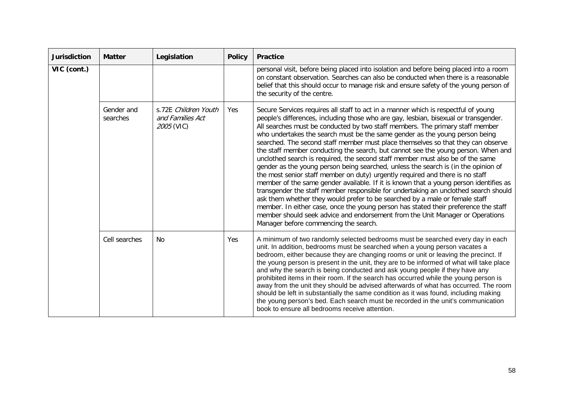| <b>Jurisdiction</b> | <b>Matter</b>          | Legislation                                                   | <b>Policy</b> | <b>Practice</b>                                                                                                                                                                                                                                                                                                                                                                                                                                                                                                                                                                                                                                                                                                                                                                                                                                                                                                                                                                                                                                                                                                                                                                                                                                              |
|---------------------|------------------------|---------------------------------------------------------------|---------------|--------------------------------------------------------------------------------------------------------------------------------------------------------------------------------------------------------------------------------------------------------------------------------------------------------------------------------------------------------------------------------------------------------------------------------------------------------------------------------------------------------------------------------------------------------------------------------------------------------------------------------------------------------------------------------------------------------------------------------------------------------------------------------------------------------------------------------------------------------------------------------------------------------------------------------------------------------------------------------------------------------------------------------------------------------------------------------------------------------------------------------------------------------------------------------------------------------------------------------------------------------------|
| VIC (cont.)         |                        |                                                               |               | personal visit, before being placed into isolation and before being placed into a room<br>on constant observation. Searches can also be conducted when there is a reasonable<br>belief that this should occur to manage risk and ensure safety of the young person of<br>the security of the centre.                                                                                                                                                                                                                                                                                                                                                                                                                                                                                                                                                                                                                                                                                                                                                                                                                                                                                                                                                         |
|                     | Gender and<br>searches | s.72E Children Youth<br>and Families Act<br><i>2005</i> (VIC) | Yes           | Secure Services requires all staff to act in a manner which is respectful of young<br>people's differences, including those who are gay, lesbian, bisexual or transgender.<br>All searches must be conducted by two staff members. The primary staff member<br>who undertakes the search must be the same gender as the young person being<br>searched. The second staff member must place themselves so that they can observe<br>the staff member conducting the search, but cannot see the young person. When and<br>unclothed search is required, the second staff member must also be of the same<br>gender as the young person being searched, unless the search is (in the opinion of<br>the most senior staff member on duty) urgently required and there is no staff<br>member of the same gender available. If it is known that a young person identifies as<br>transgender the staff member responsible for undertaking an unclothed search should<br>ask them whether they would prefer to be searched by a male or female staff<br>member. In either case, once the young person has stated their preference the staff<br>member should seek advice and endorsement from the Unit Manager or Operations<br>Manager before commencing the search. |
|                     | Cell searches          | No                                                            | Yes           | A minimum of two randomly selected bedrooms must be searched every day in each<br>unit. In addition, bedrooms must be searched when a young person vacates a<br>bedroom, either because they are changing rooms or unit or leaving the precinct. If<br>the young person is present in the unit, they are to be informed of what will take place<br>and why the search is being conducted and ask young people if they have any<br>prohibited items in their room. If the search has occurred while the young person is<br>away from the unit they should be advised afterwards of what has occurred. The room<br>should be left in substantially the same condition as it was found, including making<br>the young person's bed. Each search must be recorded in the unit's communication<br>book to ensure all bedrooms receive attention.                                                                                                                                                                                                                                                                                                                                                                                                                  |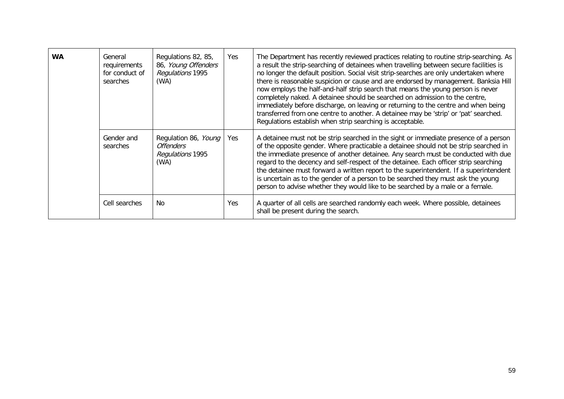| <b>WA</b> | General<br>requirements<br>for conduct of<br>searches | Regulations 82, 85,<br>86, Young Offenders<br>Regulations 1995<br>(WA) | Yes | The Department has recently reviewed practices relating to routine strip-searching. As<br>a result the strip-searching of detainees when travelling between secure facilities is<br>no longer the default position. Social visit strip-searches are only undertaken where<br>there is reasonable suspicion or cause and are endorsed by management. Banksia Hill<br>now employs the half-and-half strip search that means the young person is never<br>completely naked. A detainee should be searched on admission to the centre,<br>immediately before discharge, on leaving or returning to the centre and when being<br>transferred from one centre to another. A detainee may be 'strip' or 'pat' searched.<br>Regulations establish when strip searching is acceptable. |
|-----------|-------------------------------------------------------|------------------------------------------------------------------------|-----|-------------------------------------------------------------------------------------------------------------------------------------------------------------------------------------------------------------------------------------------------------------------------------------------------------------------------------------------------------------------------------------------------------------------------------------------------------------------------------------------------------------------------------------------------------------------------------------------------------------------------------------------------------------------------------------------------------------------------------------------------------------------------------|
|           | Gender and<br>searches                                | Regulation 86, Young<br><i>Offenders</i><br>Regulations 1995<br>(WA)   | Yes | A detainee must not be strip searched in the sight or immediate presence of a person<br>of the opposite gender. Where practicable a detainee should not be strip searched in<br>the immediate presence of another detainee. Any search must be conducted with due<br>regard to the decency and self-respect of the detainee. Each officer strip searching<br>the detainee must forward a written report to the superintendent. If a superintendent<br>is uncertain as to the gender of a person to be searched they must ask the young<br>person to advise whether they would like to be searched by a male or a female.                                                                                                                                                      |
|           | Cell searches                                         | No                                                                     | Yes | A quarter of all cells are searched randomly each week. Where possible, detainees<br>shall be present during the search.                                                                                                                                                                                                                                                                                                                                                                                                                                                                                                                                                                                                                                                      |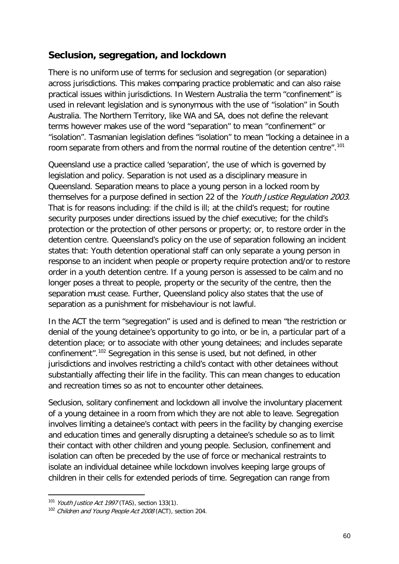# **Seclusion, segregation, and lockdown**

There is no uniform use of terms for seclusion and segregation (or separation) across jurisdictions. This makes comparing practice problematic and can also raise practical issues within jurisdictions. In Western Australia the term "confinement" is used in relevant legislation and is synonymous with the use of "isolation" in South Australia. The Northern Territory, like WA and SA, does not define the relevant terms however makes use of the word "separation" to mean "confinement" or "isolation". Tasmanian legislation defines "isolation" to mean "locking a detainee in a room separate from others and from the normal routine of the detention centre".<sup>[101](#page-52-0)</sup>

Queensland use a practice called 'separation', the use of which is governed by legislation and policy. Separation is not used as a disciplinary measure in Queensland. Separation means to place a young person in a locked room by themselves for a purpose defined in section 22 of the Youth Justice Regulation 2003. That is for reasons including: if the child is ill; at the child's request; for routine security purposes under directions issued by the chief executive; for the child's protection or the protection of other persons or property; or, to restore order in the detention centre. Queensland's policy on the use of separation following an incident states that: Youth detention operational staff can only separate a young person in response to an incident when people or property require protection and/or to restore order in a youth detention centre. If a young person is assessed to be calm and no longer poses a threat to people, property or the security of the centre, then the separation must cease. Further, Queensland policy also states that the use of separation as a punishment for misbehaviour is not lawful.

In the ACT the term "segregation" is used and is defined to mean "the restriction or denial of the young detainee's opportunity to go into, or be in, a particular part of a detention place; or to associate with other young detainees; and includes separate confinement".<sup>[102](#page-59-0)</sup> Segregation in this sense is used, but not defined, in other jurisdictions and involves restricting a child's contact with other detainees without substantially affecting their life in the facility. This can mean changes to education and recreation times so as not to encounter other detainees.

Seclusion, solitary confinement and lockdown all involve the involuntary placement of a young detainee in a room from which they are not able to leave. Segregation involves limiting a detainee's contact with peers in the facility by changing exercise and education times and generally disrupting a detainee's schedule so as to limit their contact with other children and young people. Seclusion, confinement and isolation can often be preceded by the use of force or mechanical restraints to isolate an individual detainee while lockdown involves keeping large groups of children in their cells for extended periods of time. Segregation can range from

<span id="page-59-1"></span><sup>&</sup>lt;sup>101</sup> Youth Justice Act 1997 (TAS), section 133(1).

<span id="page-59-0"></span><sup>&</sup>lt;sup>102</sup> Children and Young People Act 2008 (ACT), section 204.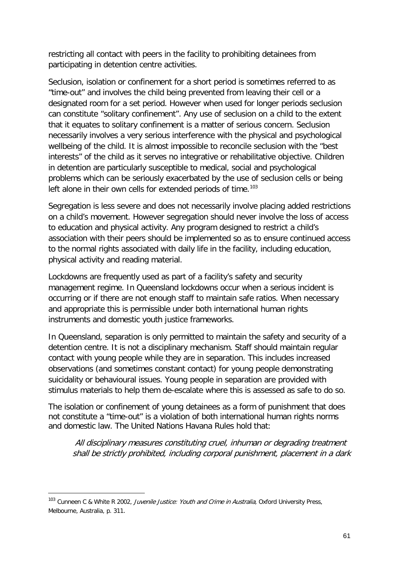restricting all contact with peers in the facility to prohibiting detainees from participating in detention centre activities.

Seclusion, isolation or confinement for a short period is sometimes referred to as "time-out" and involves the child being prevented from leaving their cell or a designated room for a set period. However when used for longer periods seclusion can constitute "solitary confinement". Any use of seclusion on a child to the extent that it equates to solitary confinement is a matter of serious concern. Seclusion necessarily involves a very serious interference with the physical and psychological wellbeing of the child. It is almost impossible to reconcile seclusion with the "best interests" of the child as it serves no integrative or rehabilitative objective. Children in detention are particularly susceptible to medical, social and psychological problems which can be seriously exacerbated by the use of seclusion cells or being left alone in their own cells for extended periods of time.<sup>[103](#page-59-1)</sup>

Segregation is less severe and does not necessarily involve placing added restrictions on a child's movement. However segregation should never involve the loss of access to education and physical activity. Any program designed to restrict a child's association with their peers should be implemented so as to ensure continued access to the normal rights associated with daily life in the facility, including education, physical activity and reading material.

Lockdowns are frequently used as part of a facility's safety and security management regime. In Queensland lockdowns occur when a serious incident is occurring or if there are not enough staff to maintain safe ratios. When necessary and appropriate this is permissible under both international human rights instruments and domestic youth justice frameworks.

In Queensland, separation is only permitted to maintain the safety and security of a detention centre. It is not a disciplinary mechanism. Staff should maintain regular contact with young people while they are in separation. This includes increased observations (and sometimes constant contact) for young people demonstrating suicidality or behavioural issues. Young people in separation are provided with stimulus materials to help them de-escalate where this is assessed as safe to do so.

The isolation or confinement of young detainees as a form of punishment that does not constitute a "time-out" is a violation of both international human rights norms and domestic law. The United Nations Havana Rules hold that:

All disciplinary measures constituting cruel, inhuman or degrading treatment shall be strictly prohibited, including corporal punishment, placement in a dark

<span id="page-60-0"></span><sup>&</sup>lt;sup>103</sup> Cunneen C & White R 2002, Juvenile Justice: Youth and Crime in Australia, Oxford University Press, Melbourne, Australia, p. 311.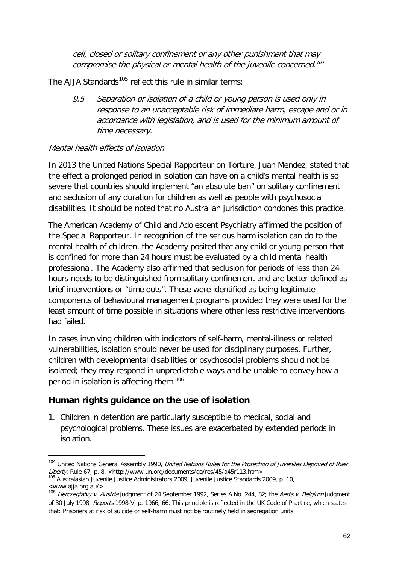cell, closed or solitary confinement or any other punishment that may compromise the physical or mental health of the juvenile concerned.<sup>[104](#page-60-0)</sup>

The AJJA Standards<sup>[105](#page-61-0)</sup> reflect this rule in similar terms:

9.5 Separation or isolation of a child or young person is used only in response to an unacceptable risk of immediate harm, escape and or in accordance with legislation, and is used for the minimum amount of time necessary.

#### Mental health effects of isolation

In 2013 the United Nations Special Rapporteur on Torture, Juan Mendez, stated that the effect a prolonged period in isolation can have on a child's mental health is so severe that countries should implement "an absolute ban" on solitary confinement and seclusion of any duration for children as well as people with psychosocial disabilities. It should be noted that no Australian jurisdiction condones this practice.

The American Academy of Child and Adolescent Psychiatry affirmed the position of the Special Rapporteur. In recognition of the serious harm isolation can do to the mental health of children, the Academy posited that any child or young person that is confined for more than 24 hours must be evaluated by a child mental health professional. The Academy also affirmed that seclusion for periods of less than 24 hours needs to be distinguished from solitary confinement and are better defined as brief interventions or "time outs". These were identified as being legitimate components of behavioural management programs provided they were used for the least amount of time possible in situations where other less restrictive interventions had failed.

In cases involving children with indicators of self-harm, mental-illness or related vulnerabilities, isolation should never be used for disciplinary purposes. Further, children with developmental disabilities or psychosocial problems should not be isolated; they may respond in unpredictable ways and be unable to convey how a period in isolation is affecting them.<sup>[106](#page-61-1)</sup>

#### **Human rights guidance on the use of isolation**

-

1. Children in detention are particularly susceptible to medical, social and psychological problems. These issues are exacerbated by extended periods in isolation.

<sup>&</sup>lt;sup>104</sup> United Nations General Assembly 1990, United Nations Rules for the Protection of Juveniles Deprived of their Liberty, Rule 67, p. 8, <http://www.un.org/documents/ga/res/45/a45r113.htm><br><sup>105</sup> Australasian Juvenile Justice Administrators 2009, Juvenile Justice Standards 2009, p. 10,

<span id="page-61-2"></span><span id="page-61-0"></span><sup>&</sup>lt;www.ajja.org.au/>

<span id="page-61-1"></span><sup>106</sup> Herczegfalvy v. Austria judgment of 24 September 1992, Series A No. 244, 82; the Aerts v. Belgium judgment of 30 July 1998, Reports 1998-V, p. 1966, 66. This principle is reflected in the UK Code of Practice, which states that: Prisoners at risk of suicide or self-harm must not be routinely held in segregation units.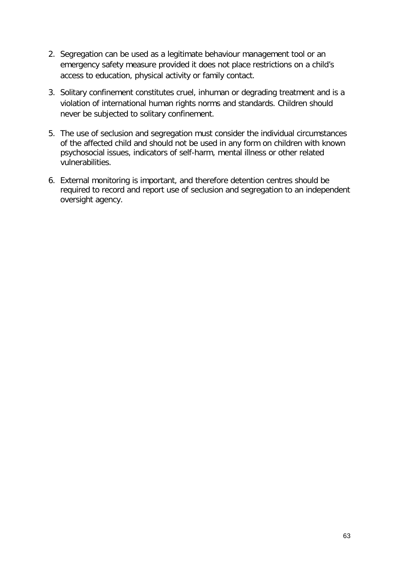- 2. Segregation can be used as a legitimate behaviour management tool or an emergency safety measure provided it does not place restrictions on a child's access to education, physical activity or family contact.
- 3. Solitary confinement constitutes cruel, inhuman or degrading treatment and is a violation of international human rights norms and standards. Children should never be subjected to solitary confinement.
- 5. The use of seclusion and segregation must consider the individual circumstances of the affected child and should not be used in any form on children with known psychosocial issues, indicators of self-harm, mental illness or other related vulnerabilities.
- 6. External monitoring is important, and therefore detention centres should be required to record and report use of seclusion and segregation to an independent oversight agency.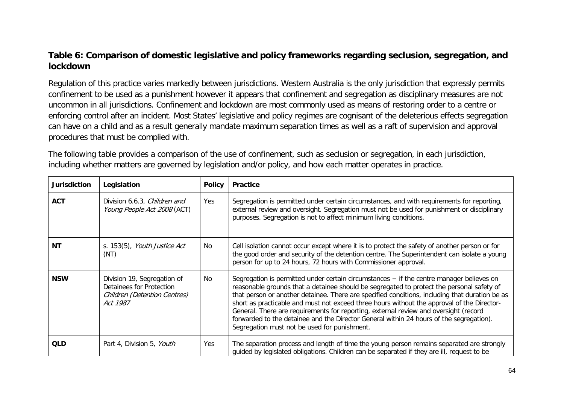#### **Table 6: Comparison of domestic legislative and policy frameworks regarding seclusion, segregation, and lockdown**

Regulation of this practice varies markedly between jurisdictions. Western Australia is the only jurisdiction that expressly permits confinement to be used as a punishment however it appears that confinement and segregation as disciplinary measures are not uncommon in all jurisdictions. Confinement and lockdown are most commonly used as means of restoring order to a centre or enforcing control after an incident. Most States' legislative and policy regimes are cognisant of the deleterious effects segregation can have on a child and as a result generally mandate maximum separation times as well as a raft of supervision and approval procedures that must be complied with.

The following table provides a comparison of the use of confinement, such as seclusion or segregation, in each jurisdiction, including whether matters are governed by legislation and/or policy, and how each matter operates in practice.

| Jurisdiction | Legislation                                                                                                | <b>Policy</b> | <b>Practice</b>                                                                                                                                                                                                                                                                                                                                                                                                                                                                                                                                                                                                            |
|--------------|------------------------------------------------------------------------------------------------------------|---------------|----------------------------------------------------------------------------------------------------------------------------------------------------------------------------------------------------------------------------------------------------------------------------------------------------------------------------------------------------------------------------------------------------------------------------------------------------------------------------------------------------------------------------------------------------------------------------------------------------------------------------|
| <b>ACT</b>   | Division 6.6.3, Children and<br>Young People Act 2008 (ACT)                                                | Yes           | Segregation is permitted under certain circumstances, and with requirements for reporting,<br>external review and oversight. Segregation must not be used for punishment or disciplinary<br>purposes. Segregation is not to affect minimum living conditions.                                                                                                                                                                                                                                                                                                                                                              |
| <b>NT</b>    | s. 153(5), <i>Youth Justice Act</i><br>(NT)                                                                | No            | Cell isolation cannot occur except where it is to protect the safety of another person or for<br>the good order and security of the detention centre. The Superintendent can isolate a young<br>person for up to 24 hours, 72 hours with Commissioner approval.                                                                                                                                                                                                                                                                                                                                                            |
| <b>NSW</b>   | Division 19, Segregation of<br>Detainees for Protection<br><b>Children (Detention Centres)</b><br>Act 1987 | No            | Segregation is permitted under certain circumstances $-$ if the centre manager believes on<br>reasonable grounds that a detainee should be segregated to protect the personal safety of<br>that person or another detainee. There are specified conditions, including that duration be as<br>short as practicable and must not exceed three hours without the approval of the Director-<br>General. There are requirements for reporting, external review and oversight (record<br>forwarded to the detainee and the Director General within 24 hours of the segregation).<br>Segregation must not be used for punishment. |
| <b>QLD</b>   | Part 4, Division 5, Youth                                                                                  | Yes           | The separation process and length of time the young person remains separated are strongly<br>guided by legislated obligations. Children can be separated if they are ill, request to be                                                                                                                                                                                                                                                                                                                                                                                                                                    |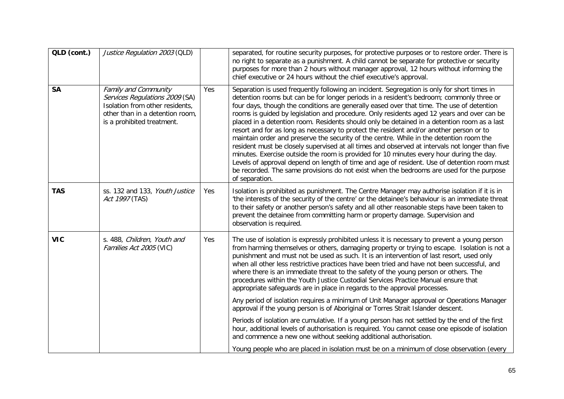| QLD (cont.) | Justice Regulation 2003 (QLD)                                                                                                                                     |     | separated, for routine security purposes, for protective purposes or to restore order. There is<br>no right to separate as a punishment. A child cannot be separate for protective or security<br>purposes for more than 2 hours without manager approval, 12 hours without informing the<br>chief executive or 24 hours without the chief executive's approval.                                                                                                                                                                                                                                                                                                                                                                                                                                                                                                                                                                                                                                                                                                                    |
|-------------|-------------------------------------------------------------------------------------------------------------------------------------------------------------------|-----|-------------------------------------------------------------------------------------------------------------------------------------------------------------------------------------------------------------------------------------------------------------------------------------------------------------------------------------------------------------------------------------------------------------------------------------------------------------------------------------------------------------------------------------------------------------------------------------------------------------------------------------------------------------------------------------------------------------------------------------------------------------------------------------------------------------------------------------------------------------------------------------------------------------------------------------------------------------------------------------------------------------------------------------------------------------------------------------|
| <b>SA</b>   | <b>Family and Community</b><br>Services Regulations 2009 (SA)<br>Isolation from other residents,<br>other than in a detention room,<br>is a prohibited treatment. | Yes | Separation is used frequently following an incident. Segregation is only for short times in<br>detention rooms but can be for longer periods in a resident's bedroom; commonly three or<br>four days, though the conditions are generally eased over that time. The use of detention<br>rooms is guided by legislation and procedure. Only residents aged 12 years and over can be<br>placed in a detention room. Residents should only be detained in a detention room as a last<br>resort and for as long as necessary to protect the resident and/or another person or to<br>maintain order and preserve the security of the centre. While in the detention room the<br>resident must be closely supervised at all times and observed at intervals not longer than five<br>minutes. Exercise outside the room is provided for 10 minutes every hour during the day.<br>Levels of approval depend on length of time and age of resident. Use of detention room must<br>be recorded. The same provisions do not exist when the bedrooms are used for the purpose<br>of separation. |
| <b>TAS</b>  | ss. 132 and 133, Youth Justice<br>Act 1997 (TAS)                                                                                                                  | Yes | Isolation is prohibited as punishment. The Centre Manager may authorise isolation if it is in<br>'the interests of the security of the centre' or the detainee's behaviour is an immediate threat<br>to their safety or another person's safety and all other reasonable steps have been taken to<br>prevent the detainee from committing harm or property damage. Supervision and<br>observation is required.                                                                                                                                                                                                                                                                                                                                                                                                                                                                                                                                                                                                                                                                      |
| <b>VIC</b>  | s. 488, Children, Youth and<br>Families Act 2005 (VIC)                                                                                                            | Yes | The use of isolation is expressly prohibited unless it is necessary to prevent a young person<br>from harming themselves or others, damaging property or trying to escape. Isolation is not a<br>punishment and must not be used as such. It is an intervention of last resort, used only<br>when all other less restrictive practices have been tried and have not been successful, and<br>where there is an immediate threat to the safety of the young person or others. The<br>procedures within the Youth Justice Custodial Services Practice Manual ensure that<br>appropriate safeguards are in place in regards to the approval processes.                                                                                                                                                                                                                                                                                                                                                                                                                                  |
|             |                                                                                                                                                                   |     | Any period of isolation requires a minimum of Unit Manager approval or Operations Manager<br>approval if the young person is of Aboriginal or Torres Strait Islander descent.                                                                                                                                                                                                                                                                                                                                                                                                                                                                                                                                                                                                                                                                                                                                                                                                                                                                                                       |
|             |                                                                                                                                                                   |     | Periods of isolation are cumulative. If a young person has not settled by the end of the first<br>hour, additional levels of authorisation is required. You cannot cease one episode of isolation<br>and commence a new one without seeking additional authorisation.                                                                                                                                                                                                                                                                                                                                                                                                                                                                                                                                                                                                                                                                                                                                                                                                               |
|             |                                                                                                                                                                   |     | Young people who are placed in isolation must be on a minimum of close observation (every                                                                                                                                                                                                                                                                                                                                                                                                                                                                                                                                                                                                                                                                                                                                                                                                                                                                                                                                                                                           |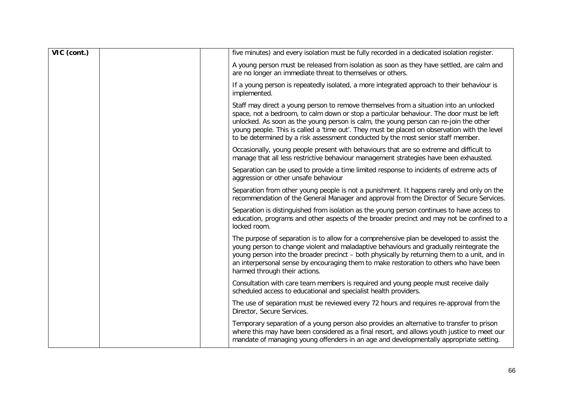| VIC (cont.) | five minutes) and every isolation must be fully recorded in a dedicated isolation register.                                                                                                                                                                                                                                                                                                                                                                     |
|-------------|-----------------------------------------------------------------------------------------------------------------------------------------------------------------------------------------------------------------------------------------------------------------------------------------------------------------------------------------------------------------------------------------------------------------------------------------------------------------|
|             | A young person must be released from isolation as soon as they have settled, are calm and<br>are no longer an immediate threat to themselves or others.                                                                                                                                                                                                                                                                                                         |
|             | If a young person is repeatedly isolated, a more integrated approach to their behaviour is<br>implemented.                                                                                                                                                                                                                                                                                                                                                      |
|             | Staff may direct a young person to remove themselves from a situation into an unlocked<br>space, not a bedroom, to calm down or stop a particular behaviour. The door must be left<br>unlocked. As soon as the young person is calm, the young person can re-join the other<br>young people. This is called a 'time out'. They must be placed on observation with the level<br>to be determined by a risk assessment conducted by the most senior staff member. |
|             | Occasionally, young people present with behaviours that are so extreme and difficult to<br>manage that all less restrictive behaviour management strategies have been exhausted.                                                                                                                                                                                                                                                                                |
|             | Separation can be used to provide a time limited response to incidents of extreme acts of<br>aggression or other unsafe behaviour                                                                                                                                                                                                                                                                                                                               |
|             | Separation from other young people is not a punishment. It happens rarely and only on the<br>recommendation of the General Manager and approval from the Director of Secure Services.                                                                                                                                                                                                                                                                           |
|             | Separation is distinguished from isolation as the young person continues to have access to<br>education, programs and other aspects of the broader precinct and may not be confined to a<br>locked room.                                                                                                                                                                                                                                                        |
|             | The purpose of separation is to allow for a comprehensive plan be developed to assist the<br>young person to change violent and maladaptive behaviours and gradually reintegrate the<br>young person into the broader precinct – both physically by returning them to a unit, and in<br>an interpersonal sense by encouraging them to make restoration to others who have been<br>harmed through their actions.                                                 |
|             | Consultation with care team members is required and young people must receive daily<br>scheduled access to educational and specialist health providers.                                                                                                                                                                                                                                                                                                         |
|             | The use of separation must be reviewed every 72 hours and requires re-approval from the<br>Director, Secure Services.                                                                                                                                                                                                                                                                                                                                           |
|             | Temporary separation of a young person also provides an alternative to transfer to prison<br>where this may have been considered as a final resort, and allows youth justice to meet our<br>mandate of managing young offenders in an age and developmentally appropriate setting.                                                                                                                                                                              |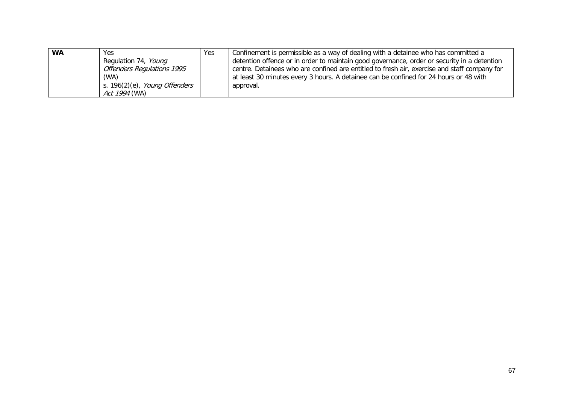| <b>WA</b> | Yes.                              | Yes | Confinement is permissible as a way of dealing with a detainee who has committed a           |
|-----------|-----------------------------------|-----|----------------------------------------------------------------------------------------------|
|           | Regulation 74, Young              |     | detention offence or in order to maintain good governance, order or security in a detention  |
|           | <b>Offenders Regulations 1995</b> |     | centre. Detainees who are confined are entitled to fresh air, exercise and staff company for |
|           | (WA)                              |     | at least 30 minutes every 3 hours. A detainee can be confined for 24 hours or 48 with        |
|           | s. 196(2)(e), Young Offenders     |     | approval.                                                                                    |
|           | Act 1994 (WA)                     |     |                                                                                              |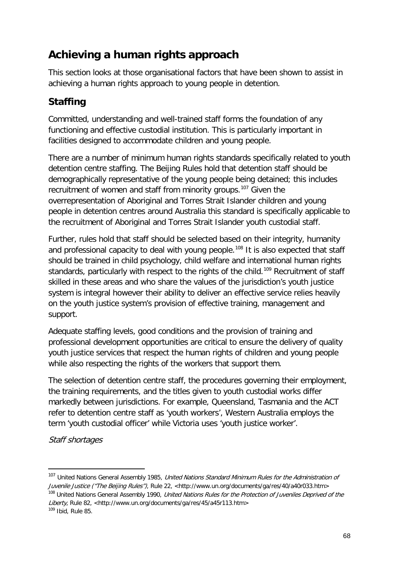# **Achieving a human rights approach**

This section looks at those organisational factors that have been shown to assist in achieving a human rights approach to young people in detention.

# **Staffing**

Committed, understanding and well-trained staff forms the foundation of any functioning and effective custodial institution. This is particularly important in facilities designed to accommodate children and young people.

There are a number of minimum human rights standards specifically related to youth detention centre staffing. The Beijing Rules hold that detention staff should be demographically representative of the young people being detained; this includes recruitment of women and staff from minority groups.<sup>[107](#page-61-2)</sup> Given the overrepresentation of Aboriginal and Torres Strait Islander children and young people in detention centres around Australia this standard is specifically applicable to the recruitment of Aboriginal and Torres Strait Islander youth custodial staff.

Further, rules hold that staff should be selected based on their integrity, humanity and professional capacity to deal with young people.<sup>[108](#page-67-0)</sup> It is also expected that staff should be trained in child psychology, child welfare and international human rights standards, particularly with respect to the rights of the child.<sup>[109](#page-67-1)</sup> Recruitment of staff skilled in these areas and who share the values of the jurisdiction's youth justice system is integral however their ability to deliver an effective service relies heavily on the youth justice system's provision of effective training, management and support.

Adequate staffing levels, good conditions and the provision of training and professional development opportunities are critical to ensure the delivery of quality youth justice services that respect the human rights of children and young people while also respecting the rights of the workers that support them.

The selection of detention centre staff, the procedures governing their employment, the training requirements, and the titles given to youth custodial works differ markedly between jurisdictions. For example, Queensland, Tasmania and the ACT refer to detention centre staff as 'youth workers', Western Australia employs the term 'youth custodial officer' while Victoria uses 'youth justice worker'.

Staff shortages

<span id="page-67-2"></span><sup>&</sup>lt;sup>107</sup> United Nations General Assembly 1985, United Nations Standard Minimum Rules for the Administration of Juvenile Justice ("The Beijing Rules"), Rule 22, <http://www.un.org/documents/ga/res/40/a40r033.htm> <sup>108</sup> United Nations General Assembly 1990, *United Nations Rules for the Protection of Juveniles Deprived of the* Liberty, Rule 82, <http://www.un.org/documents/ga/res/45/a45r113.htm>

<span id="page-67-1"></span><span id="page-67-0"></span> $109$  Ibid, Rule 85.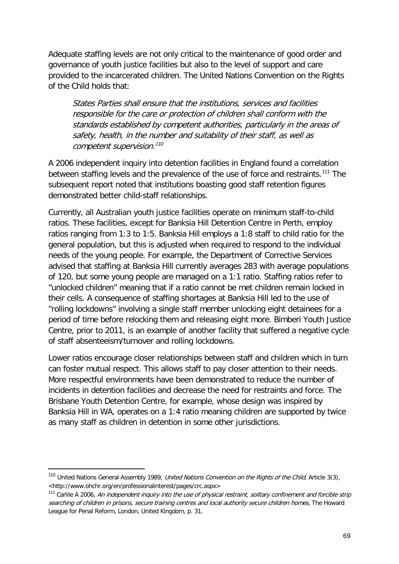Adequate staffing levels are not only critical to the maintenance of good order and governance of youth justice facilities but also to the level of support and care provided to the incarcerated children. The United Nations Convention on the Rights of the Child holds that:

States Parties shall ensure that the institutions, services and facilities responsible for the care or protection of children shall conform with the standards established by competent authorities, particularly in the areas of safety, health, in the number and suitability of their staff, as well as competent supervision.<sup>[110](#page-67-2)</sup>

A 2006 independent inquiry into detention facilities in England found a correlation between staffing levels and the prevalence of the use of force and restraints.<sup>[111](#page-68-0)</sup> The subsequent report noted that institutions boasting good staff retention figures demonstrated better child-staff relationships.

Currently, all Australian youth justice facilities operate on minimum staff-to-child ratios. These facilities, except for Banksia Hill Detention Centre in Perth, employ ratios ranging from 1:3 to 1:5. Banksia Hill employs a 1:8 staff to child ratio for the general population, but this is adjusted when required to respond to the individual needs of the young people. For example, the Department of Corrective Services advised that staffing at Banksia Hill currently averages 283 with average populations of 120, but some young people are managed on a 1:1 ratio. Staffing ratios refer to "unlocked children" meaning that if a ratio cannot be met children remain locked in their cells. A consequence of staffing shortages at Banksia Hill led to the use of "rolling lockdowns" involving a single staff member unlocking eight detainees for a period of time before relocking them and releasing eight more. Bimberi Youth Justice Centre, prior to 2011, is an example of another facility that suffered a negative cycle of staff absenteeism/turnover and rolling lockdowns.

Lower ratios encourage closer relationships between staff and children which in turn can foster mutual respect. This allows staff to pay closer attention to their needs. More respectful environments have been demonstrated to reduce the number of incidents in detention facilities and decrease the need for restraints and force. The Brisbane Youth Detention Centre, for example, whose design was inspired by Banksia Hill in WA, operates on a 1:4 ratio meaning children are supported by twice as many staff as children in detention in some other jurisdictions.

<sup>&</sup>lt;sup>110</sup> United Nations General Assembly 1989, *United Nations Convention on the Rights of the Child*, Article 3(3), <http://www.ohchr.org/en/professionalinterest/pages/crc.aspx>

<span id="page-68-0"></span><sup>&</sup>lt;sup>111</sup> Carlile A 2006, An independent inquiry into the use of physical restraint, solitary confinement and forcible strip searching of children in prisons, secure training centres and local authority secure children homes, The Howard League for Penal Reform, London, United Kingdom, p. 31.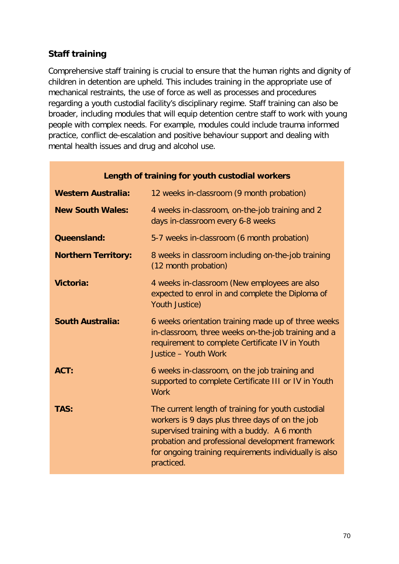# **Staff training**

Comprehensive staff training is crucial to ensure that the human rights and dignity of children in detention are upheld. This includes training in the appropriate use of mechanical restraints, the use of force as well as processes and procedures regarding a youth custodial facility's disciplinary regime. Staff training can also be broader, including modules that will equip detention centre staff to work with young people with complex needs. For example, modules could include trauma informed practice, conflict de-escalation and positive behaviour support and dealing with mental health issues and drug and alcohol use.

| Length of training for youth custodial workers |                                                                                                                                                                                                                                                                                  |  |  |
|------------------------------------------------|----------------------------------------------------------------------------------------------------------------------------------------------------------------------------------------------------------------------------------------------------------------------------------|--|--|
| <b>Western Australia:</b>                      | 12 weeks in-classroom (9 month probation)                                                                                                                                                                                                                                        |  |  |
| <b>New South Wales:</b>                        | 4 weeks in-classroom, on-the-job training and 2<br>days in-classroom every 6-8 weeks                                                                                                                                                                                             |  |  |
| <b>Queensland:</b>                             | 5-7 weeks in-classroom (6 month probation)                                                                                                                                                                                                                                       |  |  |
| <b>Northern Territory:</b>                     | 8 weeks in classroom including on-the-job training<br>(12 month probation)                                                                                                                                                                                                       |  |  |
| Victoria:                                      | 4 weeks in-classroom (New employees are also<br>expected to enrol in and complete the Diploma of<br>Youth Justice)                                                                                                                                                               |  |  |
| <b>South Australia:</b>                        | 6 weeks orientation training made up of three weeks<br>in-classroom, three weeks on-the-job training and a<br>requirement to complete Certificate IV in Youth<br>Justice - Youth Work                                                                                            |  |  |
| ACT:                                           | 6 weeks in-classroom, on the job training and<br>supported to complete Certificate III or IV in Youth<br><b>Work</b>                                                                                                                                                             |  |  |
| TAS:                                           | The current length of training for youth custodial<br>workers is 9 days plus three days of on the job<br>supervised training with a buddy. A 6 month<br>probation and professional development framework<br>for ongoing training requirements individually is also<br>practiced. |  |  |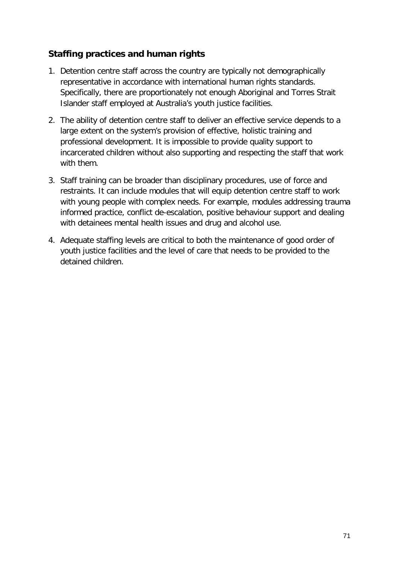### **Staffing practices and human rights**

- 1. Detention centre staff across the country are typically not demographically representative in accordance with international human rights standards. Specifically, there are proportionately not enough Aboriginal and Torres Strait Islander staff employed at Australia's youth justice facilities.
- 2. The ability of detention centre staff to deliver an effective service depends to a large extent on the system's provision of effective, holistic training and professional development. It is impossible to provide quality support to incarcerated children without also supporting and respecting the staff that work with them.
- 3. Staff training can be broader than disciplinary procedures, use of force and restraints. It can include modules that will equip detention centre staff to work with young people with complex needs. For example, modules addressing trauma informed practice, conflict de-escalation, positive behaviour support and dealing with detainees mental health issues and drug and alcohol use.
- 4. Adequate staffing levels are critical to both the maintenance of good order of youth justice facilities and the level of care that needs to be provided to the detained children.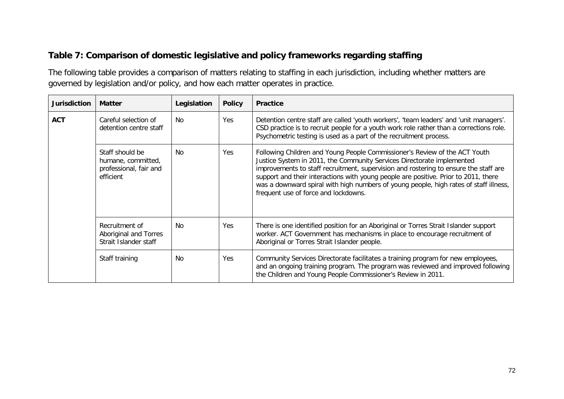# **Table 7: Comparison of domestic legislative and policy frameworks regarding staffing**

The following table provides a comparison of matters relating to staffing in each jurisdiction, including whether matters are governed by legislation and/or policy, and how each matter operates in practice.

| Jurisdiction | <b>Matter</b>                                                                | Legislation | <b>Policy</b> | <b>Practice</b>                                                                                                                                                                                                                                                                                                                                                                                                                                                      |
|--------------|------------------------------------------------------------------------------|-------------|---------------|----------------------------------------------------------------------------------------------------------------------------------------------------------------------------------------------------------------------------------------------------------------------------------------------------------------------------------------------------------------------------------------------------------------------------------------------------------------------|
| <b>ACT</b>   | Careful selection of<br>detention centre staff                               | No.         | Yes           | Detention centre staff are called 'youth workers', 'team leaders' and 'unit managers'.<br>CSD practice is to recruit people for a youth work role rather than a corrections role.<br>Psychometric testing is used as a part of the recruitment process.                                                                                                                                                                                                              |
|              | Staff should be<br>humane, committed,<br>professional, fair and<br>efficient | No          | Yes           | Following Children and Young People Commissioner's Review of the ACT Youth<br>Justice System in 2011, the Community Services Directorate implemented<br>improvements to staff recruitment, supervision and rostering to ensure the staff are<br>support and their interactions with young people are positive. Prior to 2011, there<br>was a downward spiral with high numbers of young people, high rates of staff illness,<br>frequent use of force and lockdowns. |
|              | Recruitment of<br>Aboriginal and Torres<br>Strait Islander staff             | No.         | Yes           | There is one identified position for an Aboriginal or Torres Strait Islander support<br>worker. ACT Government has mechanisms in place to encourage recruitment of<br>Aboriginal or Torres Strait Islander people.                                                                                                                                                                                                                                                   |
|              | Staff training                                                               | No          | Yes           | Community Services Directorate facilitates a training program for new employees,<br>and an ongoing training program. The program was reviewed and improved following<br>the Children and Young People Commissioner's Review in 2011.                                                                                                                                                                                                                                 |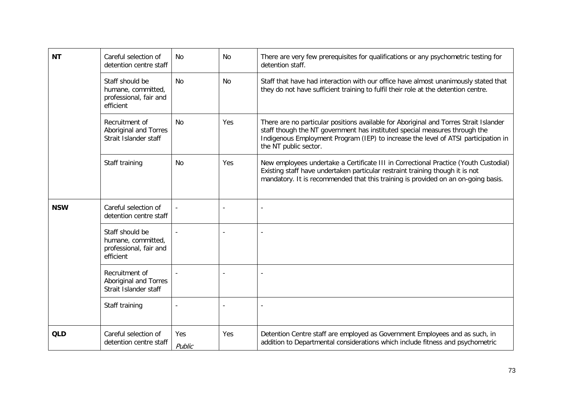| <b>NT</b>  | Careful selection of<br>detention centre staff                               | N <sub>0</sub> | No  | There are very few prerequisites for qualifications or any psychometric testing for<br>detention staff.                                                                                                                                                                            |
|------------|------------------------------------------------------------------------------|----------------|-----|------------------------------------------------------------------------------------------------------------------------------------------------------------------------------------------------------------------------------------------------------------------------------------|
|            | Staff should be<br>humane, committed,<br>professional, fair and<br>efficient | <b>No</b>      | No  | Staff that have had interaction with our office have almost unanimously stated that<br>they do not have sufficient training to fulfil their role at the detention centre.                                                                                                          |
|            | Recruitment of<br>Aboriginal and Torres<br>Strait Islander staff             | No             | Yes | There are no particular positions available for Aboriginal and Torres Strait Islander<br>staff though the NT government has instituted special measures through the<br>Indigenous Employment Program (IEP) to increase the level of ATSI participation in<br>the NT public sector. |
|            | Staff training                                                               | <b>No</b>      | Yes | New employees undertake a Certificate III in Correctional Practice (Youth Custodial)<br>Existing staff have undertaken particular restraint training though it is not<br>mandatory. It is recommended that this training is provided on an on-going basis.                         |
| <b>NSW</b> | Careful selection of<br>detention centre staff                               |                |     |                                                                                                                                                                                                                                                                                    |
|            | Staff should be<br>humane, committed,<br>professional, fair and<br>efficient |                |     |                                                                                                                                                                                                                                                                                    |
|            | Recruitment of<br>Aboriginal and Torres<br>Strait Islander staff             |                |     |                                                                                                                                                                                                                                                                                    |
|            | Staff training                                                               |                |     |                                                                                                                                                                                                                                                                                    |
| <b>QLD</b> | Careful selection of<br>detention centre staff                               | Yes<br>Public  | Yes | Detention Centre staff are employed as Government Employees and as such, in<br>addition to Departmental considerations which include fitness and psychometric                                                                                                                      |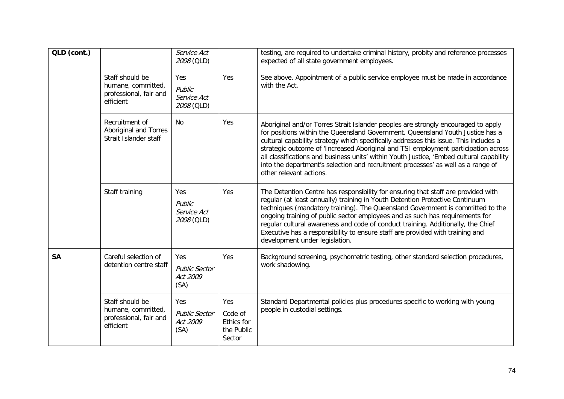| QLD (cont.) |                                                                              | Service Act<br>2008 (QLD)                       |                                                      | testing, are required to undertake criminal history, probity and reference processes<br>expected of all state government employees.                                                                                                                                                                                                                                                                                                                                                                                                                           |
|-------------|------------------------------------------------------------------------------|-------------------------------------------------|------------------------------------------------------|---------------------------------------------------------------------------------------------------------------------------------------------------------------------------------------------------------------------------------------------------------------------------------------------------------------------------------------------------------------------------------------------------------------------------------------------------------------------------------------------------------------------------------------------------------------|
|             | Staff should be<br>humane, committed,<br>professional, fair and<br>efficient | Yes<br>Public<br>Service Act<br>2008 (QLD)      | Yes                                                  | See above. Appointment of a public service employee must be made in accordance<br>with the Act.                                                                                                                                                                                                                                                                                                                                                                                                                                                               |
|             | Recruitment of<br>Aboriginal and Torres<br>Strait Islander staff             | <b>No</b>                                       | Yes                                                  | Aboriginal and/or Torres Strait Islander peoples are strongly encouraged to apply<br>for positions within the Queensland Government. Queensland Youth Justice has a<br>cultural capability strategy which specifically addresses this issue. This includes a<br>strategic outcome of 'Increased Aboriginal and TSI employment participation across<br>all classifications and business units' within Youth Justice, 'Embed cultural capability<br>into the department's selection and recruitment processes' as well as a range of<br>other relevant actions. |
|             | Staff training                                                               | Yes<br>Public<br>Service Act<br>2008 (QLD)      | Yes                                                  | The Detention Centre has responsibility for ensuring that staff are provided with<br>regular (at least annually) training in Youth Detention Protective Continuum<br>techniques (mandatory training). The Queensland Government is committed to the<br>ongoing training of public sector employees and as such has requirements for<br>regular cultural awareness and code of conduct training. Additionally, the Chief<br>Executive has a responsibility to ensure staff are provided with training and<br>development under legislation.                    |
| <b>SA</b>   | Careful selection of<br>detention centre staff                               | Yes<br><b>Public Sector</b><br>Act 2009<br>(SA) | Yes                                                  | Background screening, psychometric testing, other standard selection procedures,<br>work shadowing.                                                                                                                                                                                                                                                                                                                                                                                                                                                           |
|             | Staff should be<br>humane, committed,<br>professional, fair and<br>efficient | Yes<br><b>Public Sector</b><br>Act 2009<br>(SA) | Yes<br>Code of<br>Ethics for<br>the Public<br>Sector | Standard Departmental policies plus procedures specific to working with young<br>people in custodial settings.                                                                                                                                                                                                                                                                                                                                                                                                                                                |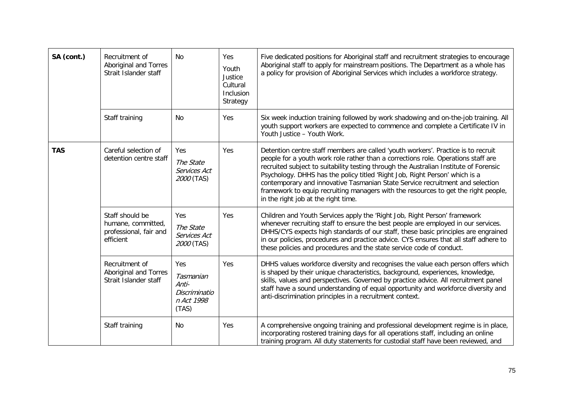| SA (cont.) | Recruitment of<br>Aboriginal and Torres<br>Strait Islander staff             | <b>No</b>                                                         | Yes<br>Youth<br>Justice<br>Cultural<br>Inclusion<br>Strategy | Five dedicated positions for Aboriginal staff and recruitment strategies to encourage<br>Aboriginal staff to apply for mainstream positions. The Department as a whole has<br>a policy for provision of Aboriginal Services which includes a workforce strategy.                                                                                                                                                                                                                                                                                             |
|------------|------------------------------------------------------------------------------|-------------------------------------------------------------------|--------------------------------------------------------------|--------------------------------------------------------------------------------------------------------------------------------------------------------------------------------------------------------------------------------------------------------------------------------------------------------------------------------------------------------------------------------------------------------------------------------------------------------------------------------------------------------------------------------------------------------------|
|            | Staff training                                                               | No                                                                | Yes                                                          | Six week induction training followed by work shadowing and on-the-job training. All<br>youth support workers are expected to commence and complete a Certificate IV in<br>Youth Justice - Youth Work.                                                                                                                                                                                                                                                                                                                                                        |
| <b>TAS</b> | Careful selection of<br>detention centre staff                               | Yes<br>The State<br>Services Act<br>2000 (TAS)                    | Yes                                                          | Detention centre staff members are called 'youth workers'. Practice is to recruit<br>people for a youth work role rather than a corrections role. Operations staff are<br>recruited subject to suitability testing through the Australian Institute of Forensic<br>Psychology. DHHS has the policy titled 'Right Job, Right Person' which is a<br>contemporary and innovative Tasmanian State Service recruitment and selection<br>framework to equip recruiting managers with the resources to get the right people,<br>in the right job at the right time. |
|            | Staff should be<br>humane, committed,<br>professional, fair and<br>efficient | Yes<br>The State<br>Services Act<br>2000 (TAS)                    | Yes                                                          | Children and Youth Services apply the 'Right Job, Right Person' framework<br>whenever recruiting staff to ensure the best people are employed in our services.<br>DHHS/CYS expects high standards of our staff, these basic principles are engrained<br>in our policies, procedures and practice advice. CYS ensures that all staff adhere to<br>these policies and procedures and the state service code of conduct.                                                                                                                                        |
|            | Recruitment of<br>Aboriginal and Torres<br>Strait Islander staff             | Yes<br>Tasmanian<br>Anti-<br>Discriminatio<br>n Act 1998<br>(TAS) | Yes                                                          | DHHS values workforce diversity and recognises the value each person offers which<br>is shaped by their unique characteristics, background, experiences, knowledge,<br>skills, values and perspectives. Governed by practice advice. All recruitment panel<br>staff have a sound understanding of equal opportunity and workforce diversity and<br>anti-discrimination principles in a recruitment context.                                                                                                                                                  |
|            | Staff training                                                               | No                                                                | Yes                                                          | A comprehensive ongoing training and professional development regime is in place,<br>incorporating rostered training days for all operations staff, including an online<br>training program. All duty statements for custodial staff have been reviewed, and                                                                                                                                                                                                                                                                                                 |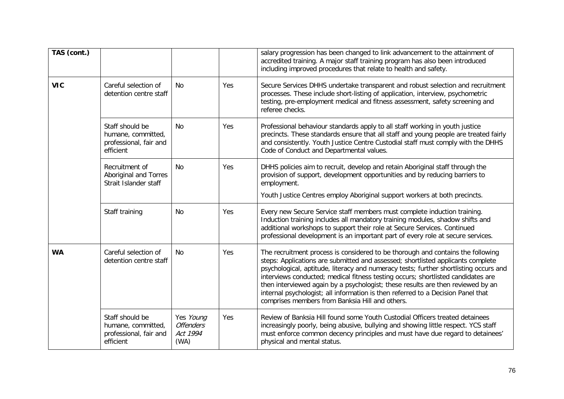| TAS (cont.) |                                                                              |                                                   |     | salary progression has been changed to link advancement to the attainment of<br>accredited training. A major staff training program has also been introduced<br>including improved procedures that relate to health and safety.                                                                                                                                                                                                                                                                                                                                           |
|-------------|------------------------------------------------------------------------------|---------------------------------------------------|-----|---------------------------------------------------------------------------------------------------------------------------------------------------------------------------------------------------------------------------------------------------------------------------------------------------------------------------------------------------------------------------------------------------------------------------------------------------------------------------------------------------------------------------------------------------------------------------|
| <b>VIC</b>  | Careful selection of<br>detention centre staff                               | No                                                | Yes | Secure Services DHHS undertake transparent and robust selection and recruitment<br>processes. These include short-listing of application, interview, psychometric<br>testing, pre-employment medical and fitness assessment, safety screening and<br>referee checks.                                                                                                                                                                                                                                                                                                      |
|             | Staff should be<br>humane, committed,<br>professional, fair and<br>efficient | <b>No</b>                                         | Yes | Professional behaviour standards apply to all staff working in youth justice<br>precincts. These standards ensure that all staff and young people are treated fairly<br>and consistently. Youth Justice Centre Custodial staff must comply with the DHHS<br>Code of Conduct and Departmental values.                                                                                                                                                                                                                                                                      |
|             | Recruitment of<br>Aboriginal and Torres<br>Strait Islander staff             | <b>No</b>                                         | Yes | DHHS policies aim to recruit, develop and retain Aboriginal staff through the<br>provision of support, development opportunities and by reducing barriers to<br>employment.<br>Youth Justice Centres employ Aboriginal support workers at both precincts.                                                                                                                                                                                                                                                                                                                 |
|             | Staff training                                                               | No                                                | Yes | Every new Secure Service staff members must complete induction training.<br>Induction training includes all mandatory training modules, shadow shifts and<br>additional workshops to support their role at Secure Services. Continued<br>professional development is an important part of every role at secure services.                                                                                                                                                                                                                                                  |
| <b>WA</b>   | Careful selection of<br>detention centre staff                               | No.                                               | Yes | The recruitment process is considered to be thorough and contains the following<br>steps: Applications are submitted and assessed; shortlisted applicants complete<br>psychological, aptitude, literacy and numeracy tests; further shortlisting occurs and<br>interviews conducted; medical fitness testing occurs; shortlisted candidates are<br>then interviewed again by a psychologist; these results are then reviewed by an<br>internal psychologist; all information is then referred to a Decision Panel that<br>comprises members from Banksia Hill and others. |
|             | Staff should be<br>humane, committed,<br>professional, fair and<br>efficient | Yes Young<br><b>Offenders</b><br>Act 1994<br>(WA) | Yes | Review of Banksia Hill found some Youth Custodial Officers treated detainees<br>increasingly poorly, being abusive, bullying and showing little respect. YCS staff<br>must enforce common decency principles and must have due regard to detainees'<br>physical and mental status.                                                                                                                                                                                                                                                                                        |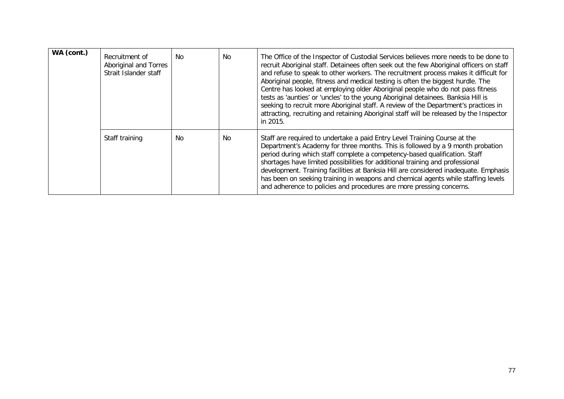| WA (cont.) | Recruitment of<br>Aboriginal and Torres<br>Strait Islander staff | No. | <b>No</b> | The Office of the Inspector of Custodial Services believes more needs to be done to<br>recruit Aboriginal staff. Detainees often seek out the few Aboriginal officers on staff<br>and refuse to speak to other workers. The recruitment process makes it difficult for<br>Aboriginal people, fitness and medical testing is often the biggest hurdle. The<br>Centre has looked at employing older Aboriginal people who do not pass fitness<br>tests as 'aunties' or 'uncles' to the young Aboriginal detainees. Banksia Hill is<br>seeking to recruit more Aboriginal staff. A review of the Department's practices in<br>attracting, recruiting and retaining Aboriginal staff will be released by the Inspector<br>in 2015. |
|------------|------------------------------------------------------------------|-----|-----------|--------------------------------------------------------------------------------------------------------------------------------------------------------------------------------------------------------------------------------------------------------------------------------------------------------------------------------------------------------------------------------------------------------------------------------------------------------------------------------------------------------------------------------------------------------------------------------------------------------------------------------------------------------------------------------------------------------------------------------|
|            | Staff training                                                   | No. | <b>No</b> | Staff are required to undertake a paid Entry Level Training Course at the<br>Department's Academy for three months. This is followed by a 9 month probation<br>period during which staff complete a competency-based qualification. Staff<br>shortages have limited possibilities for additional training and professional<br>development. Training facilities at Banksia Hill are considered inadequate. Emphasis<br>has been on seeking training in weapons and chemical agents while staffing levels<br>and adherence to policies and procedures are more pressing concerns.                                                                                                                                                |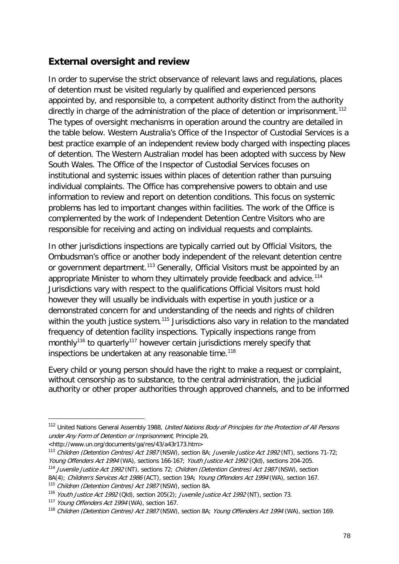## **External oversight and review**

In order to supervise the strict observance of relevant laws and regulations, places of detention must be visited regularly by qualified and experienced persons appointed by, and responsible to, a competent authority distinct from the authority directly in charge of the administration of the place of detention or imprisonment.<sup>[112](#page-68-0)</sup> The types of oversight mechanisms in operation around the country are detailed in the table below. Western Australia's Office of the Inspector of Custodial Services is a best practice example of an independent review body charged with inspecting places of detention. The Western Australian model has been adopted with success by New South Wales. The Office of the Inspector of Custodial Services focuses on institutional and systemic issues within places of detention rather than pursuing individual complaints. The Office has comprehensive powers to obtain and use information to review and report on detention conditions. This focus on systemic problems has led to important changes within facilities. The work of the Office is complemented by the work of Independent Detention Centre Visitors who are responsible for receiving and acting on individual requests and complaints.

In other jurisdictions inspections are typically carried out by Official Visitors, the Ombudsman's office or another body independent of the relevant detention centre or government department.<sup>[113](#page-77-0)</sup> Generally, Official Visitors must be appointed by an appropriate Minister to whom they ultimately provide feedback and advice.<sup>[114](#page-77-1)</sup> Jurisdictions vary with respect to the qualifications Official Visitors must hold however they will usually be individuals with expertise in youth justice or a demonstrated concern for and understanding of the needs and rights of children within the youth justice system.<sup>[115](#page-77-2)</sup> Jurisdictions also vary in relation to the mandated frequency of detention facility inspections. Typically inspections range from monthly<sup>[116](#page-77-3)</sup> to quarterly<sup>[117](#page-77-4)</sup> however certain jurisdictions merely specify that inspections be undertaken at any reasonable time.<sup>[118](#page-77-5)</sup>

Every child or young person should have the right to make a request or complaint, without censorship as to substance, to the central administration, the judicial authority or other proper authorities through approved channels, and to be informed

-

<sup>&</sup>lt;sup>112</sup> United Nations General Assembly 1988, United Nations Body of Principles for the Protection of All Persons under Any Form of Detention or Imprisonment, Principle 29,

<sup>&</sup>lt;http://www.un.org/documents/ga/res/43/a43r173.htm>

<span id="page-77-0"></span><sup>113</sup> Children (Detention Centres) Act 1987 (NSW), section 8A; Juvenile Justice Act 1992 (NT), sections 71-72; Young Offenders Act 1994 (WA), sections 166-167; Youth Justice Act 1992 (Qld), sections 204-205.

<span id="page-77-1"></span><sup>&</sup>lt;sup>114</sup> Juvenile Justice Act 1992 (NT), sections 72; Children (Detention Centres) Act 1987 (NSW), section 8A(4); Children's Services Act 1986 (ACT), section 19A; Young Offenders Act 1994 (WA), section 167.

<span id="page-77-2"></span><sup>&</sup>lt;sup>115</sup> Children (Detention Centres) Act 1987 (NSW), section 8A.

<span id="page-77-6"></span><span id="page-77-3"></span><sup>116</sup> Youth Justice Act 1992 (Qld), section 205(2); Juvenile Justice Act 1992 (NT), section 73.

<span id="page-77-4"></span><sup>117</sup> Young Offenders Act 1994 (WA), section 167.

<span id="page-77-5"></span><sup>&</sup>lt;sup>118</sup> Children (Detention Centres) Act 1987 (NSW), section 8A; Young Offenders Act 1994 (WA), section 169.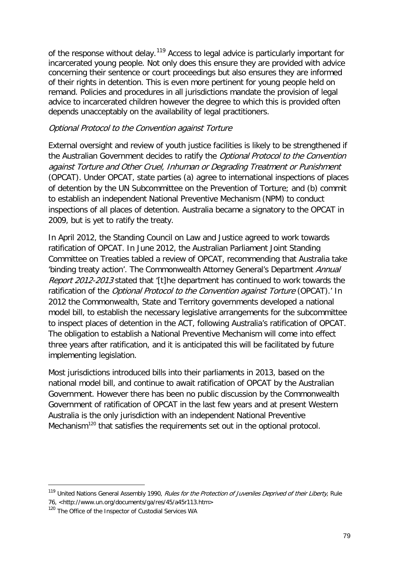of the response without delay.<sup>[119](#page-77-6)</sup> Access to legal advice is particularly important for incarcerated young people. Not only does this ensure they are provided with advice concerning their sentence or court proceedings but also ensures they are informed of their rights in detention. This is even more pertinent for young people held on remand. Policies and procedures in all jurisdictions mandate the provision of legal advice to incarcerated children however the degree to which this is provided often depends unacceptably on the availability of legal practitioners.

#### Optional Protocol to the Convention against Torture

External oversight and review of youth justice facilities is likely to be strengthened if the Australian Government decides to ratify the Optional Protocol to the Convention against Torture and Other Cruel, Inhuman or Degrading Treatment or Punishment (OPCAT). Under OPCAT, state parties (a) agree to international inspections of places of detention by the UN Subcommittee on the Prevention of Torture; and (b) commit to establish an independent National Preventive Mechanism (NPM) to conduct inspections of all places of detention. Australia became a signatory to the OPCAT in 2009, but is yet to ratify the treaty.

In April 2012, the Standing Council on Law and Justice agreed to work towards ratification of OPCAT. In June 2012, the Australian Parliament Joint Standing Committee on Treaties tabled a review of OPCAT, recommending that Australia take 'binding treaty action'. The Commonwealth Attorney General's Department Annual Report 2012-2013 stated that '[t]he department has continued to work towards the ratification of the *Optional Protocol to the Convention against Torture* (OPCAT).' In 2012 the Commonwealth, State and Territory governments developed a national model bill, to establish the necessary legislative arrangements for the subcommittee to inspect places of detention in the ACT, following Australia's ratification of OPCAT. The obligation to establish a National Preventive Mechanism will come into effect three years after ratification, and it is anticipated this will be facilitated by future implementing legislation.

Most jurisdictions introduced bills into their parliaments in 2013, based on the national model bill, and continue to await ratification of OPCAT by the Australian Government. However there has been no public discussion by the Commonwealth Government of ratification of OPCAT in the last few years and at present Western Australia is the only jurisdiction with an independent National Preventive Mechanism<sup>[120](#page-78-0)</sup> that satisfies the requirements set out in the optional protocol.

-

<sup>&</sup>lt;sup>119</sup> United Nations General Assembly 1990, Rules for the Protection of Juveniles Deprived of their Liberty, Rule 76, <http://www.un.org/documents/ga/res/45/a45r113.htm>

<span id="page-78-0"></span><sup>&</sup>lt;sup>120</sup> The Office of the Inspector of Custodial Services WA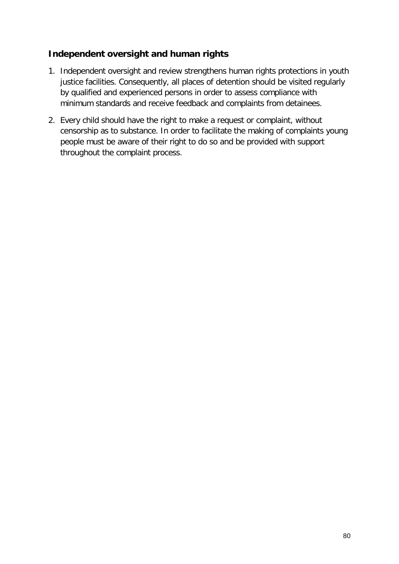### **Independent oversight and human rights**

- 1. Independent oversight and review strengthens human rights protections in youth justice facilities. Consequently, all places of detention should be visited regularly by qualified and experienced persons in order to assess compliance with minimum standards and receive feedback and complaints from detainees.
- 2. Every child should have the right to make a request or complaint, without censorship as to substance. In order to facilitate the making of complaints young people must be aware of their right to do so and be provided with support throughout the complaint process.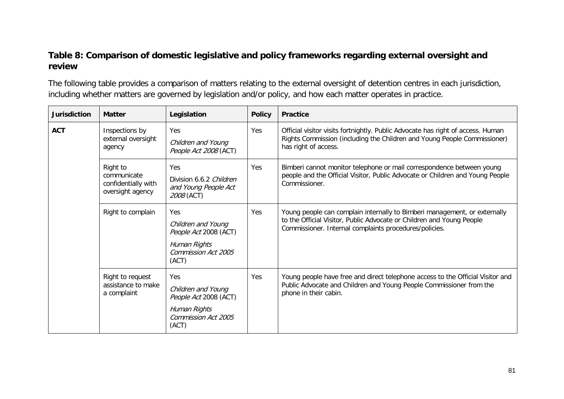### **Table 8: Comparison of domestic legislative and policy frameworks regarding external oversight and review**

The following table provides a comparison of matters relating to the external oversight of detention centres in each jurisdiction, including whether matters are governed by legislation and/or policy, and how each matter operates in practice.

| <b>Jurisdiction</b> | <b>Matter</b>                                                      | Legislation                                                                                               | <b>Policy</b> | <b>Practice</b>                                                                                                                                                                                              |
|---------------------|--------------------------------------------------------------------|-----------------------------------------------------------------------------------------------------------|---------------|--------------------------------------------------------------------------------------------------------------------------------------------------------------------------------------------------------------|
| <b>ACT</b>          | Inspections by<br>external oversight<br>agency                     | Yes<br>Children and Young<br>People Act 2008 (ACT)                                                        | Yes           | Official visitor visits fortnightly. Public Advocate has right of access. Human<br>Rights Commission (including the Children and Young People Commissioner)<br>has right of access.                          |
|                     | Right to<br>communicate<br>confidentially with<br>oversight agency | Yes<br>Division 6.6.2 Children<br>and Young People Act<br>2008 (ACT)                                      | Yes           | Bimberi cannot monitor telephone or mail correspondence between young<br>people and the Official Visitor, Public Advocate or Children and Young People<br>Commissioner.                                      |
|                     | Right to complain                                                  | <b>Yes</b><br>Children and Young<br>People Act 2008 (ACT)<br>Human Rights<br>Commission Act 2005<br>(ACT) | Yes           | Young people can complain internally to Bimberi management, or externally<br>to the Official Visitor, Public Advocate or Children and Young People<br>Commissioner. Internal complaints procedures/policies. |
|                     | Right to request<br>assistance to make<br>a complaint              | Yes<br>Children and Young<br>People Act 2008 (ACT)<br>Human Rights<br>Commission Act 2005<br>(ACT)        | Yes           | Young people have free and direct telephone access to the Official Visitor and<br>Public Advocate and Children and Young People Commissioner from the<br>phone in their cabin.                               |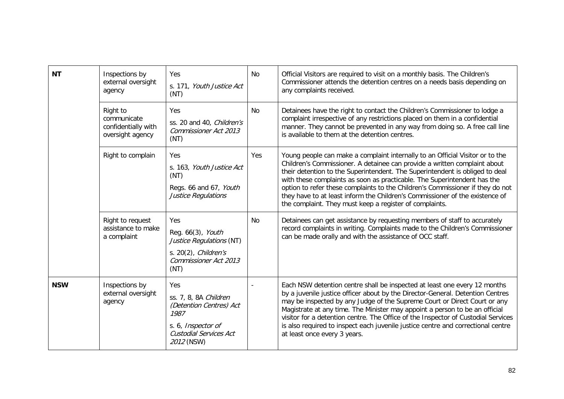| <b>NT</b>  | Inspections by<br>external oversight<br>agency<br>Right to<br>communicate | Yes<br>s. 171, Youth Justice Act<br>(NT)<br>Yes                                                                               | N <sub>0</sub><br>No | Official Visitors are required to visit on a monthly basis. The Children's<br>Commissioner attends the detention centres on a needs basis depending on<br>any complaints received.<br>Detainees have the right to contact the Children's Commissioner to lodge a<br>complaint irrespective of any restrictions placed on them in a confidential                                                                                                                                                                                                     |
|------------|---------------------------------------------------------------------------|-------------------------------------------------------------------------------------------------------------------------------|----------------------|-----------------------------------------------------------------------------------------------------------------------------------------------------------------------------------------------------------------------------------------------------------------------------------------------------------------------------------------------------------------------------------------------------------------------------------------------------------------------------------------------------------------------------------------------------|
|            | confidentially with<br>oversight agency                                   | ss. 20 and 40, Children's<br>Commissioner Act 2013<br>(NT)                                                                    |                      | manner. They cannot be prevented in any way from doing so. A free call line<br>is available to them at the detention centres.                                                                                                                                                                                                                                                                                                                                                                                                                       |
|            | Right to complain                                                         | <b>Yes</b><br>s. 163, Youth Justice Act<br>(NT)<br>Regs. 66 and 67, Youth<br>Justice Regulations                              | <b>Yes</b>           | Young people can make a complaint internally to an Official Visitor or to the<br>Children's Commissioner. A detainee can provide a written complaint about<br>their detention to the Superintendent. The Superintendent is obliged to deal<br>with these complaints as soon as practicable. The Superintendent has the<br>option to refer these complaints to the Children's Commissioner if they do not<br>they have to at least inform the Children's Commissioner of the existence of<br>the complaint. They must keep a register of complaints. |
|            | Right to request<br>assistance to make<br>a complaint                     | Yes<br>Reg. 66(3), Youth<br>Justice Regulations (NT)<br>s. 20(2), Children's<br>Commissioner Act 2013<br>(NT)                 | N <sub>0</sub>       | Detainees can get assistance by requesting members of staff to accurately<br>record complaints in writing. Complaints made to the Children's Commissioner<br>can be made orally and with the assistance of OCC staff.                                                                                                                                                                                                                                                                                                                               |
| <b>NSW</b> | Inspections by<br>external oversight<br>agency                            | Yes<br>ss. 7, 8, 8A Children<br>(Detention Centres) Act<br>1987<br>s. 6, Inspector of<br>Custodial Services Act<br>2012 (NSW) |                      | Each NSW detention centre shall be inspected at least one every 12 months<br>by a juvenile justice officer about by the Director-General. Detention Centres<br>may be inspected by any Judge of the Supreme Court or Direct Court or any<br>Magistrate at any time. The Minister may appoint a person to be an official<br>visitor for a detention centre. The Office of the Inspector of Custodial Services<br>is also required to inspect each juvenile justice centre and correctional centre<br>at least once every 3 years.                    |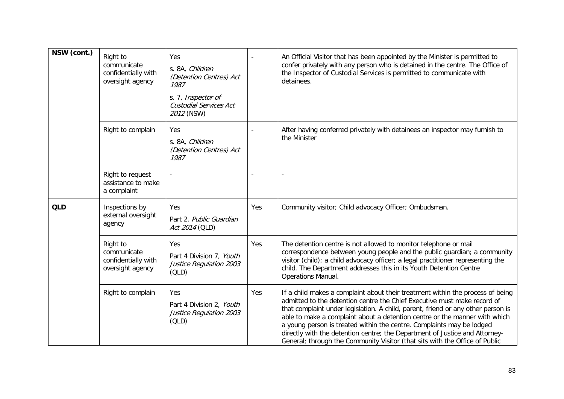| NSW (cont.) | Right to<br>communicate<br>confidentially with<br>oversight agency | Yes<br>s. 8A, Children<br>(Detention Centres) Act<br>1987<br>s. 7, Inspector of<br>Custodial Services Act<br>2012 (NSW) |     | An Official Visitor that has been appointed by the Minister is permitted to<br>confer privately with any person who is detained in the centre. The Office of<br>the Inspector of Custodial Services is permitted to communicate with<br>detainees.                                                                                                                                                                                                                                                                                                                  |
|-------------|--------------------------------------------------------------------|-------------------------------------------------------------------------------------------------------------------------|-----|---------------------------------------------------------------------------------------------------------------------------------------------------------------------------------------------------------------------------------------------------------------------------------------------------------------------------------------------------------------------------------------------------------------------------------------------------------------------------------------------------------------------------------------------------------------------|
|             | Right to complain                                                  | Yes<br>s. 8A, Children<br>(Detention Centres) Act<br>1987                                                               |     | After having conferred privately with detainees an inspector may furnish to<br>the Minister                                                                                                                                                                                                                                                                                                                                                                                                                                                                         |
|             | Right to request<br>assistance to make<br>a complaint              |                                                                                                                         |     |                                                                                                                                                                                                                                                                                                                                                                                                                                                                                                                                                                     |
| <b>QLD</b>  | Inspections by<br>external oversight<br>agency                     | Yes<br>Part 2, Public Guardian<br>Act 2014 (QLD)                                                                        | Yes | Community visitor; Child advocacy Officer; Ombudsman.                                                                                                                                                                                                                                                                                                                                                                                                                                                                                                               |
|             | Right to<br>communicate<br>confidentially with<br>oversight agency | Yes<br>Part 4 Division 7, Youth<br>Justice Regulation 2003<br>(OLD)                                                     | Yes | The detention centre is not allowed to monitor telephone or mail<br>correspondence between young people and the public guardian; a community<br>visitor (child); a child advocacy officer; a legal practitioner representing the<br>child. The Department addresses this in its Youth Detention Centre<br>Operations Manual.                                                                                                                                                                                                                                        |
|             | Right to complain                                                  | Yes<br>Part 4 Division 2, Youth<br>Justice Regulation 2003<br>(OLD)                                                     | Yes | If a child makes a complaint about their treatment within the process of being<br>admitted to the detention centre the Chief Executive must make record of<br>that complaint under legislation. A child, parent, friend or any other person is<br>able to make a complaint about a detention centre or the manner with which<br>a young person is treated within the centre. Complaints may be lodged<br>directly with the detention centre; the Department of Justice and Attorney-<br>General; through the Community Visitor (that sits with the Office of Public |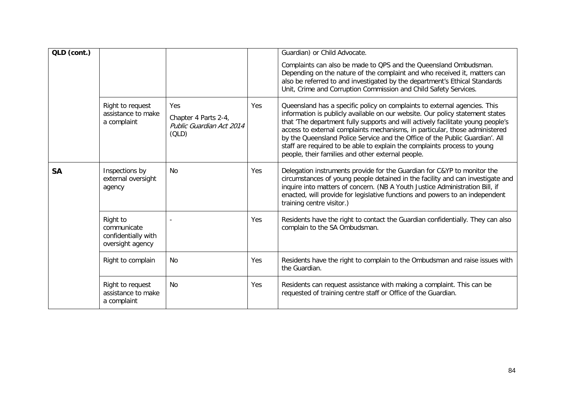| QLD (cont.) |                                                                    |                                                                  |            | Guardian) or Child Advocate.                                                                                                                                                                                                                                                                                                                                                                                                                                                                                                                  |
|-------------|--------------------------------------------------------------------|------------------------------------------------------------------|------------|-----------------------------------------------------------------------------------------------------------------------------------------------------------------------------------------------------------------------------------------------------------------------------------------------------------------------------------------------------------------------------------------------------------------------------------------------------------------------------------------------------------------------------------------------|
|             |                                                                    |                                                                  |            | Complaints can also be made to QPS and the Queensland Ombudsman.<br>Depending on the nature of the complaint and who received it, matters can<br>also be referred to and investigated by the department's Ethical Standards<br>Unit, Crime and Corruption Commission and Child Safety Services.                                                                                                                                                                                                                                               |
|             | Right to request<br>assistance to make<br>a complaint              | Yes<br>Chapter 4 Parts 2-4,<br>Public Guardian Act 2014<br>(OLD) | <b>Yes</b> | Queensland has a specific policy on complaints to external agencies. This<br>information is publicly available on our website. Our policy statement states<br>that 'The department fully supports and will actively facilitate young people's<br>access to external complaints mechanisms, in particular, those administered<br>by the Queensland Police Service and the Office of the Public Guardian'. All<br>staff are required to be able to explain the complaints process to young<br>people, their families and other external people. |
| <b>SA</b>   | Inspections by<br>external oversight<br>agency                     | No                                                               | Yes        | Delegation instruments provide for the Guardian for C&YP to monitor the<br>circumstances of young people detained in the facility and can investigate and<br>inquire into matters of concern. (NB A Youth Justice Administration Bill, if<br>enacted, will provide for legislative functions and powers to an independent<br>training centre visitor.)                                                                                                                                                                                        |
|             | Right to<br>communicate<br>confidentially with<br>oversight agency |                                                                  | Yes        | Residents have the right to contact the Guardian confidentially. They can also<br>complain to the SA Ombudsman.                                                                                                                                                                                                                                                                                                                                                                                                                               |
|             | Right to complain                                                  | <b>No</b>                                                        | Yes        | Residents have the right to complain to the Ombudsman and raise issues with<br>the Guardian.                                                                                                                                                                                                                                                                                                                                                                                                                                                  |
|             | Right to request<br>assistance to make<br>a complaint              | <b>No</b>                                                        | Yes        | Residents can request assistance with making a complaint. This can be<br>requested of training centre staff or Office of the Guardian.                                                                                                                                                                                                                                                                                                                                                                                                        |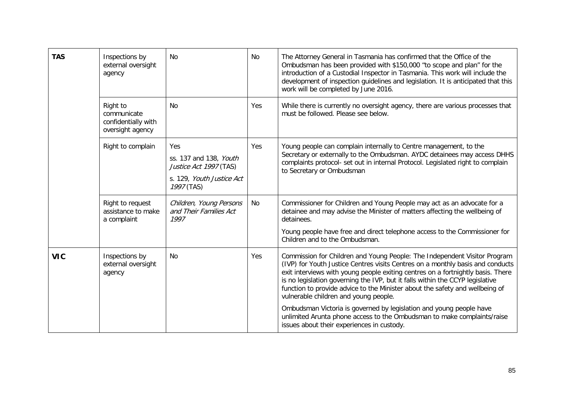| <b>TAS</b> | Inspections by<br>external oversight<br>agency                     | <b>No</b>                                                                                          | No         | The Attorney General in Tasmania has confirmed that the Office of the<br>Ombudsman has been provided with \$150,000 "to scope and plan" for the<br>introduction of a Custodial Inspector in Tasmania. This work will include the<br>development of inspection guidelines and legislation. It is anticipated that this<br>work will be completed by June 2016.                                                                                            |
|------------|--------------------------------------------------------------------|----------------------------------------------------------------------------------------------------|------------|----------------------------------------------------------------------------------------------------------------------------------------------------------------------------------------------------------------------------------------------------------------------------------------------------------------------------------------------------------------------------------------------------------------------------------------------------------|
|            | Right to<br>communicate<br>confidentially with<br>oversight agency | N <sub>0</sub>                                                                                     | <b>Yes</b> | While there is currently no oversight agency, there are various processes that<br>must be followed. Please see below.                                                                                                                                                                                                                                                                                                                                    |
|            | Right to complain                                                  | Yes<br>ss. 137 and 138, Youth<br>Justice Act 1997 (TAS)<br>s. 129, Youth Justice Act<br>1997 (TAS) | Yes        | Young people can complain internally to Centre management, to the<br>Secretary or externally to the Ombudsman. AYDC detainees may access DHHS<br>complaints protocol- set out in internal Protocol. Legislated right to complain<br>to Secretary or Ombudsman                                                                                                                                                                                            |
|            | Right to request<br>assistance to make<br>a complaint              | Children, Young Persons<br>and Their Families Act<br>1997                                          | No         | Commissioner for Children and Young People may act as an advocate for a<br>detainee and may advise the Minister of matters affecting the wellbeing of<br>detainees.<br>Young people have free and direct telephone access to the Commissioner for<br>Children and to the Ombudsman.                                                                                                                                                                      |
| <b>VIC</b> | Inspections by<br>external oversight<br>agency                     | No                                                                                                 | Yes        | Commission for Children and Young People: The Independent Visitor Program<br>(IVP) for Youth Justice Centres visits Centres on a monthly basis and conducts<br>exit interviews with young people exiting centres on a fortnightly basis. There<br>is no legislation governing the IVP, but it falls within the CCYP legislative<br>function to provide advice to the Minister about the safety and wellbeing of<br>vulnerable children and young people. |
|            |                                                                    |                                                                                                    |            | Ombudsman Victoria is governed by legislation and young people have<br>unlimited Arunta phone access to the Ombudsman to make complaints/raise<br>issues about their experiences in custody.                                                                                                                                                                                                                                                             |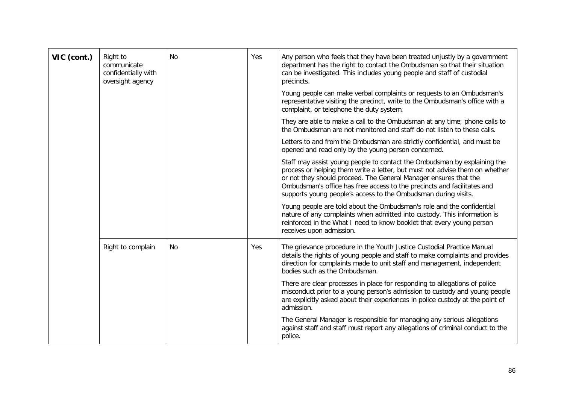| VIC (cont.) | Right to<br>communicate<br>confidentially with<br>oversight agency | No | Yes | Any person who feels that they have been treated unjustly by a government<br>department has the right to contact the Ombudsman so that their situation<br>can be investigated. This includes young people and staff of custodial<br>precincts.                                                                                                                           |
|-------------|--------------------------------------------------------------------|----|-----|--------------------------------------------------------------------------------------------------------------------------------------------------------------------------------------------------------------------------------------------------------------------------------------------------------------------------------------------------------------------------|
|             |                                                                    |    |     | Young people can make verbal complaints or requests to an Ombudsman's<br>representative visiting the precinct, write to the Ombudsman's office with a<br>complaint, or telephone the duty system.                                                                                                                                                                        |
|             |                                                                    |    |     | They are able to make a call to the Ombudsman at any time; phone calls to<br>the Ombudsman are not monitored and staff do not listen to these calls.                                                                                                                                                                                                                     |
|             |                                                                    |    |     | Letters to and from the Ombudsman are strictly confidential, and must be<br>opened and read only by the young person concerned.                                                                                                                                                                                                                                          |
|             |                                                                    |    |     | Staff may assist young people to contact the Ombudsman by explaining the<br>process or helping them write a letter, but must not advise them on whether<br>or not they should proceed. The General Manager ensures that the<br>Ombudsman's office has free access to the precincts and facilitates and<br>supports young people's access to the Ombudsman during visits. |
|             |                                                                    |    |     | Young people are told about the Ombudsman's role and the confidential<br>nature of any complaints when admitted into custody. This information is<br>reinforced in the What I need to know booklet that every young person<br>receives upon admission.                                                                                                                   |
|             | Right to complain                                                  | No | Yes | The grievance procedure in the Youth Justice Custodial Practice Manual<br>details the rights of young people and staff to make complaints and provides<br>direction for complaints made to unit staff and management, independent<br>bodies such as the Ombudsman.                                                                                                       |
|             |                                                                    |    |     | There are clear processes in place for responding to allegations of police<br>misconduct prior to a young person's admission to custody and young people<br>are explicitly asked about their experiences in police custody at the point of<br>admission.                                                                                                                 |
|             |                                                                    |    |     | The General Manager is responsible for managing any serious allegations<br>against staff and staff must report any allegations of criminal conduct to the<br>police.                                                                                                                                                                                                     |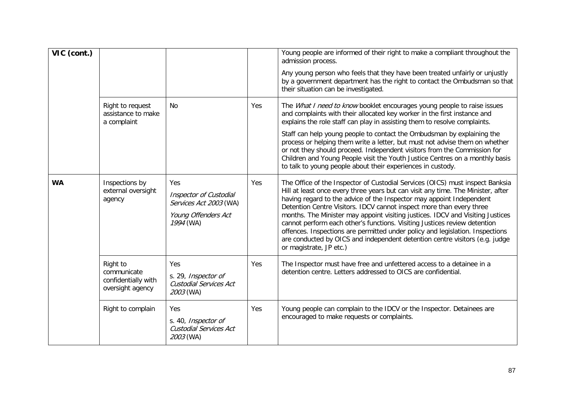| VIC (cont.) |                                                                    |                                                                                             |     | Young people are informed of their right to make a compliant throughout the<br>admission process.<br>Any young person who feels that they have been treated unfairly or unjustly<br>by a government department has the right to contact the Ombudsman so that<br>their situation can be investigated.                                                                                                                                                                                                                                                                                                                                                                                                                                      |
|-------------|--------------------------------------------------------------------|---------------------------------------------------------------------------------------------|-----|--------------------------------------------------------------------------------------------------------------------------------------------------------------------------------------------------------------------------------------------------------------------------------------------------------------------------------------------------------------------------------------------------------------------------------------------------------------------------------------------------------------------------------------------------------------------------------------------------------------------------------------------------------------------------------------------------------------------------------------------|
|             | Right to request<br>assistance to make<br>a complaint              | <b>No</b>                                                                                   | Yes | The What I need to know booklet encourages young people to raise issues<br>and complaints with their allocated key worker in the first instance and<br>explains the role staff can play in assisting them to resolve complaints.<br>Staff can help young people to contact the Ombudsman by explaining the<br>process or helping them write a letter, but must not advise them on whether<br>or not they should proceed. Independent visitors from the Commission for<br>Children and Young People visit the Youth Justice Centres on a monthly basis                                                                                                                                                                                      |
| <b>WA</b>   | Inspections by<br>external oversight<br>agency                     | Yes<br>Inspector of Custodial<br>Services Act 2003 (WA)<br>Young Offenders Act<br>1994 (WA) | Yes | to talk to young people about their experiences in custody.<br>The Office of the Inspector of Custodial Services (OICS) must inspect Banksia<br>Hill at least once every three years but can visit any time. The Minister, after<br>having regard to the advice of the Inspector may appoint Independent<br>Detention Centre Visitors. IDCV cannot inspect more than every three<br>months. The Minister may appoint visiting justices. IDCV and Visiting Justices<br>cannot perform each other's functions. Visiting Justices review detention<br>offences. Inspections are permitted under policy and legislation. Inspections<br>are conducted by OICS and independent detention centre visitors (e.g. judge<br>or magistrate, JP etc.) |
|             | Right to<br>communicate<br>confidentially with<br>oversight agency | Yes<br>s. 29, Inspector of<br>Custodial Services Act<br>2003 (WA)                           | Yes | The Inspector must have free and unfettered access to a detainee in a<br>detention centre. Letters addressed to OICS are confidential.                                                                                                                                                                                                                                                                                                                                                                                                                                                                                                                                                                                                     |
|             | Right to complain                                                  | Yes<br>s. 40, Inspector of<br>Custodial Services Act<br>2003 (WA)                           | Yes | Young people can complain to the IDCV or the Inspector. Detainees are<br>encouraged to make requests or complaints.                                                                                                                                                                                                                                                                                                                                                                                                                                                                                                                                                                                                                        |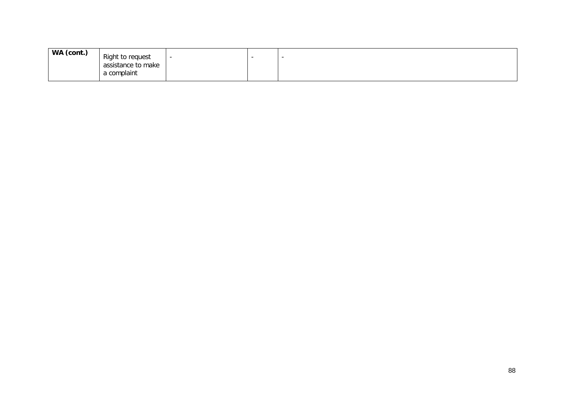| WA (cont.) | Right to request<br>assistance to make<br>a complaint |  |  | - |
|------------|-------------------------------------------------------|--|--|---|
|------------|-------------------------------------------------------|--|--|---|